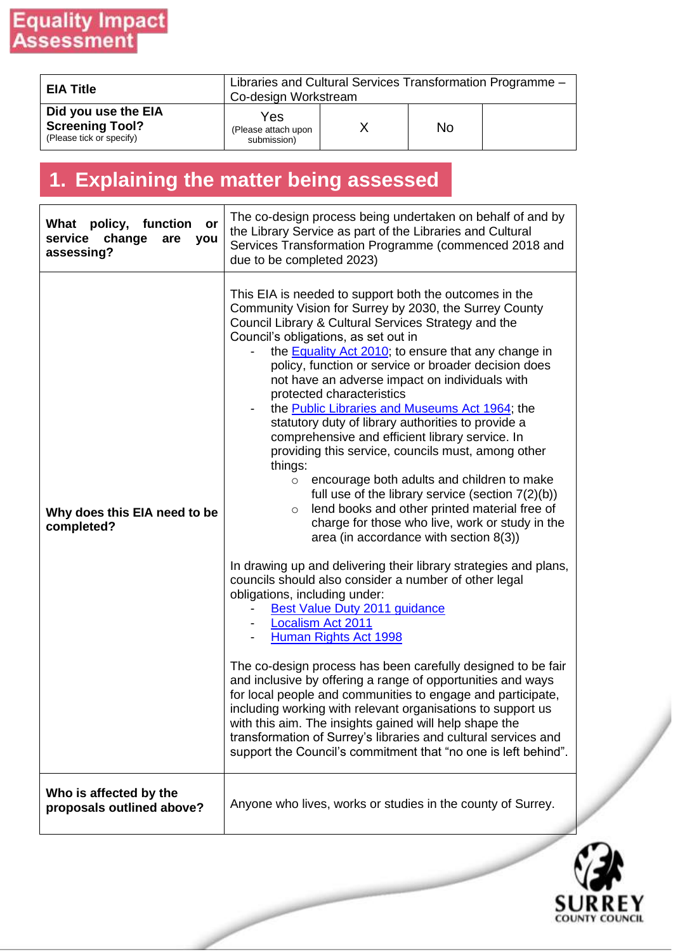| <b>EIA Title</b>                                                          | Libraries and Cultural Services Transformation Programme -<br>Co-design Workstream |  |           |  |  |
|---------------------------------------------------------------------------|------------------------------------------------------------------------------------|--|-----------|--|--|
| Did you use the EIA<br><b>Screening Tool?</b><br>(Please tick or specify) | Yes<br>(Please attach upon<br>submission)                                          |  | <b>No</b> |  |  |

## **1. Explaining the matter being assessed**

| What policy, function<br>or<br>service<br>change<br>are<br>you<br>assessing? | The co-design process being undertaken on behalf of and by<br>the Library Service as part of the Libraries and Cultural<br>Services Transformation Programme (commenced 2018 and<br>due to be completed 2023)                                                                                                                                                                                                                                                                                                                                                                                                                                                                                                                                                                                                                                                                                                                                                                                                                                                                                                                                                                                                                                                                                                                                                                                                                                                                                                                                                                                                                                           |
|------------------------------------------------------------------------------|---------------------------------------------------------------------------------------------------------------------------------------------------------------------------------------------------------------------------------------------------------------------------------------------------------------------------------------------------------------------------------------------------------------------------------------------------------------------------------------------------------------------------------------------------------------------------------------------------------------------------------------------------------------------------------------------------------------------------------------------------------------------------------------------------------------------------------------------------------------------------------------------------------------------------------------------------------------------------------------------------------------------------------------------------------------------------------------------------------------------------------------------------------------------------------------------------------------------------------------------------------------------------------------------------------------------------------------------------------------------------------------------------------------------------------------------------------------------------------------------------------------------------------------------------------------------------------------------------------------------------------------------------------|
| Why does this EIA need to be<br>completed?                                   | This EIA is needed to support both the outcomes in the<br>Community Vision for Surrey by 2030, the Surrey County<br>Council Library & Cultural Services Strategy and the<br>Council's obligations, as set out in<br>the <b>Equality Act 2010</b> ; to ensure that any change in<br>policy, function or service or broader decision does<br>not have an adverse impact on individuals with<br>protected characteristics<br>the <b>Public Libraries and Museums Act 1964</b> ; the<br>statutory duty of library authorities to provide a<br>comprehensive and efficient library service. In<br>providing this service, councils must, among other<br>things:<br>encourage both adults and children to make<br>$\circ$<br>full use of the library service (section $7(2)(b)$ )<br>lend books and other printed material free of<br>O<br>charge for those who live, work or study in the<br>area (in accordance with section $8(3)$ )<br>In drawing up and delivering their library strategies and plans,<br>councils should also consider a number of other legal<br>obligations, including under:<br><b>Best Value Duty 2011 guidance</b><br><b>Localism Act 2011</b><br>Human Rights Act 1998<br>The co-design process has been carefully designed to be fair<br>and inclusive by offering a range of opportunities and ways<br>for local people and communities to engage and participate,<br>including working with relevant organisations to support us<br>with this aim. The insights gained will help shape the<br>transformation of Surrey's libraries and cultural services and<br>support the Council's commitment that "no one is left behind". |
| Who is affected by the<br>proposals outlined above?                          | Anyone who lives, works or studies in the county of Surrey.                                                                                                                                                                                                                                                                                                                                                                                                                                                                                                                                                                                                                                                                                                                                                                                                                                                                                                                                                                                                                                                                                                                                                                                                                                                                                                                                                                                                                                                                                                                                                                                             |

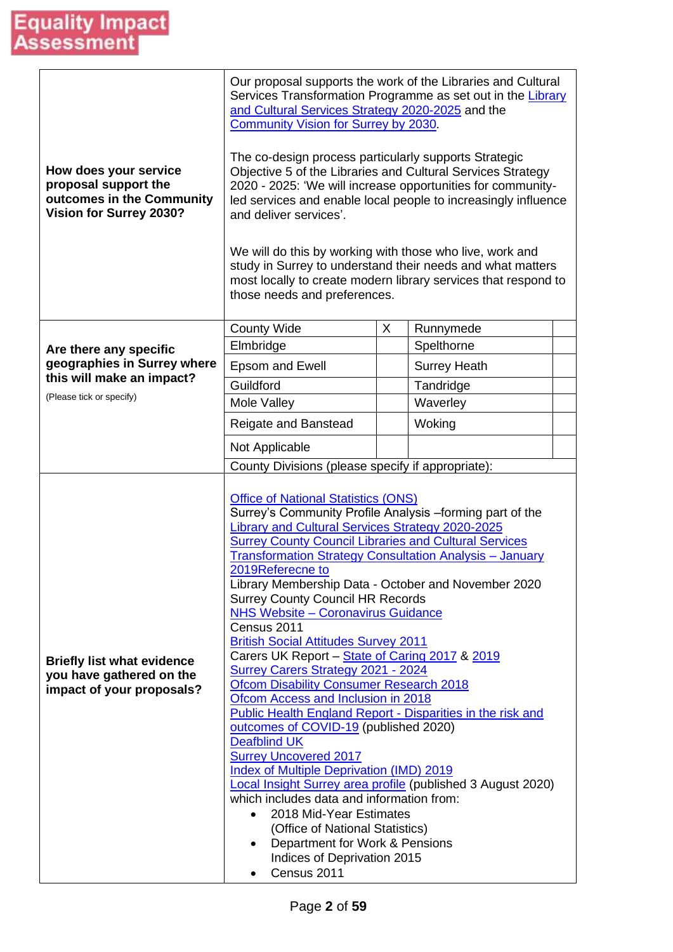| How does your service<br>proposal support the<br>outcomes in the Community<br>Vision for Surrey 2030? | Our proposal supports the work of the Libraries and Cultural<br>Services Transformation Programme as set out in the Library<br>and Cultural Services Strategy 2020-2025 and the<br><b>Community Vision for Surrey by 2030.</b><br>The co-design process particularly supports Strategic<br>Objective 5 of the Libraries and Cultural Services Strategy<br>2020 - 2025: 'We will increase opportunities for community-<br>led services and enable local people to increasingly influence<br>and deliver services'.<br>We will do this by working with those who live, work and<br>study in Surrey to understand their needs and what matters<br>most locally to create modern library services that respond to<br>those needs and preferences.                                                                                                                                                                                                                                                                                                                                                                                                                                                                             |   |                     |  |  |  |
|-------------------------------------------------------------------------------------------------------|---------------------------------------------------------------------------------------------------------------------------------------------------------------------------------------------------------------------------------------------------------------------------------------------------------------------------------------------------------------------------------------------------------------------------------------------------------------------------------------------------------------------------------------------------------------------------------------------------------------------------------------------------------------------------------------------------------------------------------------------------------------------------------------------------------------------------------------------------------------------------------------------------------------------------------------------------------------------------------------------------------------------------------------------------------------------------------------------------------------------------------------------------------------------------------------------------------------------------|---|---------------------|--|--|--|
|                                                                                                       | <b>County Wide</b>                                                                                                                                                                                                                                                                                                                                                                                                                                                                                                                                                                                                                                                                                                                                                                                                                                                                                                                                                                                                                                                                                                                                                                                                        | X | Runnymede           |  |  |  |
| Are there any specific                                                                                | Elmbridge                                                                                                                                                                                                                                                                                                                                                                                                                                                                                                                                                                                                                                                                                                                                                                                                                                                                                                                                                                                                                                                                                                                                                                                                                 |   | Spelthorne          |  |  |  |
| geographies in Surrey where                                                                           | <b>Epsom and Ewell</b>                                                                                                                                                                                                                                                                                                                                                                                                                                                                                                                                                                                                                                                                                                                                                                                                                                                                                                                                                                                                                                                                                                                                                                                                    |   | <b>Surrey Heath</b> |  |  |  |
| this will make an impact?<br>(Please tick or specify)                                                 | Guildford                                                                                                                                                                                                                                                                                                                                                                                                                                                                                                                                                                                                                                                                                                                                                                                                                                                                                                                                                                                                                                                                                                                                                                                                                 |   | Tandridge           |  |  |  |
|                                                                                                       | Mole Valley                                                                                                                                                                                                                                                                                                                                                                                                                                                                                                                                                                                                                                                                                                                                                                                                                                                                                                                                                                                                                                                                                                                                                                                                               |   | Waverley            |  |  |  |
|                                                                                                       | Reigate and Banstead                                                                                                                                                                                                                                                                                                                                                                                                                                                                                                                                                                                                                                                                                                                                                                                                                                                                                                                                                                                                                                                                                                                                                                                                      |   | Woking              |  |  |  |
|                                                                                                       | Not Applicable                                                                                                                                                                                                                                                                                                                                                                                                                                                                                                                                                                                                                                                                                                                                                                                                                                                                                                                                                                                                                                                                                                                                                                                                            |   |                     |  |  |  |
| <b>Briefly list what evidence</b><br>you have gathered on the<br>impact of your proposals?            | County Divisions (please specify if appropriate):<br><b>Office of National Statistics (ONS)</b><br>Surrey's Community Profile Analysis -forming part of the<br>Library and Cultural Services Strategy 2020-2025<br><b>Surrey County Council Libraries and Cultural Services</b><br><b>Transformation Strategy Consultation Analysis - January</b><br>2019Referecne to<br>Library Membership Data - October and November 2020<br><b>Surrey County Council HR Records</b><br><b>NHS Website - Coronavirus Guidance</b><br>Census 2011<br><b>British Social Attitudes Survey 2011</b><br>Carers UK Report - State of Caring 2017 & 2019<br><b>Surrey Carers Strategy 2021 - 2024</b><br><b>Ofcom Disability Consumer Research 2018</b><br>Ofcom Access and Inclusion in 2018<br><b>Public Health England Report - Disparities in the risk and</b><br>outcomes of COVID-19 (published 2020)<br><b>Deafblind UK</b><br><b>Surrey Uncovered 2017</b><br><b>Index of Multiple Deprivation (IMD) 2019</b><br><b>Local Insight Surrey area profile (published 3 August 2020)</b><br>which includes data and information from:<br>2018 Mid-Year Estimates<br>(Office of National Statistics)<br>Department for Work & Pensions<br>٠ |   |                     |  |  |  |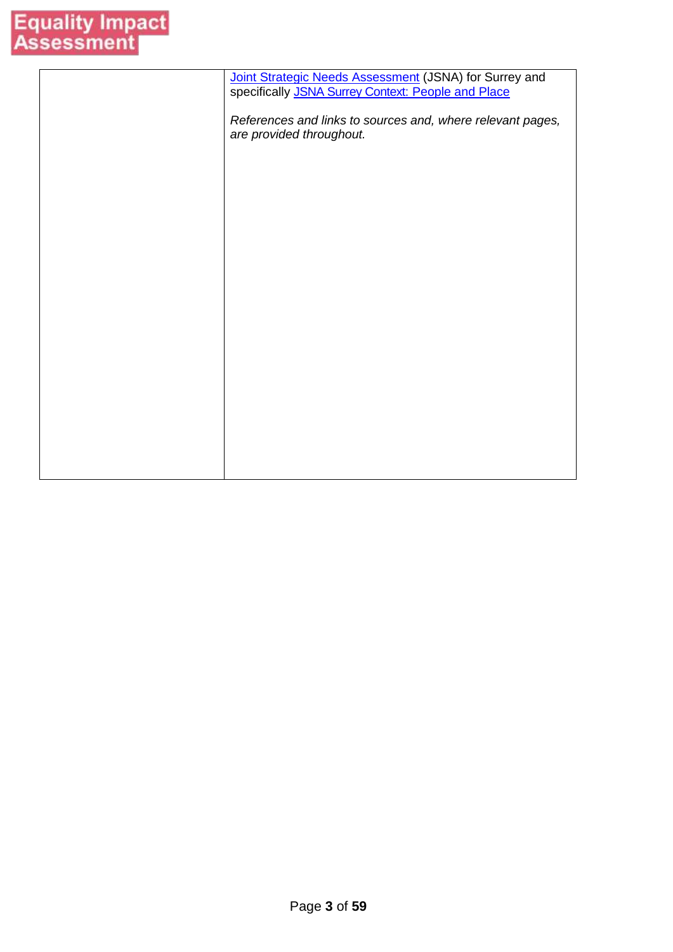| Joint Strategic Needs Assessment (JSNA) for Surrey and<br>specifically JSNA Surrey Context: People and Place |
|--------------------------------------------------------------------------------------------------------------|
| References and links to sources and, where relevant pages,<br>are provided throughout.                       |
|                                                                                                              |
|                                                                                                              |
|                                                                                                              |
|                                                                                                              |
|                                                                                                              |
|                                                                                                              |
|                                                                                                              |
|                                                                                                              |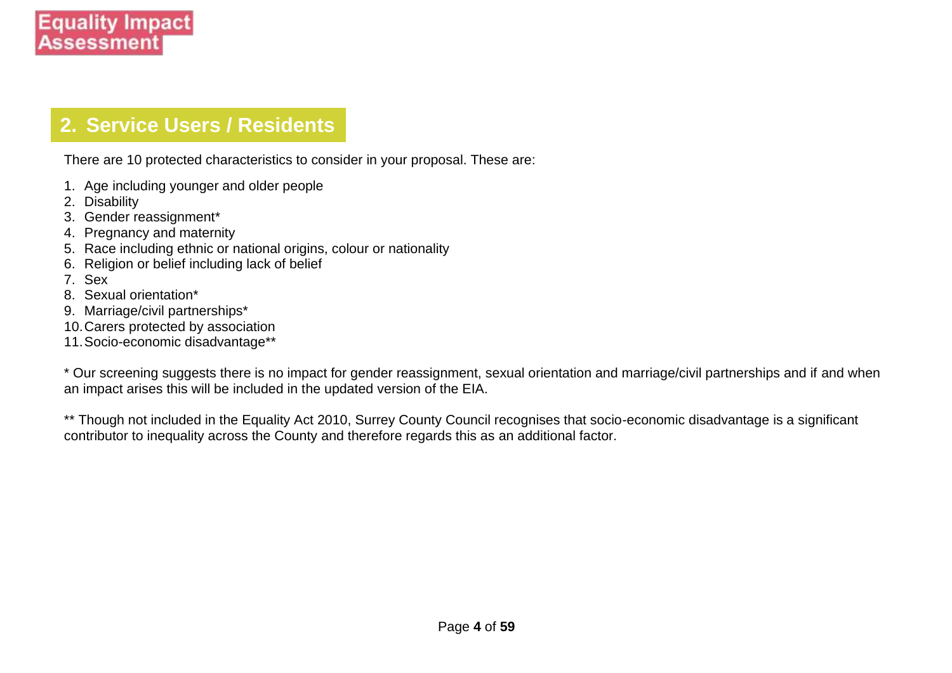### **2. Service Users / Residents**

There are 10 protected characteristics to consider in your proposal. These are:

- 1. Age including younger and older people
- 2. Disability
- 3. Gender reassignment\*
- 4. Pregnancy and maternity
- 5. Race including ethnic or national origins, colour or nationality
- 6. Religion or belief including lack of belief
- 7. Sex
- 8. Sexual orientation\*
- 9. Marriage/civil partnerships\*
- 10.Carers protected by association
- 11.Socio-economic disadvantage\*\*

\* Our screening suggests there is no impact for gender reassignment, sexual orientation and marriage/civil partnerships and if and when an impact arises this will be included in the updated version of the EIA.

\*\* Though not included in the Equality Act 2010, Surrey County Council recognises that socio-economic disadvantage is a significant contributor to inequality across the County and therefore regards this as an additional factor.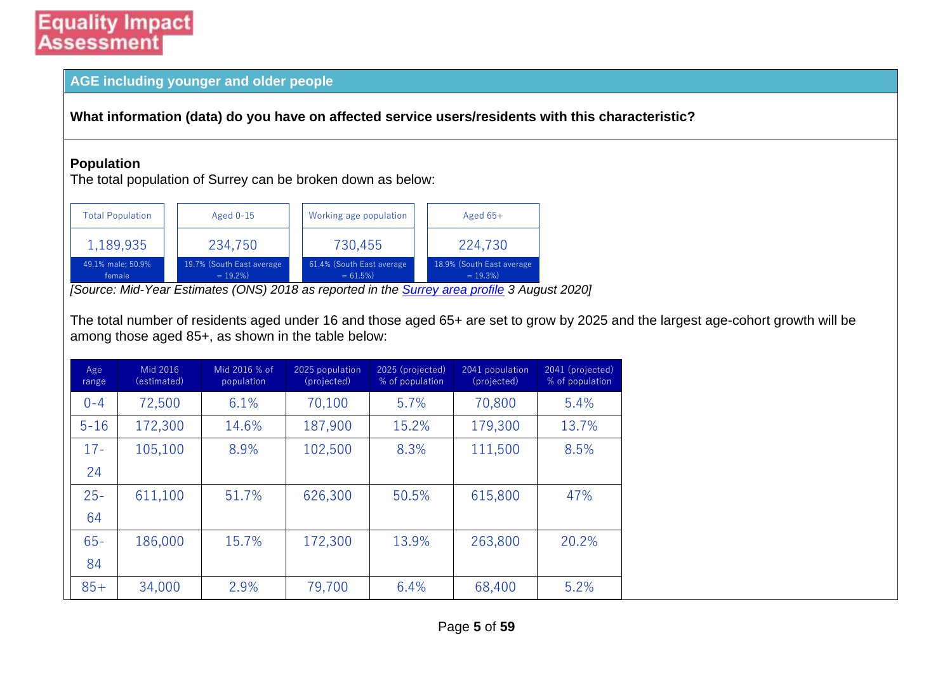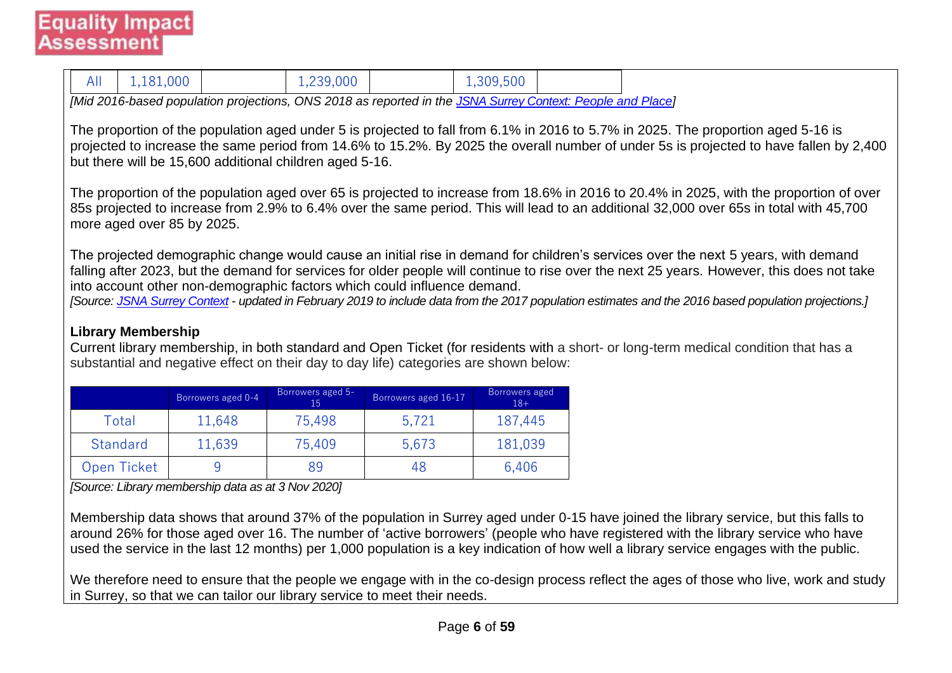| 1,181,000<br>All                                        |                                                                                                            | 1,239,000               |                                                                                       | 1,309,500               |  |                                                                                                                                                                                                                                                                                                                                                                                                                                                                                                                                                                                                                                                                                                                                                                                                                                                                                                                                                                                                                                                                                                                                                      |  |  |  |
|---------------------------------------------------------|------------------------------------------------------------------------------------------------------------|-------------------------|---------------------------------------------------------------------------------------|-------------------------|--|------------------------------------------------------------------------------------------------------------------------------------------------------------------------------------------------------------------------------------------------------------------------------------------------------------------------------------------------------------------------------------------------------------------------------------------------------------------------------------------------------------------------------------------------------------------------------------------------------------------------------------------------------------------------------------------------------------------------------------------------------------------------------------------------------------------------------------------------------------------------------------------------------------------------------------------------------------------------------------------------------------------------------------------------------------------------------------------------------------------------------------------------------|--|--|--|
|                                                         | [Mid 2016-based population projections, ONS 2018 as reported in the JSNA Surrey Context: People and Place] |                         |                                                                                       |                         |  |                                                                                                                                                                                                                                                                                                                                                                                                                                                                                                                                                                                                                                                                                                                                                                                                                                                                                                                                                                                                                                                                                                                                                      |  |  |  |
| more aged over 85 by 2025.<br><b>Library Membership</b> | but there will be 15,600 additional children aged 5-16.                                                    |                         | into account other non-demographic factors which could influence demand.              |                         |  | The proportion of the population aged under 5 is projected to fall from 6.1% in 2016 to 5.7% in 2025. The proportion aged 5-16 is<br>projected to increase the same period from 14.6% to 15.2%. By 2025 the overall number of under 5s is projected to have fallen by 2,400<br>The proportion of the population aged over 65 is projected to increase from 18.6% in 2016 to 20.4% in 2025, with the proportion of over<br>85s projected to increase from 2.9% to 6.4% over the same period. This will lead to an additional 32,000 over 65s in total with 45,700<br>The projected demographic change would cause an initial rise in demand for children's services over the next 5 years, with demand<br>falling after 2023, but the demand for services for older people will continue to rise over the next 25 years. However, this does not take<br>[Source: JSNA Surrey Context - updated in February 2019 to include data from the 2017 population estimates and the 2016 based population projections.]<br>Current library membership, in both standard and Open Ticket (for residents with a short- or long-term medical condition that has a |  |  |  |
|                                                         |                                                                                                            |                         | substantial and negative effect on their day to day life) categories are shown below: |                         |  |                                                                                                                                                                                                                                                                                                                                                                                                                                                                                                                                                                                                                                                                                                                                                                                                                                                                                                                                                                                                                                                                                                                                                      |  |  |  |
|                                                         | Borrowers aged 0-4                                                                                         | Borrowers aged 5-<br>15 | Borrowers aged 16-17                                                                  | Borrowers aged<br>$18+$ |  |                                                                                                                                                                                                                                                                                                                                                                                                                                                                                                                                                                                                                                                                                                                                                                                                                                                                                                                                                                                                                                                                                                                                                      |  |  |  |
| Total                                                   | 11,648                                                                                                     | 75,498                  | 5,721                                                                                 | 187,445                 |  |                                                                                                                                                                                                                                                                                                                                                                                                                                                                                                                                                                                                                                                                                                                                                                                                                                                                                                                                                                                                                                                                                                                                                      |  |  |  |
| Standard                                                | 11,639                                                                                                     | 75,409                  | 5,673                                                                                 | 181,039                 |  |                                                                                                                                                                                                                                                                                                                                                                                                                                                                                                                                                                                                                                                                                                                                                                                                                                                                                                                                                                                                                                                                                                                                                      |  |  |  |
| Open Ticket                                             | 9                                                                                                          | 89                      | 48                                                                                    | 6,406                   |  |                                                                                                                                                                                                                                                                                                                                                                                                                                                                                                                                                                                                                                                                                                                                                                                                                                                                                                                                                                                                                                                                                                                                                      |  |  |  |
| [Source: Library membership data as at 3 Nov 2020]      |                                                                                                            |                         |                                                                                       |                         |  |                                                                                                                                                                                                                                                                                                                                                                                                                                                                                                                                                                                                                                                                                                                                                                                                                                                                                                                                                                                                                                                                                                                                                      |  |  |  |

Membership data shows that around 37% of the population in Surrey aged under 0-15 have joined the library service, but this falls to around 26% for those aged over 16. The number of 'active borrowers' (people who have registered with the library service who have used the service in the last 12 months) per 1,000 population is a key indication of how well a library service engages with the public.

We therefore need to ensure that the people we engage with in the co-design process reflect the ages of those who live, work and study in Surrey, so that we can tailor our library service to meet their needs.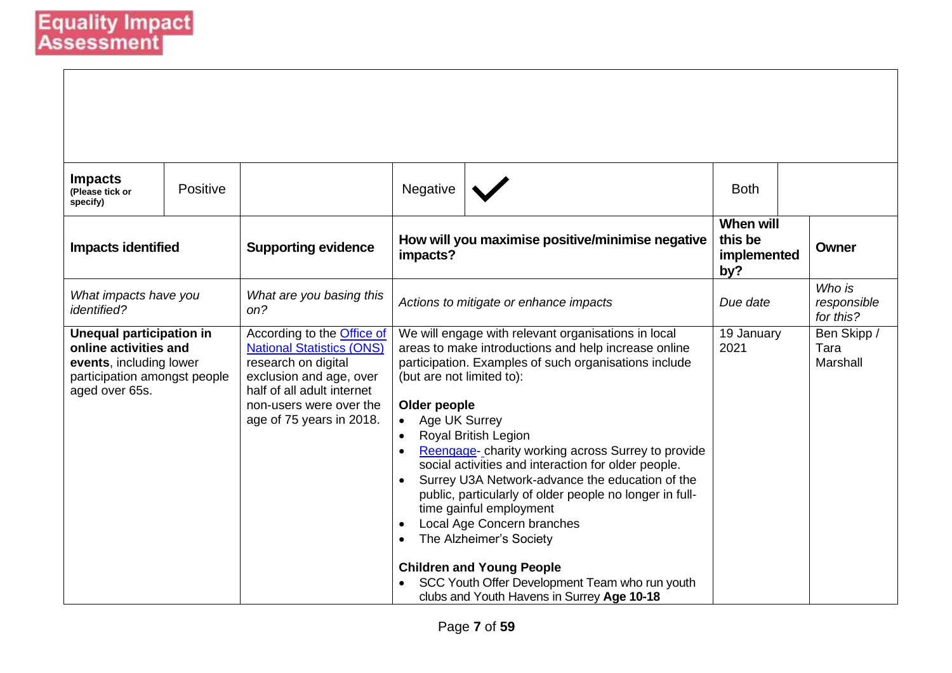| <b>Impacts</b><br>(Please tick or<br>specify)                                                                                         | Positive |                                                                                                                                                                                                              | Negative                                                                                          |                                                                                                                                                                                                                                                                                                                                                                                                                                                                                                                                                                                                                                                | <b>Both</b>                                       |                                    |                                 |
|---------------------------------------------------------------------------------------------------------------------------------------|----------|--------------------------------------------------------------------------------------------------------------------------------------------------------------------------------------------------------------|---------------------------------------------------------------------------------------------------|------------------------------------------------------------------------------------------------------------------------------------------------------------------------------------------------------------------------------------------------------------------------------------------------------------------------------------------------------------------------------------------------------------------------------------------------------------------------------------------------------------------------------------------------------------------------------------------------------------------------------------------------|---------------------------------------------------|------------------------------------|---------------------------------|
| <b>Impacts identified</b>                                                                                                             |          | <b>Supporting evidence</b>                                                                                                                                                                                   | impacts?                                                                                          | How will you maximise positive/minimise negative                                                                                                                                                                                                                                                                                                                                                                                                                                                                                                                                                                                               | <b>When will</b><br>this be<br>implemented<br>by? |                                    | <b>Owner</b>                    |
| What impacts have you<br><i>identified?</i>                                                                                           |          | What are you basing this<br>on?                                                                                                                                                                              | Actions to mitigate or enhance impacts                                                            | Due date                                                                                                                                                                                                                                                                                                                                                                                                                                                                                                                                                                                                                                       |                                                   | Who is<br>responsible<br>for this? |                                 |
| <b>Unequal participation in</b><br>online activities and<br>events, including lower<br>participation amongst people<br>aged over 65s. |          | According to the <b>Office of</b><br><b>National Statistics (ONS)</b><br>research on digital<br>exclusion and age, over<br>half of all adult internet<br>non-users were over the<br>age of 75 years in 2018. | (but are not limited to):<br>Older people<br>Age UK Surrey<br>$\bullet$<br>$\bullet$<br>$\bullet$ | We will engage with relevant organisations in local<br>areas to make introductions and help increase online<br>participation. Examples of such organisations include<br>Royal British Legion<br>Reengage-charity working across Surrey to provide<br>social activities and interaction for older people.<br>Surrey U3A Network-advance the education of the<br>public, particularly of older people no longer in full-<br>time gainful employment<br>Local Age Concern branches<br>The Alzheimer's Society<br><b>Children and Young People</b><br>SCC Youth Offer Development Team who run youth<br>clubs and Youth Havens in Surrey Age 10-18 | 19 January<br>2021                                |                                    | Ben Skipp /<br>Tara<br>Marshall |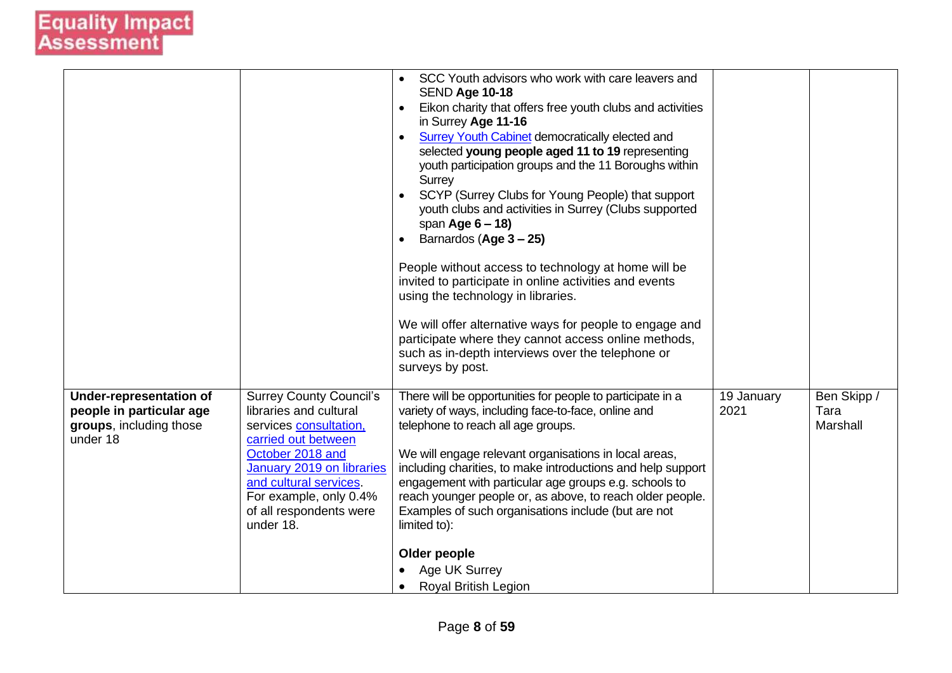|                                                                                            |                                                                                                                                                                                                                                                        | SCC Youth advisors who work with care leavers and<br><b>SEND Age 10-18</b><br>Eikon charity that offers free youth clubs and activities<br>$\bullet$<br>in Surrey Age 11-16<br><b>Surrey Youth Cabinet democratically elected and</b><br>$\bullet$<br>selected young people aged 11 to 19 representing<br>youth participation groups and the 11 Boroughs within<br>Surrey<br>SCYP (Surrey Clubs for Young People) that support<br>youth clubs and activities in Surrey (Clubs supported<br>span Age $6 - 18$ )<br>Barnardos (Age 3 - 25)<br>$\bullet$<br>People without access to technology at home will be<br>invited to participate in online activities and events<br>using the technology in libraries.<br>We will offer alternative ways for people to engage and<br>participate where they cannot access online methods,<br>such as in-depth interviews over the telephone or<br>surveys by post. |                    |                                 |
|--------------------------------------------------------------------------------------------|--------------------------------------------------------------------------------------------------------------------------------------------------------------------------------------------------------------------------------------------------------|----------------------------------------------------------------------------------------------------------------------------------------------------------------------------------------------------------------------------------------------------------------------------------------------------------------------------------------------------------------------------------------------------------------------------------------------------------------------------------------------------------------------------------------------------------------------------------------------------------------------------------------------------------------------------------------------------------------------------------------------------------------------------------------------------------------------------------------------------------------------------------------------------------|--------------------|---------------------------------|
| Under-representation of<br>people in particular age<br>groups, including those<br>under 18 | <b>Surrey County Council's</b><br>libraries and cultural<br>services consultation.<br>carried out between<br>October 2018 and<br>January 2019 on libraries<br>and cultural services.<br>For example, only 0.4%<br>of all respondents were<br>under 18. | There will be opportunities for people to participate in a<br>variety of ways, including face-to-face, online and<br>telephone to reach all age groups.<br>We will engage relevant organisations in local areas,<br>including charities, to make introductions and help support<br>engagement with particular age groups e.g. schools to<br>reach younger people or, as above, to reach older people.<br>Examples of such organisations include (but are not<br>limited to):<br>Older people<br>Age UK Surrey<br><b>Royal British Legion</b><br>$\bullet$                                                                                                                                                                                                                                                                                                                                                | 19 January<br>2021 | Ben Skipp /<br>Tara<br>Marshall |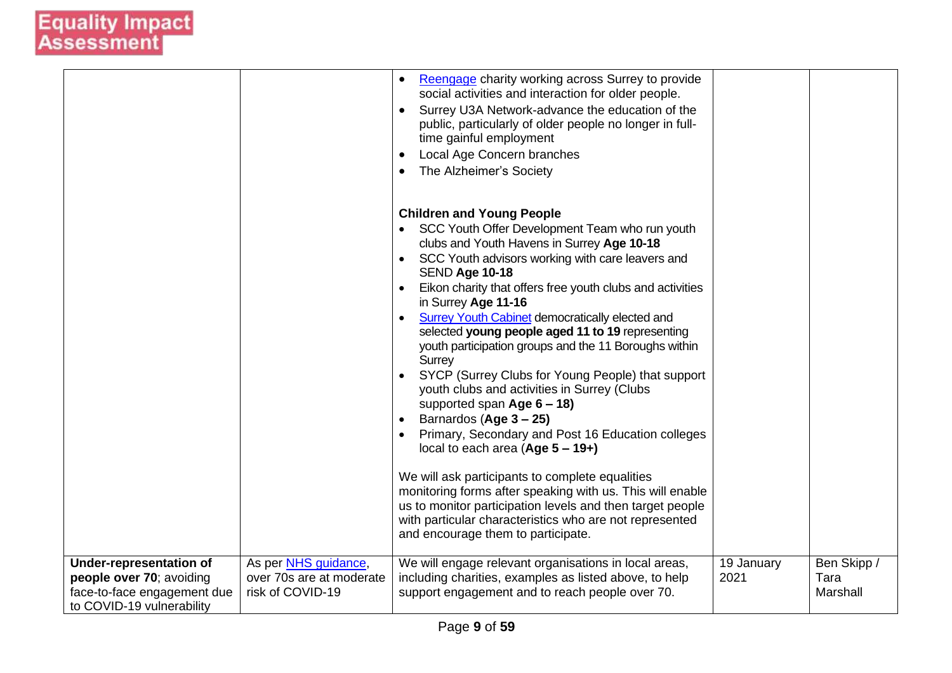|                                                                                                                        |                                                                      | Reengage charity working across Surrey to provide<br>social activities and interaction for older people.<br>Surrey U3A Network-advance the education of the<br>public, particularly of older people no longer in full-<br>time gainful employment                                                                                                                                                                                                                                                                                                                                                                                                                                                                                                                                                                                                                                                                                                                                                                          |                    |                                 |
|------------------------------------------------------------------------------------------------------------------------|----------------------------------------------------------------------|----------------------------------------------------------------------------------------------------------------------------------------------------------------------------------------------------------------------------------------------------------------------------------------------------------------------------------------------------------------------------------------------------------------------------------------------------------------------------------------------------------------------------------------------------------------------------------------------------------------------------------------------------------------------------------------------------------------------------------------------------------------------------------------------------------------------------------------------------------------------------------------------------------------------------------------------------------------------------------------------------------------------------|--------------------|---------------------------------|
|                                                                                                                        |                                                                      | Local Age Concern branches<br>The Alzheimer's Society                                                                                                                                                                                                                                                                                                                                                                                                                                                                                                                                                                                                                                                                                                                                                                                                                                                                                                                                                                      |                    |                                 |
|                                                                                                                        |                                                                      | <b>Children and Young People</b><br>SCC Youth Offer Development Team who run youth<br>clubs and Youth Havens in Surrey Age 10-18<br>SCC Youth advisors working with care leavers and<br>SEND Age 10-18<br>Eikon charity that offers free youth clubs and activities<br>in Surrey Age 11-16<br><b>Surrey Youth Cabinet democratically elected and</b><br>selected young people aged 11 to 19 representing<br>youth participation groups and the 11 Boroughs within<br><b>Surrey</b><br>SYCP (Surrey Clubs for Young People) that support<br>youth clubs and activities in Surrey (Clubs<br>supported span $Age 6 - 18$ )<br>Barnardos (Age 3 – 25)<br>Primary, Secondary and Post 16 Education colleges<br>local to each area $(Age 5 - 19+)$<br>We will ask participants to complete equalities<br>monitoring forms after speaking with us. This will enable<br>us to monitor participation levels and then target people<br>with particular characteristics who are not represented<br>and encourage them to participate. |                    |                                 |
| <b>Under-representation of</b><br>people over 70; avoiding<br>face-to-face engagement due<br>to COVID-19 vulnerability | As per NHS guidance,<br>over 70s are at moderate<br>risk of COVID-19 | We will engage relevant organisations in local areas,<br>including charities, examples as listed above, to help<br>support engagement and to reach people over 70.                                                                                                                                                                                                                                                                                                                                                                                                                                                                                                                                                                                                                                                                                                                                                                                                                                                         | 19 January<br>2021 | Ben Skipp /<br>Tara<br>Marshall |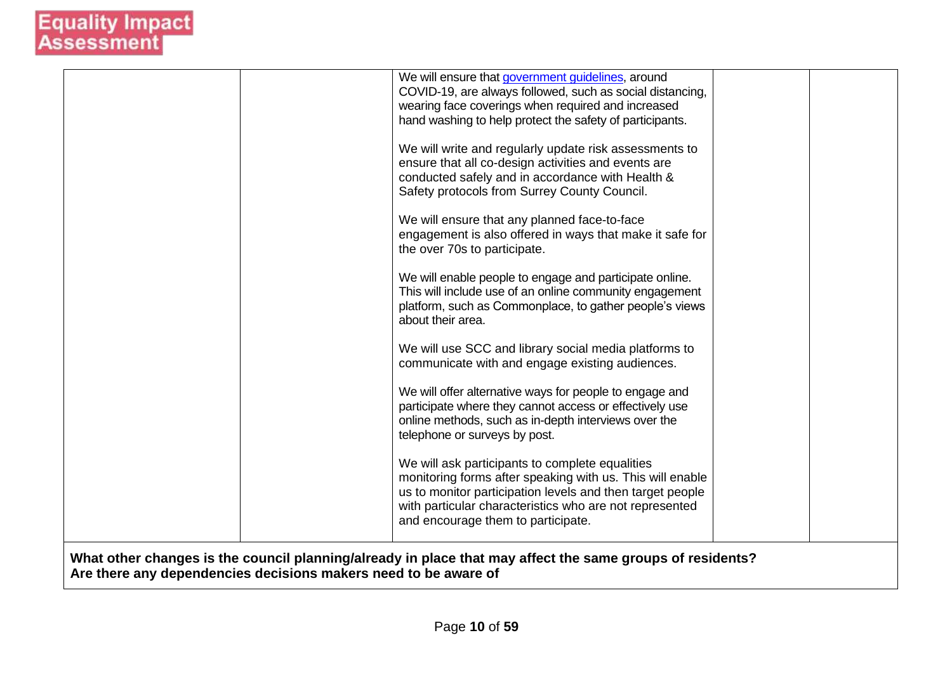|                                                                                                                                                                              | We will ensure that government guidelines, around<br>COVID-19, are always followed, such as social distancing,<br>wearing face coverings when required and increased<br>hand washing to help protect the safety of participants.                                           |  |
|------------------------------------------------------------------------------------------------------------------------------------------------------------------------------|----------------------------------------------------------------------------------------------------------------------------------------------------------------------------------------------------------------------------------------------------------------------------|--|
|                                                                                                                                                                              | We will write and regularly update risk assessments to<br>ensure that all co-design activities and events are<br>conducted safely and in accordance with Health &<br>Safety protocols from Surrey County Council.                                                          |  |
|                                                                                                                                                                              | We will ensure that any planned face-to-face<br>engagement is also offered in ways that make it safe for<br>the over 70s to participate.                                                                                                                                   |  |
|                                                                                                                                                                              | We will enable people to engage and participate online.<br>This will include use of an online community engagement<br>platform, such as Commonplace, to gather people's views<br>about their area.                                                                         |  |
|                                                                                                                                                                              | We will use SCC and library social media platforms to<br>communicate with and engage existing audiences.                                                                                                                                                                   |  |
|                                                                                                                                                                              | We will offer alternative ways for people to engage and<br>participate where they cannot access or effectively use<br>online methods, such as in-depth interviews over the<br>telephone or surveys by post.                                                                |  |
|                                                                                                                                                                              | We will ask participants to complete equalities<br>monitoring forms after speaking with us. This will enable<br>us to monitor participation levels and then target people<br>with particular characteristics who are not represented<br>and encourage them to participate. |  |
| What other changes is the council planning/already in place that may affect the same groups of residents?<br>Are there any dependencies decisions makers need to be aware of |                                                                                                                                                                                                                                                                            |  |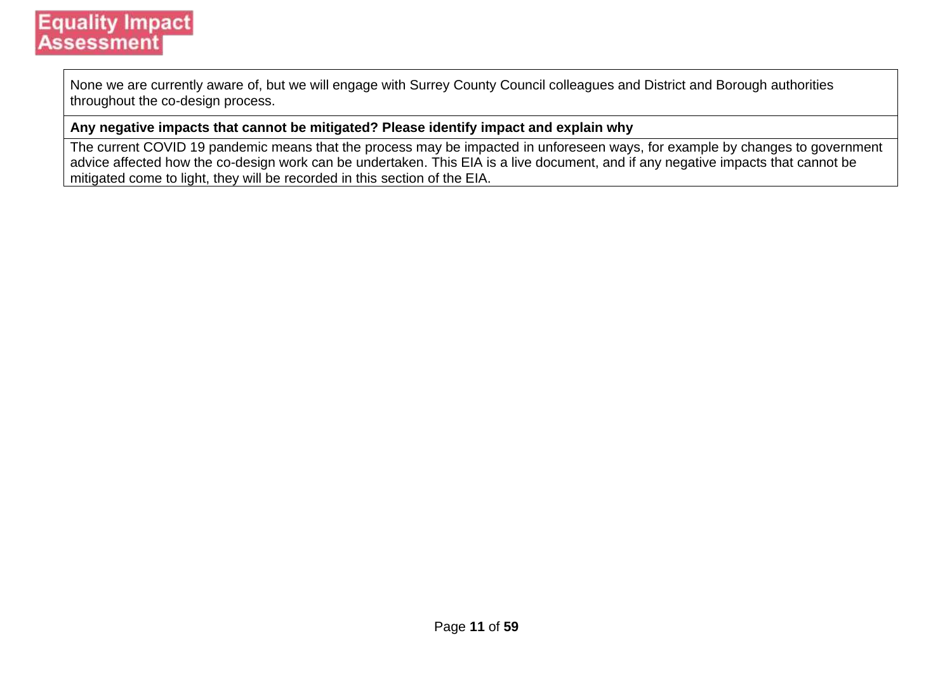None we are currently aware of, but we will engage with Surrey County Council colleagues and District and Borough authorities throughout the co-design process.

#### **Any negative impacts that cannot be mitigated? Please identify impact and explain why**

The current COVID 19 pandemic means that the process may be impacted in unforeseen ways, for example by changes to government advice affected how the co-design work can be undertaken. This EIA is a live document, and if any negative impacts that cannot be mitigated come to light, they will be recorded in this section of the EIA.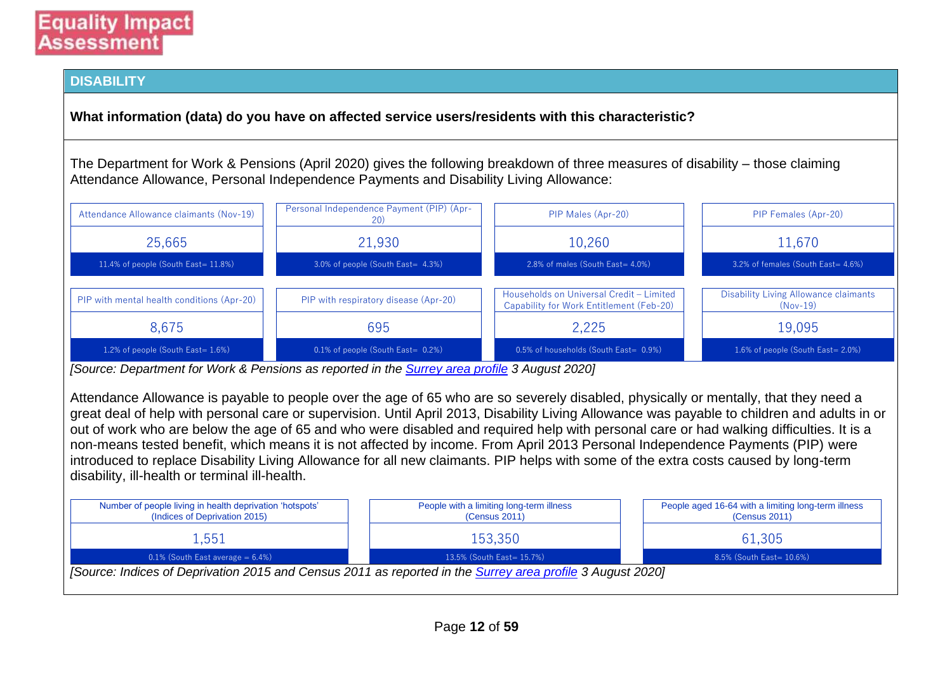#### **DISABILITY**

**What information (data) do you have on affected service users/residents with this characteristic?**

The Department for Work & Pensions (April 2020) gives the following breakdown of three measures of disability – those claiming Attendance Allowance, Personal Independence Payments and Disability Living Allowance:

| Attendance Allowance claimants (Nov-19)    | Personal Independence Payment (PIP) (Apr-<br><b>20</b> | PIP Males (Apr-20)                                                                   | PIP Females (Apr-20)                                |  |  |
|--------------------------------------------|--------------------------------------------------------|--------------------------------------------------------------------------------------|-----------------------------------------------------|--|--|
| 25,665                                     | 21,930                                                 | 10,260                                                                               | 11,670                                              |  |  |
| 11.4% of people (South East= $11.8\%$ )    | 3.0% of people (South East= 4.3%)                      | 2.8% of males (South East= 4.0%)                                                     | 3.2% of females (South East= 4.6%)                  |  |  |
| PIP with mental health conditions (Apr-20) | PIP with respiratory disease (Apr-20)                  | Households on Universal Credit - Limited<br>Capability for Work Entitlement (Feb-20) | Disability Living Allowance claimants<br>$(Nov-19)$ |  |  |
| 8,675                                      | 695                                                    | 2.225                                                                                | 19,095                                              |  |  |
| 1.2% of people (South East= 1.6%)          | $0.1\%$ of people (South East= $0.2\%$ )               | 0.5% of households (South East= 0.9%)                                                | 1.6% of people (South East= 2.0%)                   |  |  |

*[Source: Department for Work & Pensions as reported in the [Surrey area profile](https://local.communityinsight.org/reports/1387/LocalInsight-Surrey-ca138790334_8de157a018752049cc9b2af1e0bcc381-20200803131059001.doc) 3 August 2020]*

Attendance Allowance is payable to people over the age of 65 who are so severely disabled, physically or mentally, that they need a great deal of help with personal care or supervision. Until April 2013, Disability Living Allowance was payable to children and adults in or out of work who are below the age of 65 and who were disabled and required help with personal care or had walking difficulties. It is a non-means tested benefit, which means it is not affected by income. From April 2013 Personal Independence Payments (PIP) were introduced to replace Disability Living Allowance for all new claimants. PIP helps with some of the extra costs caused by long-term disability, ill-health or terminal ill-health.

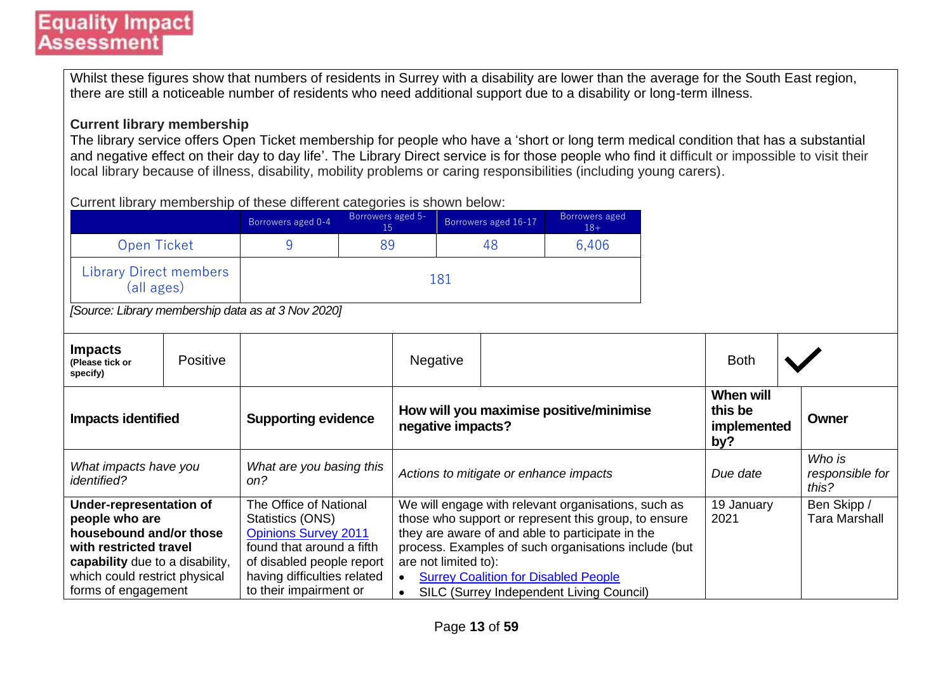Whilst these figures show that numbers of residents in Surrey with a disability are lower than the average for the South East region, there are still a noticeable number of residents who need additional support due to a disability or long-term illness.

#### **Current library membership**

The library service offers Open Ticket membership for people who have a 'short or long term medical condition that has a substantial and negative effect on their day to day life'. The Library Direct service is for those people who find it difficult or impossible to visit their local library because of illness, disability, mobility problems or caring responsibilities (including young carers).

Current library membership of these different categories is shown below:

|                                                                                                                                                                                                  |                                                                                                          | Borrowers aged 0-4                                                                                                                                                                           | Borrowers aged 5-<br>15 |                                                                                                                                                                                                                                                                                                                                                                      | Borrowers aged 16-17 | Borrowers aged<br>$18+$ |  |                                     |  |  |
|--------------------------------------------------------------------------------------------------------------------------------------------------------------------------------------------------|----------------------------------------------------------------------------------------------------------|----------------------------------------------------------------------------------------------------------------------------------------------------------------------------------------------|-------------------------|----------------------------------------------------------------------------------------------------------------------------------------------------------------------------------------------------------------------------------------------------------------------------------------------------------------------------------------------------------------------|----------------------|-------------------------|--|-------------------------------------|--|--|
| Open Ticket                                                                                                                                                                                      |                                                                                                          | 9                                                                                                                                                                                            | 89                      |                                                                                                                                                                                                                                                                                                                                                                      | 48                   | 6,406                   |  |                                     |  |  |
|                                                                                                                                                                                                  | <b>Library Direct members</b><br>181<br>(all ages)<br>[Source: Library membership data as at 3 Nov 2020] |                                                                                                                                                                                              |                         |                                                                                                                                                                                                                                                                                                                                                                      |                      |                         |  |                                     |  |  |
| <b>Impacts</b><br>(Please tick or<br>specify)                                                                                                                                                    | Positive                                                                                                 |                                                                                                                                                                                              |                         | <b>Negative</b>                                                                                                                                                                                                                                                                                                                                                      |                      |                         |  | <b>Both</b>                         |  |  |
| <b>Supporting evidence</b><br><b>Impacts identified</b>                                                                                                                                          |                                                                                                          | How will you maximise positive/minimise<br>negative impacts?                                                                                                                                 |                         | <b>When will</b><br>this be<br>implemented<br>by?                                                                                                                                                                                                                                                                                                                    |                      | Owner                   |  |                                     |  |  |
| What impacts have you<br><i>identified?</i>                                                                                                                                                      |                                                                                                          | What are you basing this<br>on?                                                                                                                                                              |                         | Actions to mitigate or enhance impacts                                                                                                                                                                                                                                                                                                                               |                      | Due date                |  | Who is<br>responsible for<br>this?  |  |  |
| <b>Under-representation of</b><br>people who are<br>housebound and/or those<br>with restricted travel<br>capability due to a disability,<br>which could restrict physical<br>forms of engagement |                                                                                                          | The Office of National<br>Statistics (ONS)<br><b>Opinions Survey 2011</b><br>found that around a fifth<br>of disabled people report<br>having difficulties related<br>to their impairment or |                         | We will engage with relevant organisations, such as<br>those who support or represent this group, to ensure<br>they are aware of and able to participate in the<br>process. Examples of such organisations include (but<br>are not limited to):<br><b>Surrey Coalition for Disabled People</b><br>$\bullet$<br>SILC (Surrey Independent Living Council)<br>$\bullet$ |                      | 19 January<br>2021      |  | Ben Skipp /<br><b>Tara Marshall</b> |  |  |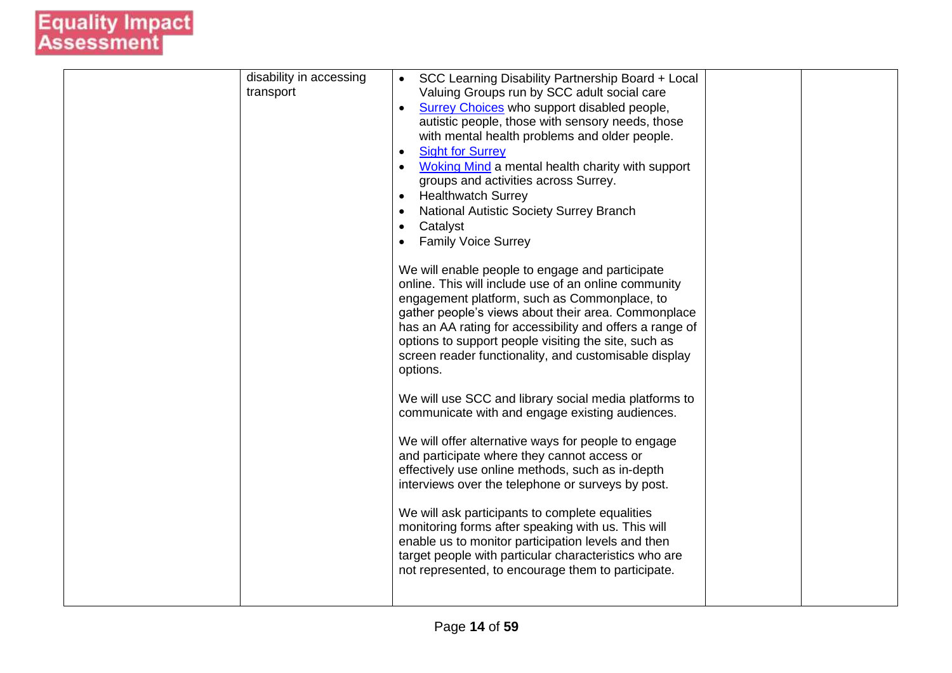| disability in accessing<br>transport | SCC Learning Disability Partnership Board + Local                                                             |
|--------------------------------------|---------------------------------------------------------------------------------------------------------------|
|                                      | Valuing Groups run by SCC adult social care<br>Surrey Choices who support disabled people,<br>$\bullet$       |
|                                      | autistic people, those with sensory needs, those                                                              |
|                                      | with mental health problems and older people.                                                                 |
|                                      | <b>Sight for Surrey</b><br>$\bullet$<br>Woking Mind a mental health charity with support<br>$\bullet$         |
|                                      | groups and activities across Surrey.                                                                          |
|                                      | <b>Healthwatch Surrey</b>                                                                                     |
|                                      | <b>National Autistic Society Surrey Branch</b><br>$\bullet$                                                   |
|                                      | Catalyst<br>$\bullet$<br><b>Family Voice Surrey</b>                                                           |
|                                      |                                                                                                               |
|                                      | We will enable people to engage and participate                                                               |
|                                      | online. This will include use of an online community<br>engagement platform, such as Commonplace, to          |
|                                      | gather people's views about their area. Commonplace                                                           |
|                                      | has an AA rating for accessibility and offers a range of                                                      |
|                                      | options to support people visiting the site, such as<br>screen reader functionality, and customisable display |
|                                      | options.                                                                                                      |
|                                      |                                                                                                               |
|                                      | We will use SCC and library social media platforms to<br>communicate with and engage existing audiences.      |
|                                      |                                                                                                               |
|                                      | We will offer alternative ways for people to engage                                                           |
|                                      | and participate where they cannot access or                                                                   |
|                                      | effectively use online methods, such as in-depth<br>interviews over the telephone or surveys by post.         |
|                                      |                                                                                                               |
|                                      | We will ask participants to complete equalities                                                               |
|                                      | monitoring forms after speaking with us. This will<br>enable us to monitor participation levels and then      |
|                                      | target people with particular characteristics who are                                                         |
|                                      | not represented, to encourage them to participate.                                                            |
|                                      |                                                                                                               |
|                                      |                                                                                                               |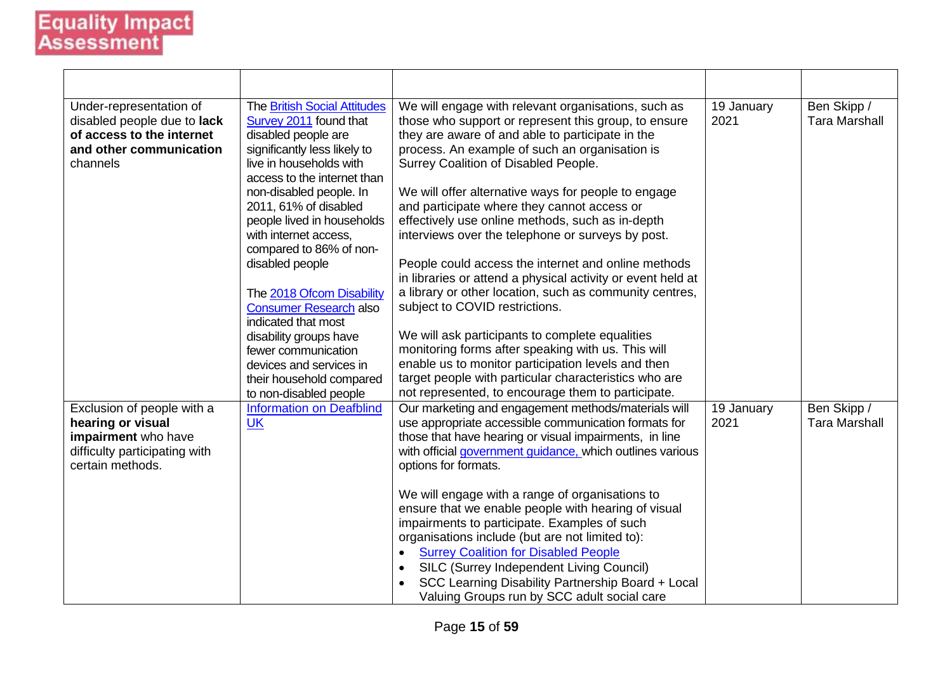| Under-representation of<br>disabled people due to lack<br>of access to the internet<br>and other communication<br>channels  | <b>The British Social Attitudes</b><br>Survey 2011 found that<br>disabled people are<br>significantly less likely to<br>live in households with<br>access to the internet than | We will engage with relevant organisations, such as<br>those who support or represent this group, to ensure<br>they are aware of and able to participate in the<br>process. An example of such an organisation is<br>Surrey Coalition of Disabled People.                                                                                                                                                | 19 January<br>2021 | Ben Skipp /<br><b>Tara Marshall</b> |
|-----------------------------------------------------------------------------------------------------------------------------|--------------------------------------------------------------------------------------------------------------------------------------------------------------------------------|----------------------------------------------------------------------------------------------------------------------------------------------------------------------------------------------------------------------------------------------------------------------------------------------------------------------------------------------------------------------------------------------------------|--------------------|-------------------------------------|
|                                                                                                                             | non-disabled people. In<br>2011, 61% of disabled<br>people lived in households<br>with internet access,<br>compared to 86% of non-                                             | We will offer alternative ways for people to engage<br>and participate where they cannot access or<br>effectively use online methods, such as in-depth<br>interviews over the telephone or surveys by post.                                                                                                                                                                                              |                    |                                     |
|                                                                                                                             | disabled people<br>The 2018 Ofcom Disability<br><b>Consumer Research also</b><br>indicated that most                                                                           | People could access the internet and online methods<br>in libraries or attend a physical activity or event held at<br>a library or other location, such as community centres,<br>subject to COVID restrictions.                                                                                                                                                                                          |                    |                                     |
|                                                                                                                             | disability groups have<br>fewer communication<br>devices and services in<br>their household compared<br>to non-disabled people                                                 | We will ask participants to complete equalities<br>monitoring forms after speaking with us. This will<br>enable us to monitor participation levels and then<br>target people with particular characteristics who are<br>not represented, to encourage them to participate.                                                                                                                               |                    |                                     |
| Exclusion of people with a<br>hearing or visual<br>impairment who have<br>difficulty participating with<br>certain methods. | <b>Information on Deafblind</b><br><b>UK</b>                                                                                                                                   | Our marketing and engagement methods/materials will<br>use appropriate accessible communication formats for<br>those that have hearing or visual impairments, in line<br>with official government guidance, which outlines various<br>options for formats.                                                                                                                                               | 19 January<br>2021 | Ben Skipp /<br><b>Tara Marshall</b> |
|                                                                                                                             |                                                                                                                                                                                | We will engage with a range of organisations to<br>ensure that we enable people with hearing of visual<br>impairments to participate. Examples of such<br>organisations include (but are not limited to):<br><b>Surrey Coalition for Disabled People</b><br>SILC (Surrey Independent Living Council)<br>SCC Learning Disability Partnership Board + Local<br>Valuing Groups run by SCC adult social care |                    |                                     |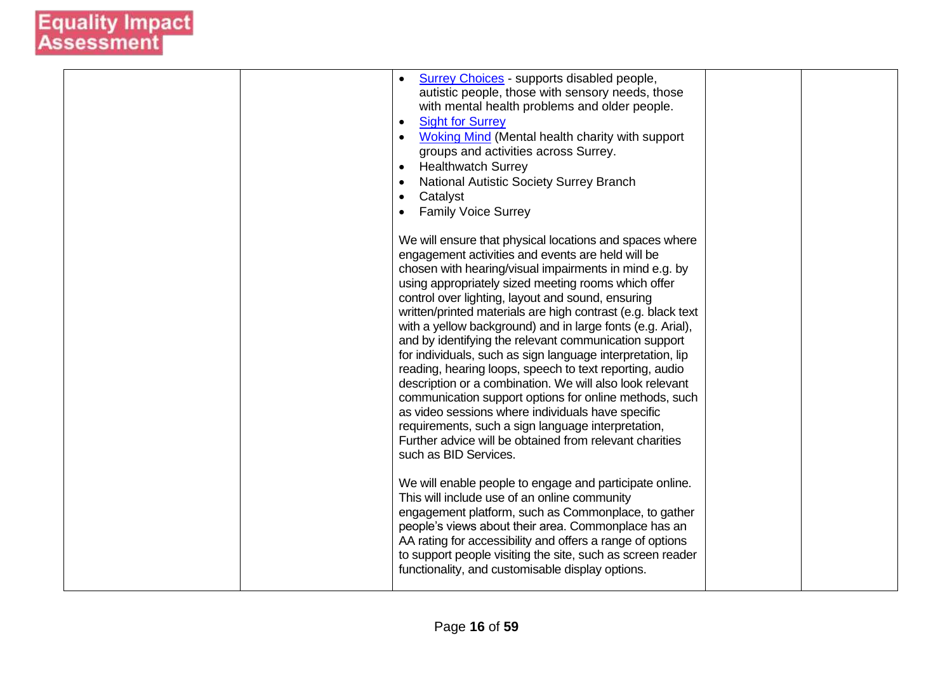|  | <b>Surrey Choices</b> - supports disabled people,<br>$\bullet$<br>autistic people, those with sensory needs, those<br>with mental health problems and older people.<br><b>Sight for Surrey</b><br>$\bullet$<br><b>Woking Mind (Mental health charity with support</b><br>$\bullet$<br>groups and activities across Surrey.<br><b>Healthwatch Surrey</b><br>$\bullet$<br>National Autistic Society Surrey Branch<br>$\bullet$<br>Catalyst<br>$\bullet$<br><b>Family Voice Surrey</b><br>$\bullet$                                                                                                                                                                                                                                                                                                                                                                                                                                                                                                                                                                                                                                                                                                                                                                                                                                |  |
|--|---------------------------------------------------------------------------------------------------------------------------------------------------------------------------------------------------------------------------------------------------------------------------------------------------------------------------------------------------------------------------------------------------------------------------------------------------------------------------------------------------------------------------------------------------------------------------------------------------------------------------------------------------------------------------------------------------------------------------------------------------------------------------------------------------------------------------------------------------------------------------------------------------------------------------------------------------------------------------------------------------------------------------------------------------------------------------------------------------------------------------------------------------------------------------------------------------------------------------------------------------------------------------------------------------------------------------------|--|
|  | We will ensure that physical locations and spaces where<br>engagement activities and events are held will be<br>chosen with hearing/visual impairments in mind e.g. by<br>using appropriately sized meeting rooms which offer<br>control over lighting, layout and sound, ensuring<br>written/printed materials are high contrast (e.g. black text<br>with a yellow background) and in large fonts (e.g. Arial),<br>and by identifying the relevant communication support<br>for individuals, such as sign language interpretation, lip<br>reading, hearing loops, speech to text reporting, audio<br>description or a combination. We will also look relevant<br>communication support options for online methods, such<br>as video sessions where individuals have specific<br>requirements, such a sign language interpretation,<br>Further advice will be obtained from relevant charities<br>such as BID Services.<br>We will enable people to engage and participate online.<br>This will include use of an online community<br>engagement platform, such as Commonplace, to gather<br>people's views about their area. Commonplace has an<br>AA rating for accessibility and offers a range of options<br>to support people visiting the site, such as screen reader<br>functionality, and customisable display options. |  |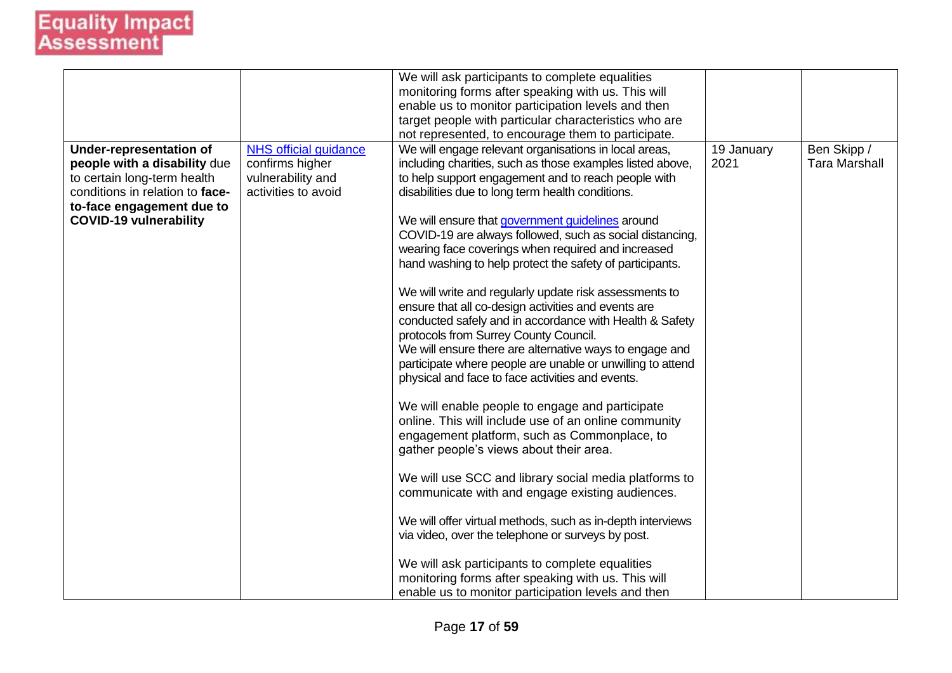| <b>NHS official guidance</b><br>We will engage relevant organisations in local areas,<br>Ben Skipp /<br><b>Under-representation of</b><br>19 January<br>confirms higher<br><b>Tara Marshall</b><br>people with a disability due<br>including charities, such as those examples listed above,<br>2021<br>to certain long-term health<br>vulnerability and<br>to help support engagement and to reach people with<br>activities to avoid<br>conditions in relation to face-<br>disabilities due to long term health conditions.<br>to-face engagement due to<br><b>COVID-19 vulnerability</b><br>We will ensure that government guidelines around<br>COVID-19 are always followed, such as social distancing,<br>wearing face coverings when required and increased<br>hand washing to help protect the safety of participants.<br>We will write and regularly update risk assessments to<br>ensure that all co-design activities and events are<br>conducted safely and in accordance with Health & Safety<br>protocols from Surrey County Council.<br>We will ensure there are alternative ways to engage and<br>participate where people are unable or unwilling to attend<br>physical and face to face activities and events.<br>We will enable people to engage and participate |  | We will ask participants to complete equalities<br>monitoring forms after speaking with us. This will<br>enable us to monitor participation levels and then<br>target people with particular characteristics who are<br>not represented, to encourage them to participate. |  |
|------------------------------------------------------------------------------------------------------------------------------------------------------------------------------------------------------------------------------------------------------------------------------------------------------------------------------------------------------------------------------------------------------------------------------------------------------------------------------------------------------------------------------------------------------------------------------------------------------------------------------------------------------------------------------------------------------------------------------------------------------------------------------------------------------------------------------------------------------------------------------------------------------------------------------------------------------------------------------------------------------------------------------------------------------------------------------------------------------------------------------------------------------------------------------------------------------------------------------------------------------------------------------------|--|----------------------------------------------------------------------------------------------------------------------------------------------------------------------------------------------------------------------------------------------------------------------------|--|
| engagement platform, such as Commonplace, to<br>gather people's views about their area.<br>We will use SCC and library social media platforms to<br>communicate with and engage existing audiences.<br>We will offer virtual methods, such as in-depth interviews<br>via video, over the telephone or surveys by post.<br>We will ask participants to complete equalities<br>monitoring forms after speaking with us. This will<br>enable us to monitor participation levels and then                                                                                                                                                                                                                                                                                                                                                                                                                                                                                                                                                                                                                                                                                                                                                                                              |  | online. This will include use of an online community                                                                                                                                                                                                                       |  |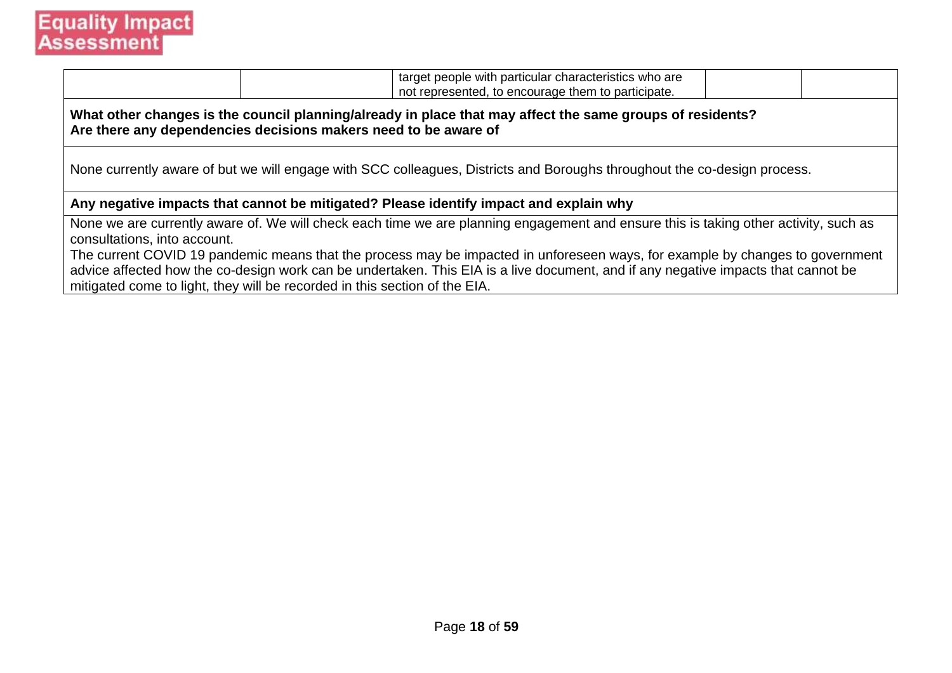

|                                                                                                                                                                              |  | target people with particular characteristics who are<br>not represented, to encourage them to participate.                                                                                                                                                                                                                                                                                                |  |  |  |  |  |
|------------------------------------------------------------------------------------------------------------------------------------------------------------------------------|--|------------------------------------------------------------------------------------------------------------------------------------------------------------------------------------------------------------------------------------------------------------------------------------------------------------------------------------------------------------------------------------------------------------|--|--|--|--|--|
| What other changes is the council planning/already in place that may affect the same groups of residents?<br>Are there any dependencies decisions makers need to be aware of |  |                                                                                                                                                                                                                                                                                                                                                                                                            |  |  |  |  |  |
| None currently aware of but we will engage with SCC colleagues, Districts and Boroughs throughout the co-design process.                                                     |  |                                                                                                                                                                                                                                                                                                                                                                                                            |  |  |  |  |  |
|                                                                                                                                                                              |  | Any negative impacts that cannot be mitigated? Please identify impact and explain why                                                                                                                                                                                                                                                                                                                      |  |  |  |  |  |
| consultations, into account.<br>mitigated come to light, they will be recorded in this section of the EIA.                                                                   |  | None we are currently aware of. We will check each time we are planning engagement and ensure this is taking other activity, such as<br>The current COVID 19 pandemic means that the process may be impacted in unforeseen ways, for example by changes to government<br>advice affected how the co-design work can be undertaken. This EIA is a live document, and if any negative impacts that cannot be |  |  |  |  |  |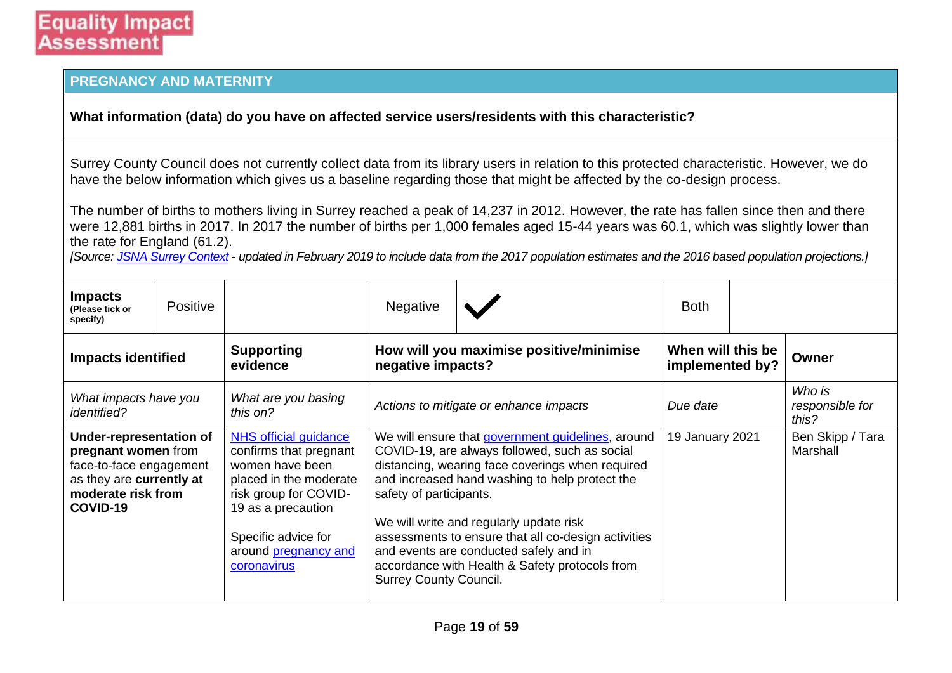#### **PREGNANCY AND MATERNITY**

#### **What information (data) do you have on affected service users/residents with this characteristic?**

Surrey County Council does not currently collect data from its library users in relation to this protected characteristic. However, we do have the below information which gives us a baseline regarding those that might be affected by the co-design process.

The number of births to mothers living in Surrey reached a peak of 14,237 in 2012. However, the rate has fallen since then and there were 12,881 births in 2017. In 2017 the number of births per 1,000 females aged 15-44 years was 60.1, which was slightly lower than the rate for England (61.2).

*[Source: [JSNA Surrey Context](https://www.surreyi.gov.uk/jsna/surrey-context/) - updated in February 2019 to include data from the 2017 population estimates and the 2016 based population projections.]*

| <b>Impacts</b><br>(Please tick or<br>specify)                                                                                           | <b>Positive</b> |                                                                                                                                                                                                           | <b>Negative</b>                                              |                                                                                                                                                                                                                                                                                                                                                                                                        | <b>Both</b>                          |  |                                    |       |
|-----------------------------------------------------------------------------------------------------------------------------------------|-----------------|-----------------------------------------------------------------------------------------------------------------------------------------------------------------------------------------------------------|--------------------------------------------------------------|--------------------------------------------------------------------------------------------------------------------------------------------------------------------------------------------------------------------------------------------------------------------------------------------------------------------------------------------------------------------------------------------------------|--------------------------------------|--|------------------------------------|-------|
| <b>Impacts identified</b>                                                                                                               |                 | <b>Supporting</b><br>evidence                                                                                                                                                                             | How will you maximise positive/minimise<br>negative impacts? |                                                                                                                                                                                                                                                                                                                                                                                                        | When will this be<br>implemented by? |  |                                    | Owner |
| What impacts have you<br><i>identified?</i>                                                                                             |                 | What are you basing<br>this on?                                                                                                                                                                           | Actions to mitigate or enhance impacts                       |                                                                                                                                                                                                                                                                                                                                                                                                        | Due date                             |  | Who is<br>responsible for<br>this? |       |
| Under-representation of<br>pregnant women from<br>face-to-face engagement<br>as they are currently at<br>moderate risk from<br>COVID-19 |                 | NHS official guidance<br>confirms that pregnant<br>women have been<br>placed in the moderate<br>risk group for COVID-<br>19 as a precaution<br>Specific advice for<br>around pregnancy and<br>coronavirus | safety of participants.<br><b>Surrey County Council.</b>     | We will ensure that government guidelines, around<br>COVID-19, are always followed, such as social<br>distancing, wearing face coverings when required<br>and increased hand washing to help protect the<br>We will write and regularly update risk<br>assessments to ensure that all co-design activities<br>and events are conducted safely and in<br>accordance with Health & Safety protocols from | 19 January 2021                      |  | Ben Skipp / Tara<br>Marshall       |       |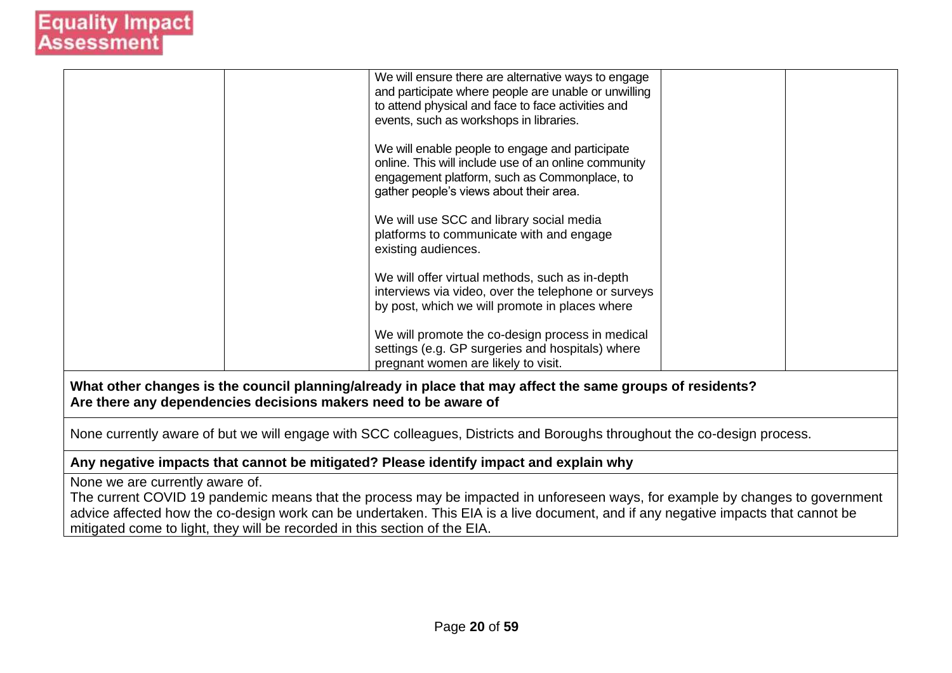|                                                                                                                                                                              | We will ensure there are alternative ways to engage<br>and participate where people are unable or unwilling<br>to attend physical and face to face activities and<br>events, such as workshops in libraries.<br>We will enable people to engage and participate<br>online. This will include use of an online community<br>engagement platform, such as Commonplace, to<br>gather people's views about their area.<br>We will use SCC and library social media<br>platforms to communicate with and engage<br>existing audiences.<br>We will offer virtual methods, such as in-depth<br>interviews via video, over the telephone or surveys<br>by post, which we will promote in places where<br>We will promote the co-design process in medical<br>settings (e.g. GP surgeries and hospitals) where |  |  |  |  |  |
|------------------------------------------------------------------------------------------------------------------------------------------------------------------------------|-------------------------------------------------------------------------------------------------------------------------------------------------------------------------------------------------------------------------------------------------------------------------------------------------------------------------------------------------------------------------------------------------------------------------------------------------------------------------------------------------------------------------------------------------------------------------------------------------------------------------------------------------------------------------------------------------------------------------------------------------------------------------------------------------------|--|--|--|--|--|
|                                                                                                                                                                              | pregnant women are likely to visit.                                                                                                                                                                                                                                                                                                                                                                                                                                                                                                                                                                                                                                                                                                                                                                   |  |  |  |  |  |
| What other changes is the council planning/already in place that may affect the same groups of residents?<br>Are there any dependencies decisions makers need to be aware of |                                                                                                                                                                                                                                                                                                                                                                                                                                                                                                                                                                                                                                                                                                                                                                                                       |  |  |  |  |  |
| None currently aware of but we will engage with SCC colleagues, Districts and Boroughs throughout the co-design process.                                                     |                                                                                                                                                                                                                                                                                                                                                                                                                                                                                                                                                                                                                                                                                                                                                                                                       |  |  |  |  |  |
|                                                                                                                                                                              | Any negative impacts that cannot be mitigated? Please identify impact and explain why                                                                                                                                                                                                                                                                                                                                                                                                                                                                                                                                                                                                                                                                                                                 |  |  |  |  |  |
|                                                                                                                                                                              |                                                                                                                                                                                                                                                                                                                                                                                                                                                                                                                                                                                                                                                                                                                                                                                                       |  |  |  |  |  |

None we are currently aware of.

The current COVID 19 pandemic means that the process may be impacted in unforeseen ways, for example by changes to government advice affected how the co-design work can be undertaken. This EIA is a live document, and if any negative impacts that cannot be mitigated come to light, they will be recorded in this section of the EIA.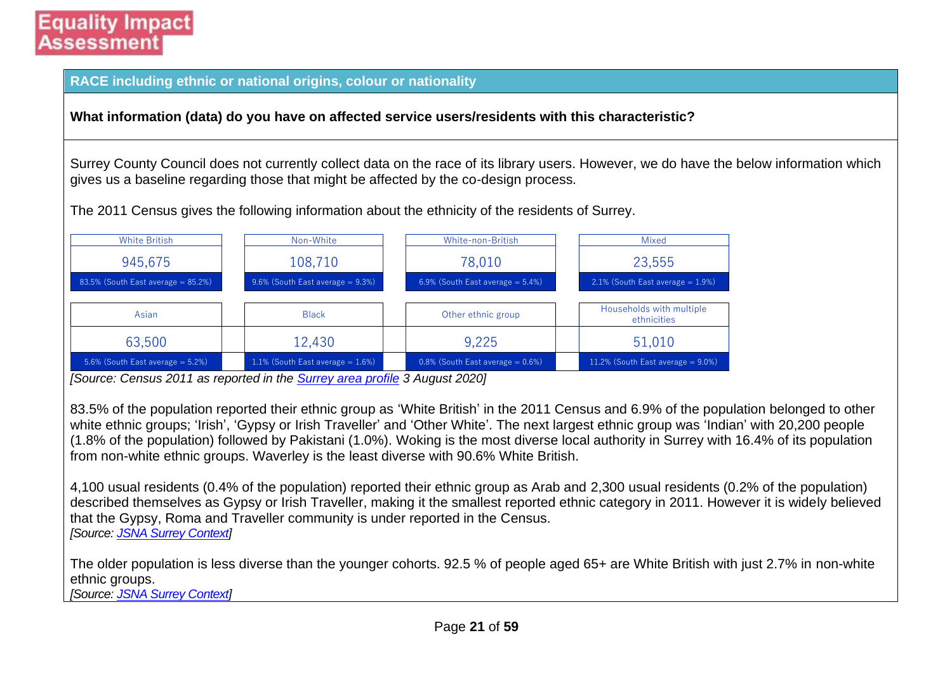**RACE including ethnic or national origins, colour or nationality**

**What information (data) do you have on affected service users/residents with this characteristic?**

Surrey County Council does not currently collect data on the race of its library users. However, we do have the below information which gives us a baseline regarding those that might be affected by the co-design process.

The 2011 Census gives the following information about the ethnicity of the residents of Surrey.

| <b>White British</b>                      | Non-White                               | White-non-British                       | <b>Mixed</b>                            |
|-------------------------------------------|-----------------------------------------|-----------------------------------------|-----------------------------------------|
| 945,675                                   | 108,710                                 | 78,010                                  | 23,555                                  |
| $83.5\%$ (South East average = $85.2\%$ ) | $9.6\%$ (South East average = 9.3%)     | $6.9\%$ (South East average = $5.4\%$ ) | $2.1\%$ (South East average = 1.9%)     |
|                                           |                                         |                                         |                                         |
| Asian                                     | <b>Black</b>                            | Other ethnic group                      | Households with multiple<br>ethnicities |
| 63,500                                    | 12,430                                  | 9,225                                   | 51,010                                  |
| 5.6% (South East average $= 5.2\%$ )      | $1.1\%$ (South East average = $1.6\%$ ) | $0.8\%$ (South East average = $0.6\%$ ) | $11.2\%$ (South East average = 9.0%)    |

*[Source: Census 2011 as reported in the [Surrey area profile](https://local.communityinsight.org/reports/1387/LocalInsight-Surrey-ca138790334_8de157a018752049cc9b2af1e0bcc381-20200803131059001.doc) 3 August 2020]*

83.5% of the population reported their ethnic group as 'White British' in the 2011 Census and 6.9% of the population belonged to other white ethnic groups; 'Irish', 'Gypsy or Irish Traveller' and 'Other White'. The next largest ethnic group was 'Indian' with 20,200 people (1.8% of the population) followed by Pakistani (1.0%). Woking is the most diverse local authority in Surrey with 16.4% of its population from non-white ethnic groups. Waverley is the least diverse with 90.6% White British.

4,100 usual residents (0.4% of the population) reported their ethnic group as Arab and 2,300 usual residents (0.2% of the population) described themselves as Gypsy or Irish Traveller, making it the smallest reported ethnic category in 2011. However it is widely believed that the Gypsy, Roma and Traveller community is under reported in the Census. *[Source: [JSNA Surrey Context\]](https://www.surreyi.gov.uk/jsna/surrey-context/)*

The older population is less diverse than the younger cohorts. 92.5 % of people aged 65+ are White British with just 2.7% in non-white ethnic groups.

*[Source: [JSNA Surrey Context\]](https://www.surreyi.gov.uk/jsna/surrey-context/)*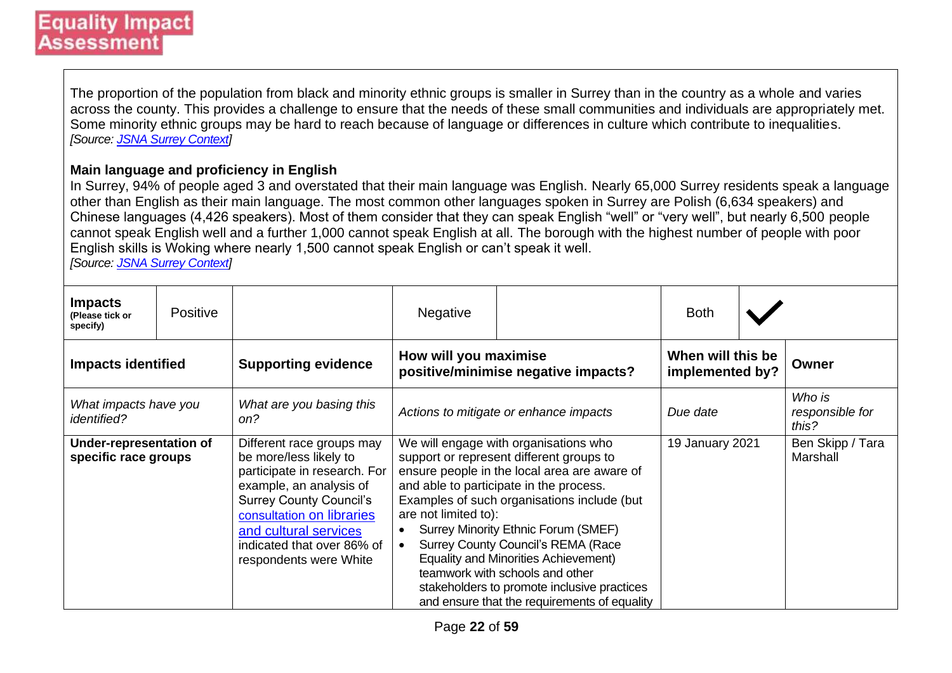The proportion of the population from black and minority ethnic groups is smaller in Surrey than in the country as a whole and varies across the county. This provides a challenge to ensure that the needs of these small communities and individuals are appropriately met. Some minority ethnic groups may be hard to reach because of language or differences in culture which contribute to inequalities. *[Source: [JSNA Surrey Context\]](https://www.surreyi.gov.uk/jsna/surrey-context/)*

#### **Main language and proficiency in English**

In Surrey, 94% of people aged 3 and overstated that their main language was English. Nearly 65,000 Surrey residents speak a language other than English as their main language. The most common other languages spoken in Surrey are Polish (6,634 speakers) and Chinese languages (4,426 speakers). Most of them consider that they can speak English "well" or "very well", but nearly 6,500 people cannot speak English well and a further 1,000 cannot speak English at all. The borough with the highest number of people with poor English skills is Woking where nearly 1,500 cannot speak English or can't speak it well. *[Source: [JSNA Surrey Context\]](https://www.surreyi.gov.uk/jsna/surrey-context/)*

| <b>Impacts</b><br>(Please tick or<br>specify)   | <b>Positive</b> |                                                                                                                                                                                                                                                                | Negative                                                                                                                                                                                                                                                                                                                                                                                                                                                                                                                              |  | <b>Both</b>                          |                                    |                              |
|-------------------------------------------------|-----------------|----------------------------------------------------------------------------------------------------------------------------------------------------------------------------------------------------------------------------------------------------------------|---------------------------------------------------------------------------------------------------------------------------------------------------------------------------------------------------------------------------------------------------------------------------------------------------------------------------------------------------------------------------------------------------------------------------------------------------------------------------------------------------------------------------------------|--|--------------------------------------|------------------------------------|------------------------------|
| <b>Impacts identified</b>                       |                 | <b>Supporting evidence</b>                                                                                                                                                                                                                                     | How will you maximise<br>positive/minimise negative impacts?                                                                                                                                                                                                                                                                                                                                                                                                                                                                          |  | When will this be<br>implemented by? |                                    | Owner                        |
| What impacts have you<br><i>identified?</i>     |                 | What are you basing this<br>on?                                                                                                                                                                                                                                | Actions to mitigate or enhance impacts<br>Due date                                                                                                                                                                                                                                                                                                                                                                                                                                                                                    |  |                                      | Who is<br>responsible for<br>this? |                              |
| Under-representation of<br>specific race groups |                 | Different race groups may<br>be more/less likely to<br>participate in research. For<br>example, an analysis of<br><b>Surrey County Council's</b><br>consultation on libraries<br>and cultural services<br>indicated that over 86% of<br>respondents were White | We will engage with organisations who<br>support or represent different groups to<br>ensure people in the local area are aware of<br>and able to participate in the process.<br>Examples of such organisations include (but<br>are not limited to):<br>Surrey Minority Ethnic Forum (SMEF)<br><b>Surrey County Council's REMA (Race</b><br>$\bullet$<br><b>Equality and Minorities Achievement)</b><br>teamwork with schools and other<br>stakeholders to promote inclusive practices<br>and ensure that the requirements of equality |  | 19 January 2021                      |                                    | Ben Skipp / Tara<br>Marshall |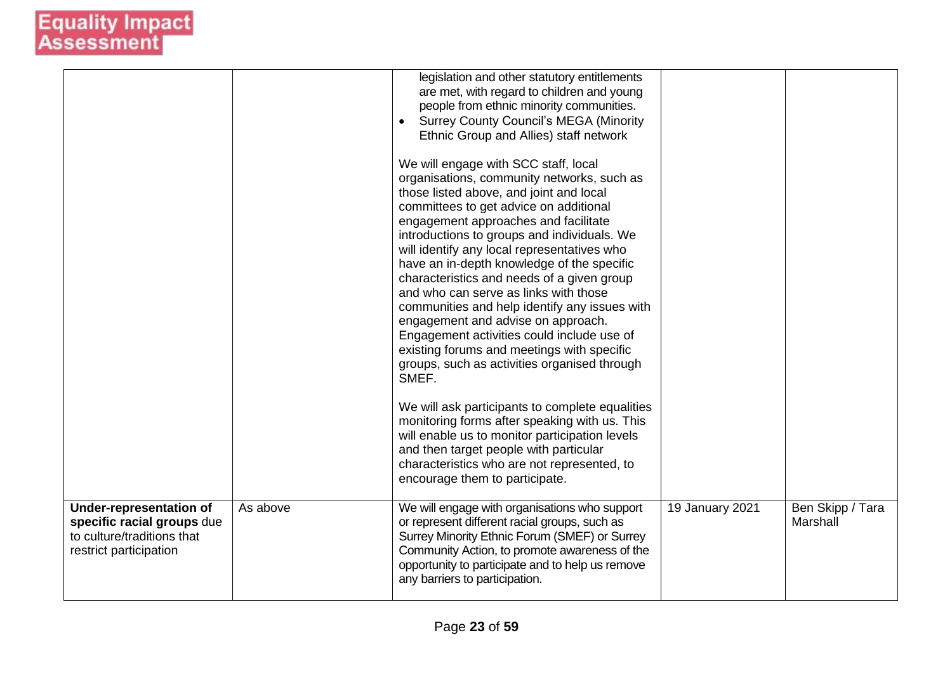|                                                                                                                      |          | legislation and other statutory entitlements<br>are met, with regard to children and young<br>people from ethnic minority communities.<br><b>Surrey County Council's MEGA (Minority</b><br>$\bullet$<br>Ethnic Group and Allies) staff network<br>We will engage with SCC staff, local<br>organisations, community networks, such as<br>those listed above, and joint and local<br>committees to get advice on additional<br>engagement approaches and facilitate<br>introductions to groups and individuals. We<br>will identify any local representatives who<br>have an in-depth knowledge of the specific<br>characteristics and needs of a given group<br>and who can serve as links with those<br>communities and help identify any issues with<br>engagement and advise on approach.<br>Engagement activities could include use of<br>existing forums and meetings with specific<br>groups, such as activities organised through<br>SMEF.<br>We will ask participants to complete equalities<br>monitoring forms after speaking with us. This<br>will enable us to monitor participation levels<br>and then target people with particular<br>characteristics who are not represented, to<br>encourage them to participate. |                 |                              |
|----------------------------------------------------------------------------------------------------------------------|----------|-----------------------------------------------------------------------------------------------------------------------------------------------------------------------------------------------------------------------------------------------------------------------------------------------------------------------------------------------------------------------------------------------------------------------------------------------------------------------------------------------------------------------------------------------------------------------------------------------------------------------------------------------------------------------------------------------------------------------------------------------------------------------------------------------------------------------------------------------------------------------------------------------------------------------------------------------------------------------------------------------------------------------------------------------------------------------------------------------------------------------------------------------------------------------------------------------------------------------------------|-----------------|------------------------------|
| <b>Under-representation of</b><br>specific racial groups due<br>to culture/traditions that<br>restrict participation | As above | We will engage with organisations who support<br>or represent different racial groups, such as<br>Surrey Minority Ethnic Forum (SMEF) or Surrey<br>Community Action, to promote awareness of the<br>opportunity to participate and to help us remove<br>any barriers to participation.                                                                                                                                                                                                                                                                                                                                                                                                                                                                                                                                                                                                                                                                                                                                                                                                                                                                                                                                            | 19 January 2021 | Ben Skipp / Tara<br>Marshall |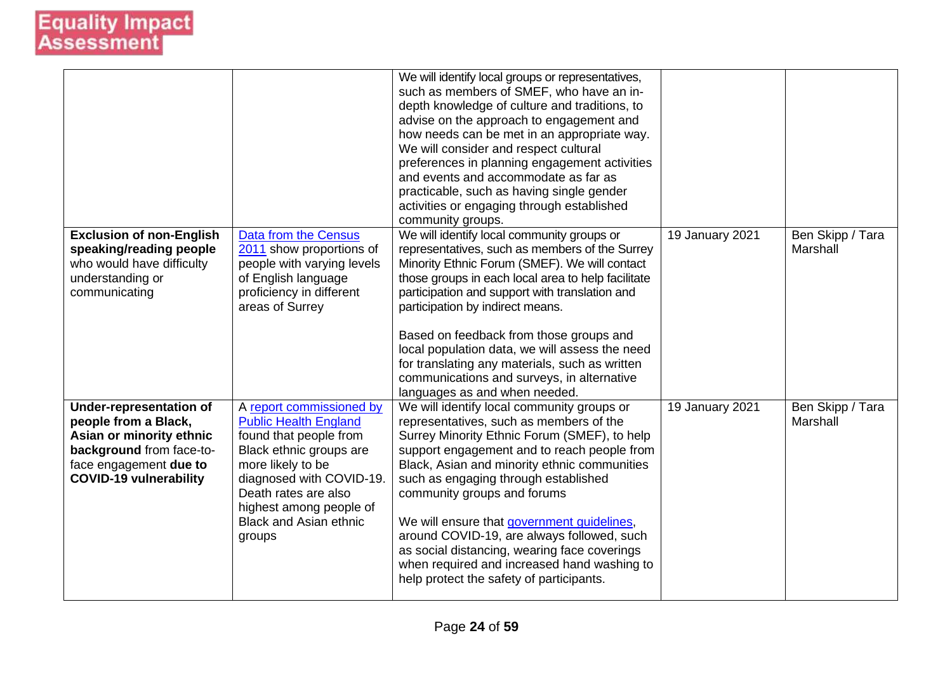|                                                                                                                                                                           |                                                                                                                                                                                                                                                              | We will identify local groups or representatives,<br>such as members of SMEF, who have an in-<br>depth knowledge of culture and traditions, to<br>advise on the approach to engagement and<br>how needs can be met in an appropriate way.<br>We will consider and respect cultural<br>preferences in planning engagement activities<br>and events and accommodate as far as<br>practicable, such as having single gender<br>activities or engaging through established<br>community groups.                                                        |                 |                              |
|---------------------------------------------------------------------------------------------------------------------------------------------------------------------------|--------------------------------------------------------------------------------------------------------------------------------------------------------------------------------------------------------------------------------------------------------------|----------------------------------------------------------------------------------------------------------------------------------------------------------------------------------------------------------------------------------------------------------------------------------------------------------------------------------------------------------------------------------------------------------------------------------------------------------------------------------------------------------------------------------------------------|-----------------|------------------------------|
| <b>Exclusion of non-English</b><br>speaking/reading people<br>who would have difficulty<br>understanding or<br>communicating                                              | Data from the Census<br>2011 show proportions of<br>people with varying levels<br>of English language<br>proficiency in different<br>areas of Surrey                                                                                                         | We will identify local community groups or<br>representatives, such as members of the Surrey<br>Minority Ethnic Forum (SMEF). We will contact<br>those groups in each local area to help facilitate<br>participation and support with translation and<br>participation by indirect means.<br>Based on feedback from those groups and<br>local population data, we will assess the need<br>for translating any materials, such as written<br>communications and surveys, in alternative<br>languages as and when needed.                            | 19 January 2021 | Ben Skipp / Tara<br>Marshall |
| <b>Under-representation of</b><br>people from a Black,<br>Asian or minority ethnic<br>background from face-to-<br>face engagement due to<br><b>COVID-19 vulnerability</b> | A report commissioned by<br><b>Public Health England</b><br>found that people from<br>Black ethnic groups are<br>more likely to be<br>diagnosed with COVID-19.<br>Death rates are also<br>highest among people of<br><b>Black and Asian ethnic</b><br>groups | We will identify local community groups or<br>representatives, such as members of the<br>Surrey Minority Ethnic Forum (SMEF), to help<br>support engagement and to reach people from<br>Black, Asian and minority ethnic communities<br>such as engaging through established<br>community groups and forums<br>We will ensure that government guidelines,<br>around COVID-19, are always followed, such<br>as social distancing, wearing face coverings<br>when required and increased hand washing to<br>help protect the safety of participants. | 19 January 2021 | Ben Skipp / Tara<br>Marshall |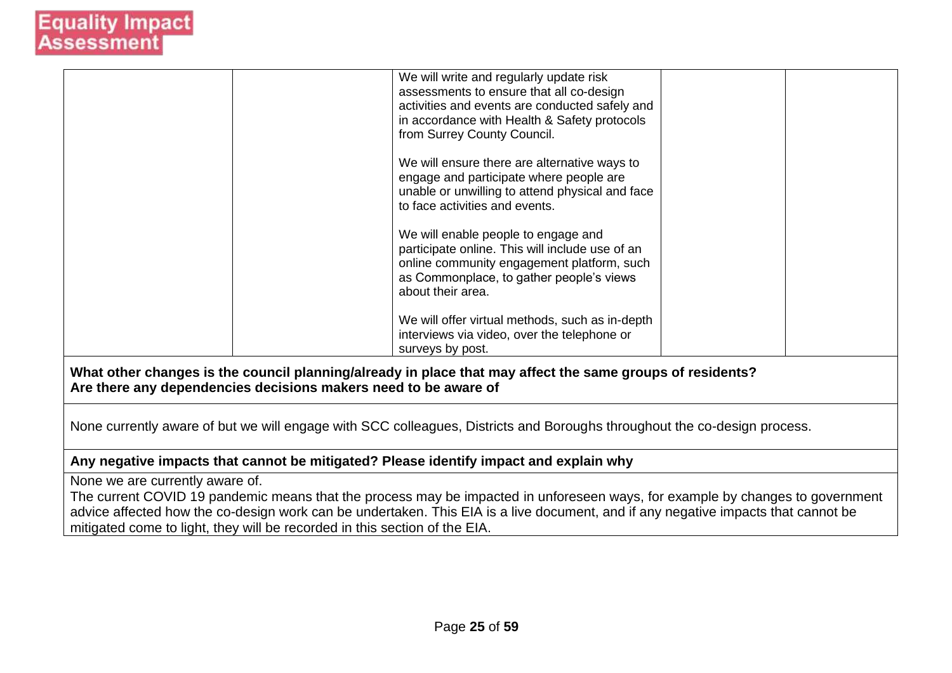|                                                                                                                                                                              |  | We will write and regularly update risk<br>assessments to ensure that all co-design<br>activities and events are conducted safely and |  |  |  |  |
|------------------------------------------------------------------------------------------------------------------------------------------------------------------------------|--|---------------------------------------------------------------------------------------------------------------------------------------|--|--|--|--|
|                                                                                                                                                                              |  | in accordance with Health & Safety protocols                                                                                          |  |  |  |  |
|                                                                                                                                                                              |  | from Surrey County Council.                                                                                                           |  |  |  |  |
|                                                                                                                                                                              |  |                                                                                                                                       |  |  |  |  |
|                                                                                                                                                                              |  | We will ensure there are alternative ways to                                                                                          |  |  |  |  |
|                                                                                                                                                                              |  | engage and participate where people are                                                                                               |  |  |  |  |
|                                                                                                                                                                              |  | unable or unwilling to attend physical and face                                                                                       |  |  |  |  |
|                                                                                                                                                                              |  | to face activities and events.                                                                                                        |  |  |  |  |
|                                                                                                                                                                              |  |                                                                                                                                       |  |  |  |  |
|                                                                                                                                                                              |  | We will enable people to engage and                                                                                                   |  |  |  |  |
|                                                                                                                                                                              |  | participate online. This will include use of an                                                                                       |  |  |  |  |
|                                                                                                                                                                              |  | online community engagement platform, such<br>as Commonplace, to gather people's views                                                |  |  |  |  |
|                                                                                                                                                                              |  | about their area.                                                                                                                     |  |  |  |  |
|                                                                                                                                                                              |  |                                                                                                                                       |  |  |  |  |
|                                                                                                                                                                              |  | We will offer virtual methods, such as in-depth                                                                                       |  |  |  |  |
|                                                                                                                                                                              |  | interviews via video, over the telephone or                                                                                           |  |  |  |  |
|                                                                                                                                                                              |  | surveys by post.                                                                                                                      |  |  |  |  |
| What other changes is the council planning/already in place that may affect the same groups of residents?<br>Are there any dependencies decisions makers need to be aware of |  |                                                                                                                                       |  |  |  |  |
|                                                                                                                                                                              |  |                                                                                                                                       |  |  |  |  |
| None currently aware of but we will engage with SCC colleagues, Districts and Boroughs throughout the co-design process.                                                     |  |                                                                                                                                       |  |  |  |  |
| Any negative impacts that cannot be mitigated? Please identify impact and explain why                                                                                        |  |                                                                                                                                       |  |  |  |  |
| None we are currently aware of.                                                                                                                                              |  |                                                                                                                                       |  |  |  |  |
|                                                                                                                                                                              |  |                                                                                                                                       |  |  |  |  |
|                                                                                                                                                                              |  | The current COVID 19 pandemic means that the process may be impacted in unforeseen ways, for example by changes to government         |  |  |  |  |
| advice affected how the co-design work can be undertaken. This EIA is a live document, and if any negative impacts that cannot be                                            |  |                                                                                                                                       |  |  |  |  |

mitigated come to light, they will be recorded in this section of the EIA.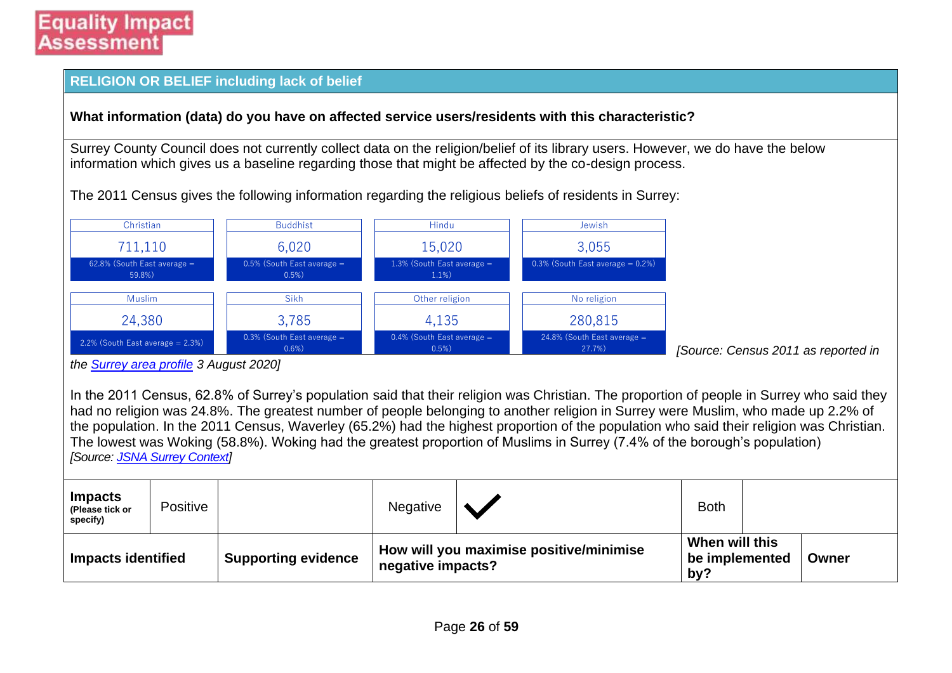#### **RELIGION OR BELIEF including lack of belief**

#### **What information (data) do you have on affected service users/residents with this characteristic?**

Surrey County Council does not currently collect data on the religion/belief of its library users. However, we do have the below information which gives us a baseline regarding those that might be affected by the co-design process.

The 2011 Census gives the following information regarding the religious beliefs of residents in Surrey:



*the [Surrey area profile](https://local.communityinsight.org/reports/1387/LocalInsight-Surrey-ca138790334_8de157a018752049cc9b2af1e0bcc381-20200803131059001.doc) 3 August 2020]*

In the 2011 Census, 62.8% of Surrey's population said that their religion was Christian. The proportion of people in Surrey who said they had no religion was 24.8%. The greatest number of people belonging to another religion in Surrey were Muslim, who made up 2.2% of the population. In the 2011 Census, Waverley (65.2%) had the highest proportion of the population who said their religion was Christian. The lowest was Woking (58.8%). Woking had the greatest proportion of Muslims in Surrey (7.4% of the borough's population) *[Source: [JSNA Surrey Context\]](https://www.surreyi.gov.uk/jsna/surrey-context/)*

| <b>Impacts</b><br>(Please tick or<br>specify) | Positive |                            | <b>Negative</b>                                              |  | <b>Both</b>                             |       |
|-----------------------------------------------|----------|----------------------------|--------------------------------------------------------------|--|-----------------------------------------|-------|
| <b>Impacts identified</b>                     |          | <b>Supporting evidence</b> | How will you maximise positive/minimise<br>negative impacts? |  | When will this<br>be implemented<br>by? | Owner |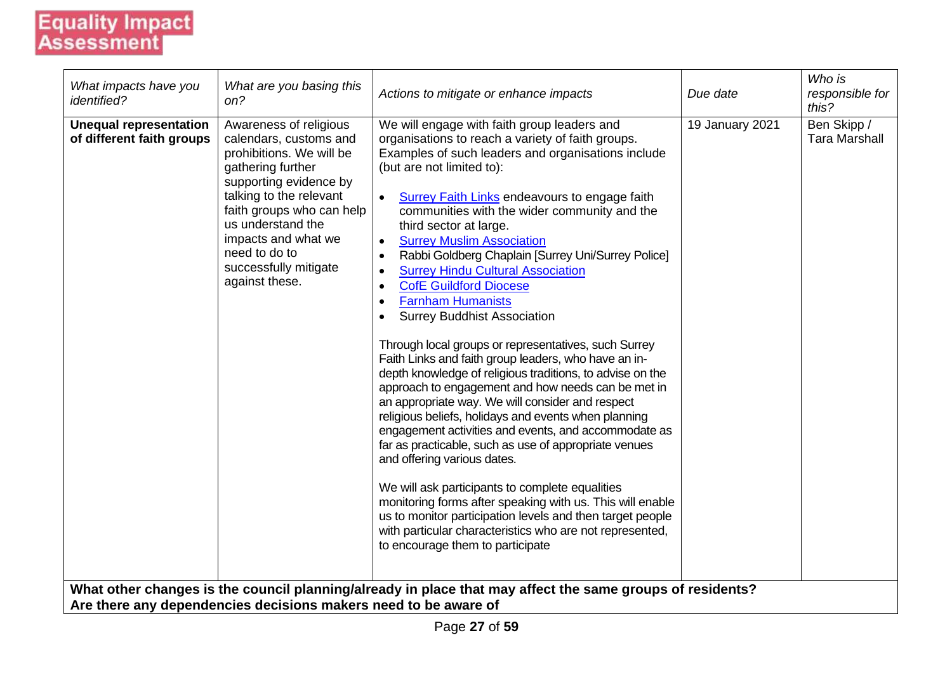| What impacts have you<br>identified?                       | What are you basing this<br>on?                                                                                                                                                                                                                                                             | Actions to mitigate or enhance impacts                                                                                                                                                                                                                                                                                                                                                                                                                                                                                                                                                                                                                                                                                                                                                                                                                                                                                                                                                                                                                                                                                                                                                                                                                                                                                                                                                                                                                                                                                   | Due date        | Who is<br>responsible for<br>this?  |
|------------------------------------------------------------|---------------------------------------------------------------------------------------------------------------------------------------------------------------------------------------------------------------------------------------------------------------------------------------------|--------------------------------------------------------------------------------------------------------------------------------------------------------------------------------------------------------------------------------------------------------------------------------------------------------------------------------------------------------------------------------------------------------------------------------------------------------------------------------------------------------------------------------------------------------------------------------------------------------------------------------------------------------------------------------------------------------------------------------------------------------------------------------------------------------------------------------------------------------------------------------------------------------------------------------------------------------------------------------------------------------------------------------------------------------------------------------------------------------------------------------------------------------------------------------------------------------------------------------------------------------------------------------------------------------------------------------------------------------------------------------------------------------------------------------------------------------------------------------------------------------------------------|-----------------|-------------------------------------|
| <b>Unequal representation</b><br>of different faith groups | Awareness of religious<br>calendars, customs and<br>prohibitions. We will be<br>gathering further<br>supporting evidence by<br>talking to the relevant<br>faith groups who can help<br>us understand the<br>impacts and what we<br>need to do to<br>successfully mitigate<br>against these. | We will engage with faith group leaders and<br>organisations to reach a variety of faith groups.<br>Examples of such leaders and organisations include<br>(but are not limited to):<br><b>Surrey Faith Links endeavours to engage faith</b><br>communities with the wider community and the<br>third sector at large.<br><b>Surrey Muslim Association</b><br>$\bullet$<br>Rabbi Goldberg Chaplain [Surrey Uni/Surrey Police]<br>$\bullet$<br><b>Surrey Hindu Cultural Association</b><br>$\bullet$<br><b>CofE Guildford Diocese</b><br>$\bullet$<br><b>Farnham Humanists</b><br>$\bullet$<br><b>Surrey Buddhist Association</b><br>Through local groups or representatives, such Surrey<br>Faith Links and faith group leaders, who have an in-<br>depth knowledge of religious traditions, to advise on the<br>approach to engagement and how needs can be met in<br>an appropriate way. We will consider and respect<br>religious beliefs, holidays and events when planning<br>engagement activities and events, and accommodate as<br>far as practicable, such as use of appropriate venues<br>and offering various dates.<br>We will ask participants to complete equalities<br>monitoring forms after speaking with us. This will enable<br>us to monitor participation levels and then target people<br>with particular characteristics who are not represented,<br>to encourage them to participate<br>What other changes is the council planning/already in place that may affect the same groups of residents? | 19 January 2021 | Ben Skipp /<br><b>Tara Marshall</b> |
|                                                            | Are there any dependencies decisions makers need to be aware of                                                                                                                                                                                                                             |                                                                                                                                                                                                                                                                                                                                                                                                                                                                                                                                                                                                                                                                                                                                                                                                                                                                                                                                                                                                                                                                                                                                                                                                                                                                                                                                                                                                                                                                                                                          |                 |                                     |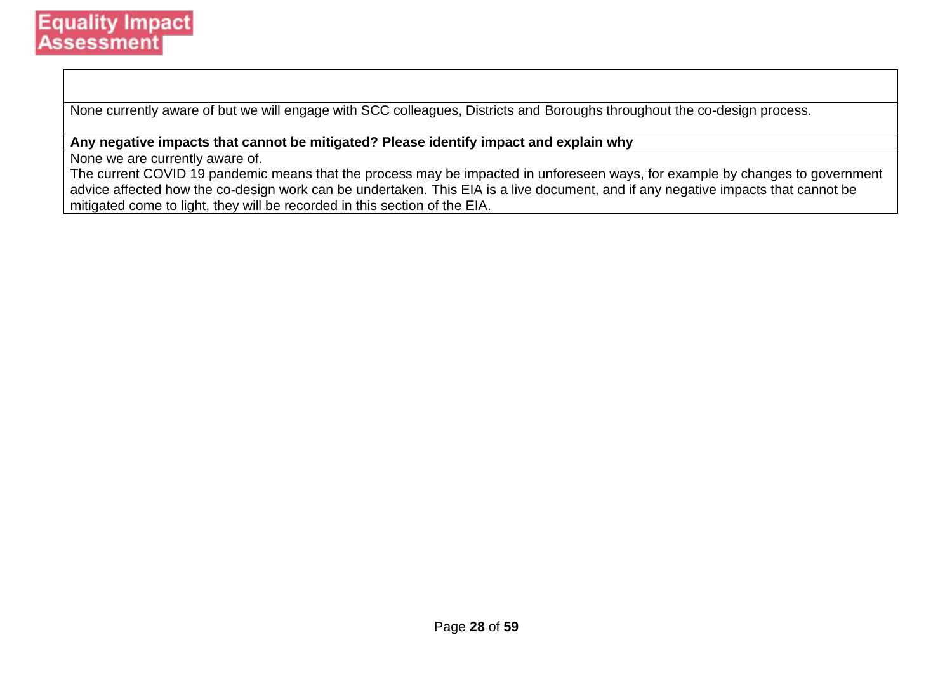None currently aware of but we will engage with SCC colleagues, Districts and Boroughs throughout the co-design process.

#### **Any negative impacts that cannot be mitigated? Please identify impact and explain why**

None we are currently aware of.

The current COVID 19 pandemic means that the process may be impacted in unforeseen ways, for example by changes to government advice affected how the co-design work can be undertaken. This EIA is a live document, and if any negative impacts that cannot be mitigated come to light, they will be recorded in this section of the EIA.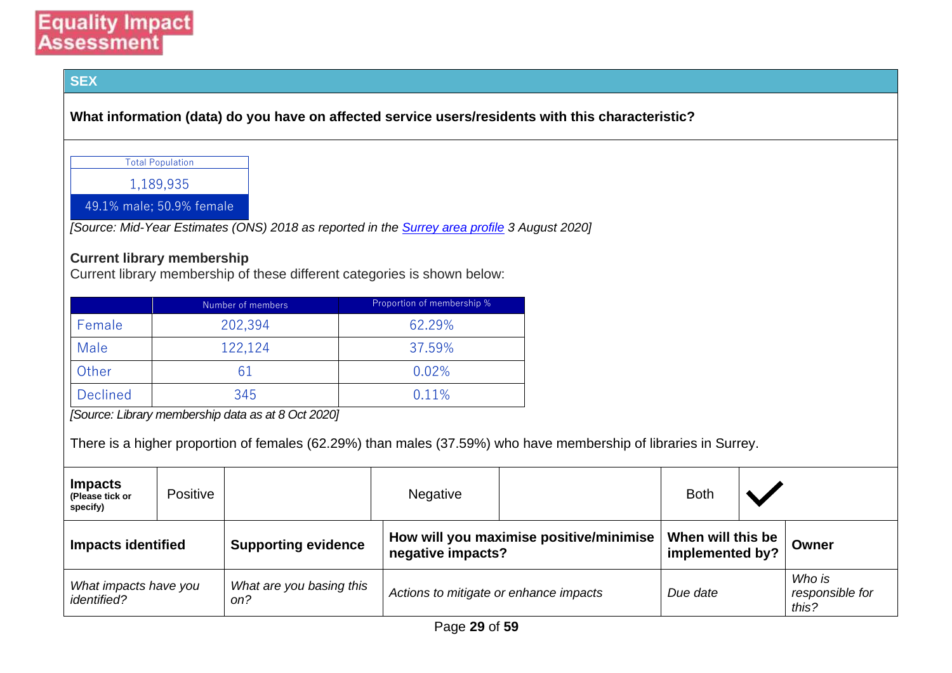#### **SEX**

**What information (data) do you have on affected service users/residents with this characteristic?**

Total Population

1,189,935

49.1% male; 50.9% female

*[Source: Mid-Year Estimates (ONS) 2018 as reported in the [Surrey area profile](https://local.communityinsight.org/reports/1387/LocalInsight-Surrey-ca138790334_8de157a018752049cc9b2af1e0bcc381-20200803131059001.doc) 3 August 2020]*

#### **Current library membership**

Current library membership of these different categories is shown below:

|                 | Number of members | Proportion of membership % |
|-----------------|-------------------|----------------------------|
| Female          | 202,394           | 62.29%                     |
| Male            | 122,124           | 37.59%                     |
| Other           |                   | 0.02%                      |
| <b>Declined</b> | 345               | 0.11%                      |

*[Source: Library membership data as at 8 Oct 2020]*

There is a higher proportion of females (62.29%) than males (37.59%) who have membership of libraries in Surrey.

| <b>Impacts</b><br>(Please tick or<br>specify) | Positive |                                 | <b>Negative</b>                        |                                         | <b>Both</b>                          |                                    |
|-----------------------------------------------|----------|---------------------------------|----------------------------------------|-----------------------------------------|--------------------------------------|------------------------------------|
| <b>Impacts identified</b>                     |          | <b>Supporting evidence</b>      | negative impacts?                      | How will you maximise positive/minimise | When will this be<br>implemented by? | Owner                              |
| What impacts have you<br><i>identified?</i>   |          | What are you basing this<br>on? | Actions to mitigate or enhance impacts |                                         | Due date                             | Who is<br>responsible for<br>this? |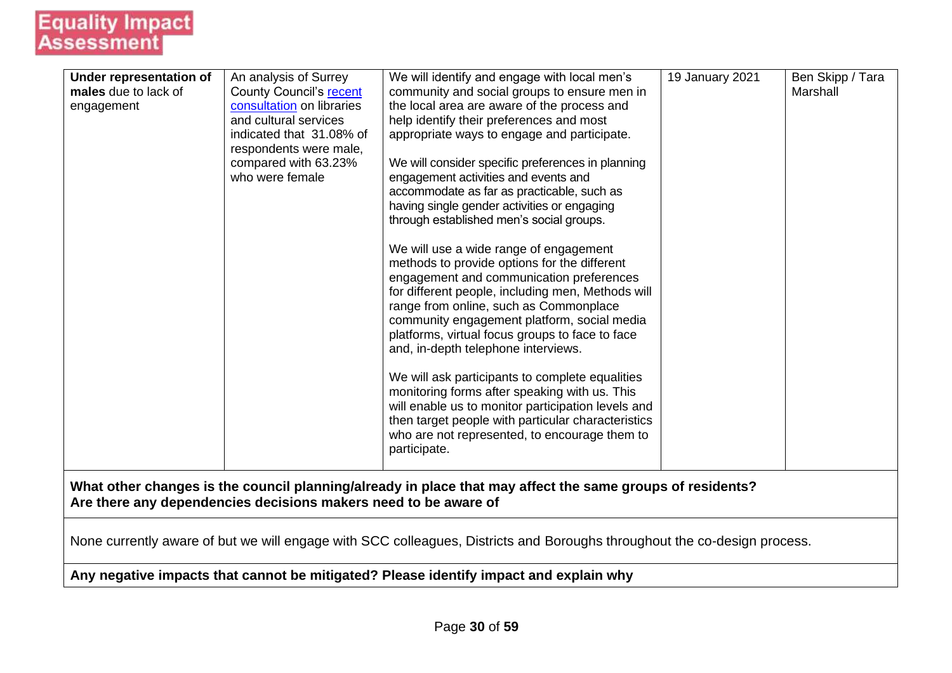| Under representation of | An analysis of Surrey                                           | We will identify and engage with local men's                                                                             | 19 January 2021 | Ben Skipp / Tara |
|-------------------------|-----------------------------------------------------------------|--------------------------------------------------------------------------------------------------------------------------|-----------------|------------------|
| males due to lack of    | <b>County Council's recent</b>                                  | community and social groups to ensure men in                                                                             |                 | Marshall         |
| engagement              | consultation on libraries                                       | the local area are aware of the process and                                                                              |                 |                  |
|                         | and cultural services                                           | help identify their preferences and most                                                                                 |                 |                  |
|                         | indicated that 31.08% of                                        | appropriate ways to engage and participate.                                                                              |                 |                  |
|                         | respondents were male,                                          |                                                                                                                          |                 |                  |
|                         | compared with 63.23%                                            | We will consider specific preferences in planning                                                                        |                 |                  |
|                         | who were female                                                 | engagement activities and events and                                                                                     |                 |                  |
|                         |                                                                 | accommodate as far as practicable, such as                                                                               |                 |                  |
|                         |                                                                 | having single gender activities or engaging                                                                              |                 |                  |
|                         |                                                                 | through established men's social groups.                                                                                 |                 |                  |
|                         |                                                                 | We will use a wide range of engagement                                                                                   |                 |                  |
|                         |                                                                 | methods to provide options for the different                                                                             |                 |                  |
|                         |                                                                 | engagement and communication preferences                                                                                 |                 |                  |
|                         |                                                                 | for different people, including men, Methods will                                                                        |                 |                  |
|                         |                                                                 | range from online, such as Commonplace                                                                                   |                 |                  |
|                         |                                                                 | community engagement platform, social media                                                                              |                 |                  |
|                         |                                                                 | platforms, virtual focus groups to face to face                                                                          |                 |                  |
|                         |                                                                 | and, in-depth telephone interviews.                                                                                      |                 |                  |
|                         |                                                                 | We will ask participants to complete equalities                                                                          |                 |                  |
|                         |                                                                 | monitoring forms after speaking with us. This                                                                            |                 |                  |
|                         |                                                                 | will enable us to monitor participation levels and                                                                       |                 |                  |
|                         |                                                                 | then target people with particular characteristics                                                                       |                 |                  |
|                         |                                                                 | who are not represented, to encourage them to                                                                            |                 |                  |
|                         |                                                                 | participate.                                                                                                             |                 |                  |
|                         |                                                                 | What other changes is the council planning/already in place that may affect the same groups of residents?                |                 |                  |
|                         | Are there any dependencies decisions makers need to be aware of |                                                                                                                          |                 |                  |
|                         |                                                                 |                                                                                                                          |                 |                  |
|                         |                                                                 | None currently aware of but we will engage with SCC colleagues, Districts and Boroughs throughout the co-design process. |                 |                  |
|                         |                                                                 | Any negative impacts that cannot be mitigated? Please identify impact and explain why                                    |                 |                  |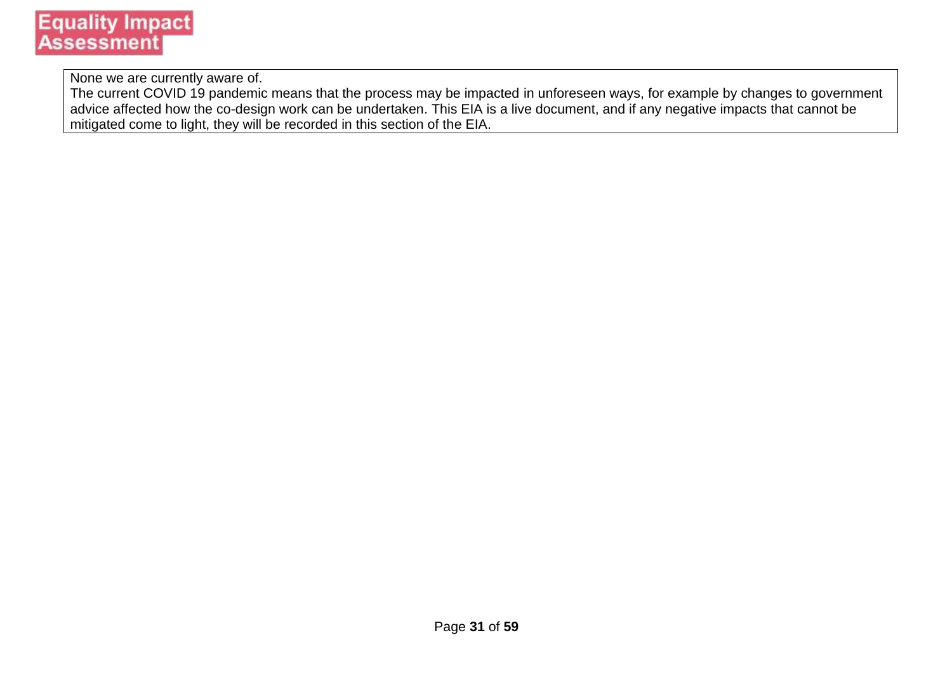None we are currently aware of.

The current COVID 19 pandemic means that the process may be impacted in unforeseen ways, for example by changes to government advice affected how the co-design work can be undertaken. This EIA is a live document, and if any negative impacts that cannot be mitigated come to light, they will be recorded in this section of the EIA.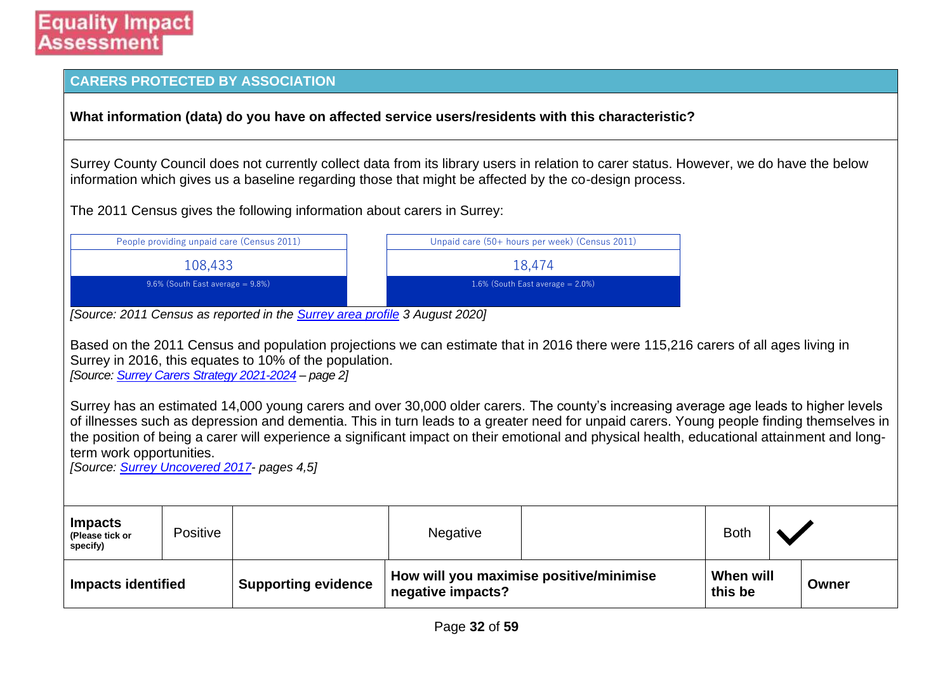|                                               |                                            | <b>CARERS PROTECTED BY ASSOCIATION</b>                                                                                                                              |                   |                                                                                                                                                                                                                                                                                                                                                                                                                                                                                                                                                                     |                      |       |
|-----------------------------------------------|--------------------------------------------|---------------------------------------------------------------------------------------------------------------------------------------------------------------------|-------------------|---------------------------------------------------------------------------------------------------------------------------------------------------------------------------------------------------------------------------------------------------------------------------------------------------------------------------------------------------------------------------------------------------------------------------------------------------------------------------------------------------------------------------------------------------------------------|----------------------|-------|
|                                               |                                            |                                                                                                                                                                     |                   | What information (data) do you have on affected service users/residents with this characteristic?                                                                                                                                                                                                                                                                                                                                                                                                                                                                   |                      |       |
|                                               |                                            |                                                                                                                                                                     |                   | Surrey County Council does not currently collect data from its library users in relation to carer status. However, we do have the below<br>information which gives us a baseline regarding those that might be affected by the co-design process.                                                                                                                                                                                                                                                                                                                   |                      |       |
|                                               |                                            | The 2011 Census gives the following information about carers in Surrey:                                                                                             |                   |                                                                                                                                                                                                                                                                                                                                                                                                                                                                                                                                                                     |                      |       |
|                                               | People providing unpaid care (Census 2011) |                                                                                                                                                                     |                   | Unpaid care (50+ hours per week) (Census 2011)                                                                                                                                                                                                                                                                                                                                                                                                                                                                                                                      |                      |       |
|                                               | 108,433                                    |                                                                                                                                                                     |                   | 18,474                                                                                                                                                                                                                                                                                                                                                                                                                                                                                                                                                              |                      |       |
|                                               | 9.6% (South East average = 9.8%)           |                                                                                                                                                                     |                   | 1.6% (South East average $= 2.0\%)$                                                                                                                                                                                                                                                                                                                                                                                                                                                                                                                                 |                      |       |
|                                               |                                            | [Source: 2011 Census as reported in the <b>Surrey area profile</b> 3 August 2020]                                                                                   |                   |                                                                                                                                                                                                                                                                                                                                                                                                                                                                                                                                                                     |                      |       |
| term work opportunities.                      |                                            | Surrey in 2016, this equates to 10% of the population.<br>[Source: Surrey Carers Strategy 2021-2024 - page 2]<br>[Source: <b>Surrey Uncovered 2017</b> - pages 4,5] |                   | Based on the 2011 Census and population projections we can estimate that in 2016 there were 115,216 carers of all ages living in<br>Surrey has an estimated 14,000 young carers and over 30,000 older carers. The county's increasing average age leads to higher levels<br>of illnesses such as depression and dementia. This in turn leads to a greater need for unpaid carers. Young people finding themselves in<br>the position of being a carer will experience a significant impact on their emotional and physical health, educational attainment and long- |                      |       |
| <b>Impacts</b><br>(Please tick or<br>specify) | Positive                                   |                                                                                                                                                                     | Negative          |                                                                                                                                                                                                                                                                                                                                                                                                                                                                                                                                                                     | <b>Both</b>          |       |
| <b>Impacts identified</b>                     |                                            | <b>Supporting evidence</b>                                                                                                                                          | negative impacts? | How will you maximise positive/minimise                                                                                                                                                                                                                                                                                                                                                                                                                                                                                                                             | When will<br>this be | Owner |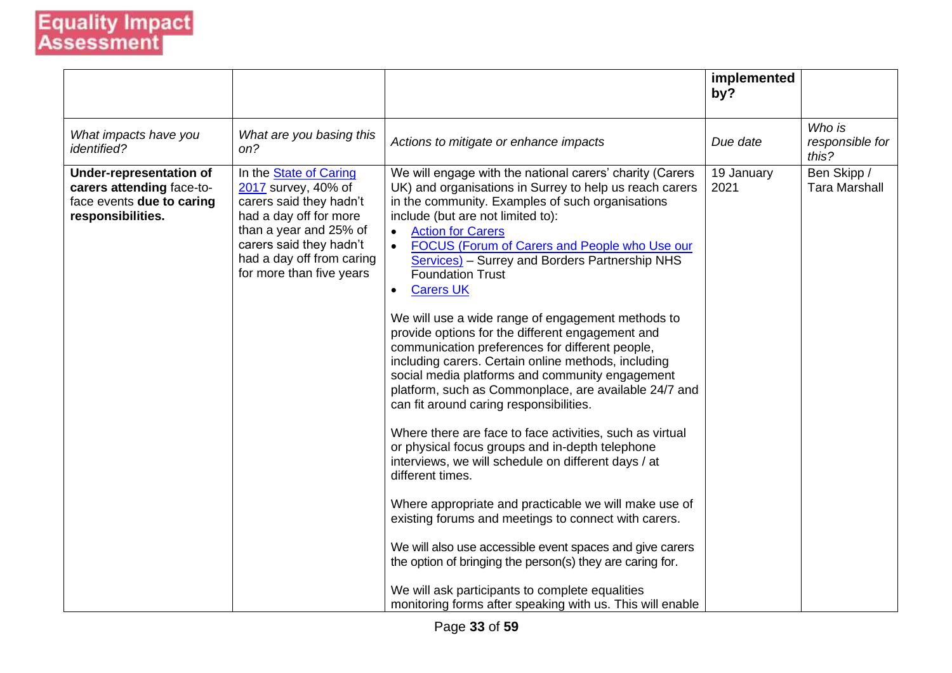|                                                                                                               |                                                                                                                                                                                                                         |                                                                                                                                                                                                                                                                                                                                                                                                                                                                                                                                                                                                                                                                                                                                                                                                                                                                                                                                                                                                                                                                                                                                                                                                                                                                                                                                                            | implemented<br>by? |                                     |
|---------------------------------------------------------------------------------------------------------------|-------------------------------------------------------------------------------------------------------------------------------------------------------------------------------------------------------------------------|------------------------------------------------------------------------------------------------------------------------------------------------------------------------------------------------------------------------------------------------------------------------------------------------------------------------------------------------------------------------------------------------------------------------------------------------------------------------------------------------------------------------------------------------------------------------------------------------------------------------------------------------------------------------------------------------------------------------------------------------------------------------------------------------------------------------------------------------------------------------------------------------------------------------------------------------------------------------------------------------------------------------------------------------------------------------------------------------------------------------------------------------------------------------------------------------------------------------------------------------------------------------------------------------------------------------------------------------------------|--------------------|-------------------------------------|
| What impacts have you<br><i>identified?</i>                                                                   | What are you basing this<br>on?                                                                                                                                                                                         | Actions to mitigate or enhance impacts                                                                                                                                                                                                                                                                                                                                                                                                                                                                                                                                                                                                                                                                                                                                                                                                                                                                                                                                                                                                                                                                                                                                                                                                                                                                                                                     | Due date           | Who is<br>responsible for<br>this?  |
| <b>Under-representation of</b><br>carers attending face-to-<br>face events due to caring<br>responsibilities. | In the <b>State of Caring</b><br>2017 survey, 40% of<br>carers said they hadn't<br>had a day off for more<br>than a year and 25% of<br>carers said they hadn't<br>had a day off from caring<br>for more than five years | We will engage with the national carers' charity (Carers<br>UK) and organisations in Surrey to help us reach carers<br>in the community. Examples of such organisations<br>include (but are not limited to):<br><b>Action for Carers</b><br>$\bullet$<br>FOCUS (Forum of Carers and People who Use our<br><b>Services</b> ) – Surrey and Borders Partnership NHS<br><b>Foundation Trust</b><br><b>Carers UK</b><br>$\bullet$<br>We will use a wide range of engagement methods to<br>provide options for the different engagement and<br>communication preferences for different people,<br>including carers. Certain online methods, including<br>social media platforms and community engagement<br>platform, such as Commonplace, are available 24/7 and<br>can fit around caring responsibilities.<br>Where there are face to face activities, such as virtual<br>or physical focus groups and in-depth telephone<br>interviews, we will schedule on different days / at<br>different times.<br>Where appropriate and practicable we will make use of<br>existing forums and meetings to connect with carers.<br>We will also use accessible event spaces and give carers<br>the option of bringing the person(s) they are caring for.<br>We will ask participants to complete equalities<br>monitoring forms after speaking with us. This will enable | 19 January<br>2021 | Ben Skipp /<br><b>Tara Marshall</b> |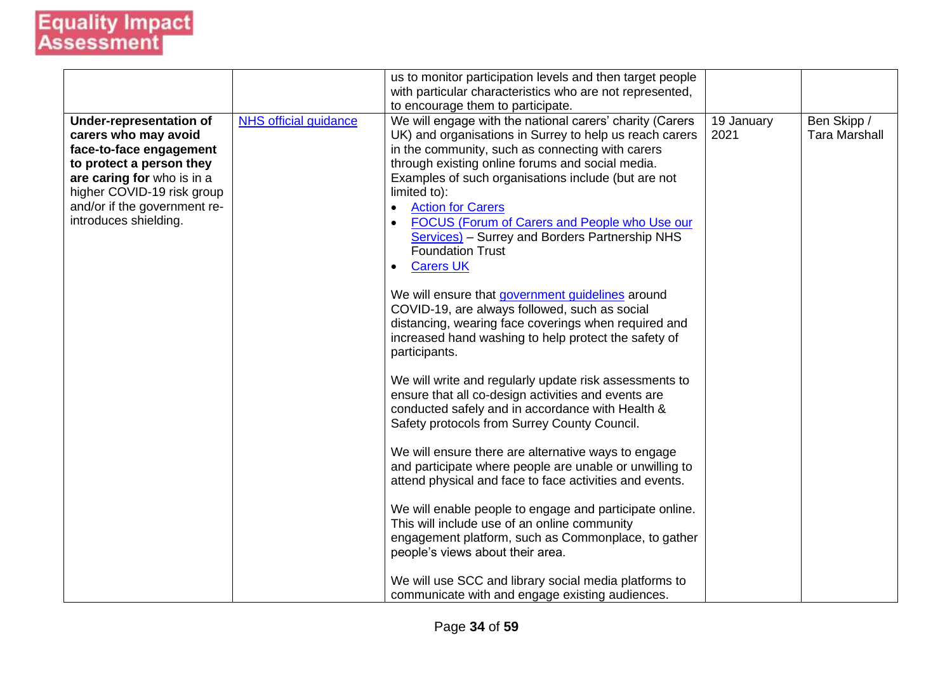|                                                                                                                                                                                                                                    |                              | us to monitor participation levels and then target people<br>with particular characteristics who are not represented,                                                                                                                                                                                                                                                                                                                                                                                                                                                                                                                                                                                                                                                                                                                                                                                                                                                                                                                                                                                                                                                                                                                                                                                                                                                                         |                    |                                     |
|------------------------------------------------------------------------------------------------------------------------------------------------------------------------------------------------------------------------------------|------------------------------|-----------------------------------------------------------------------------------------------------------------------------------------------------------------------------------------------------------------------------------------------------------------------------------------------------------------------------------------------------------------------------------------------------------------------------------------------------------------------------------------------------------------------------------------------------------------------------------------------------------------------------------------------------------------------------------------------------------------------------------------------------------------------------------------------------------------------------------------------------------------------------------------------------------------------------------------------------------------------------------------------------------------------------------------------------------------------------------------------------------------------------------------------------------------------------------------------------------------------------------------------------------------------------------------------------------------------------------------------------------------------------------------------|--------------------|-------------------------------------|
| <b>Under-representation of</b><br>carers who may avoid<br>face-to-face engagement<br>to protect a person they<br>are caring for who is in a<br>higher COVID-19 risk group<br>and/or if the government re-<br>introduces shielding. | <b>NHS official guidance</b> | to encourage them to participate.<br>We will engage with the national carers' charity (Carers<br>UK) and organisations in Surrey to help us reach carers<br>in the community, such as connecting with carers<br>through existing online forums and social media.<br>Examples of such organisations include (but are not<br>limited to):<br><b>Action for Carers</b><br>$\bullet$<br>FOCUS (Forum of Carers and People who Use our<br>Services) - Surrey and Borders Partnership NHS<br><b>Foundation Trust</b><br><b>Carers UK</b><br>$\bullet$<br>We will ensure that government guidelines around<br>COVID-19, are always followed, such as social<br>distancing, wearing face coverings when required and<br>increased hand washing to help protect the safety of<br>participants.<br>We will write and regularly update risk assessments to<br>ensure that all co-design activities and events are<br>conducted safely and in accordance with Health &<br>Safety protocols from Surrey County Council.<br>We will ensure there are alternative ways to engage<br>and participate where people are unable or unwilling to<br>attend physical and face to face activities and events.<br>We will enable people to engage and participate online.<br>This will include use of an online community<br>engagement platform, such as Commonplace, to gather<br>people's views about their area. | 19 January<br>2021 | Ben Skipp /<br><b>Tara Marshall</b> |
|                                                                                                                                                                                                                                    |                              | We will use SCC and library social media platforms to<br>communicate with and engage existing audiences.                                                                                                                                                                                                                                                                                                                                                                                                                                                                                                                                                                                                                                                                                                                                                                                                                                                                                                                                                                                                                                                                                                                                                                                                                                                                                      |                    |                                     |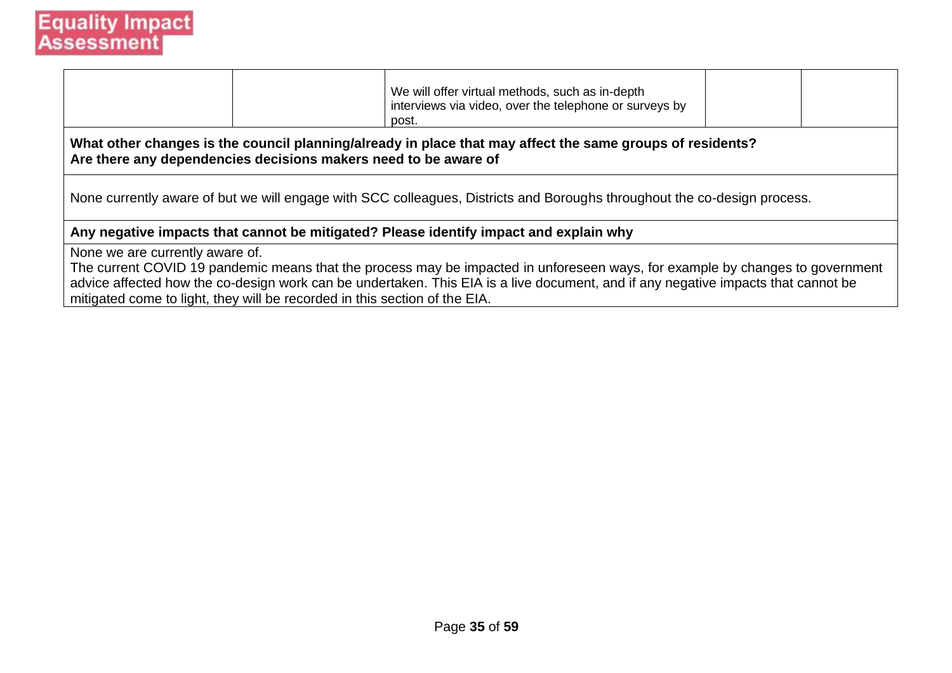|                                                                                                               | We will offer virtual methods, such as in-depth<br>interviews via video, over the telephone or surveys by<br>post.                                                                                                                                                 |  |
|---------------------------------------------------------------------------------------------------------------|--------------------------------------------------------------------------------------------------------------------------------------------------------------------------------------------------------------------------------------------------------------------|--|
| Are there any dependencies decisions makers need to be aware of                                               | What other changes is the council planning/already in place that may affect the same groups of residents?                                                                                                                                                          |  |
|                                                                                                               | None currently aware of but we will engage with SCC colleagues, Districts and Boroughs throughout the co-design process.                                                                                                                                           |  |
|                                                                                                               | Any negative impacts that cannot be mitigated? Please identify impact and explain why                                                                                                                                                                              |  |
| None we are currently aware of.<br>mitigated come to light, they will be recorded in this section of the EIA. | The current COVID 19 pandemic means that the process may be impacted in unforeseen ways, for example by changes to government<br>advice affected how the co-design work can be undertaken. This EIA is a live document, and if any negative impacts that cannot be |  |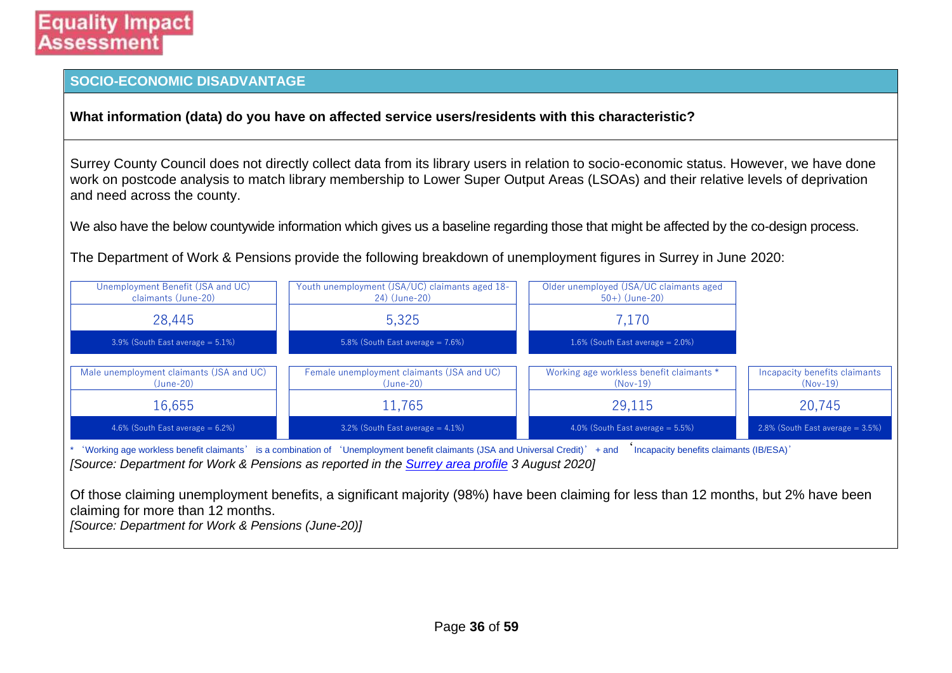#### **SOCIO-ECONOMIC DISADVANTAGE**

**What information (data) do you have on affected service users/residents with this characteristic?**

Surrey County Council does not directly collect data from its library users in relation to socio-economic status. However, we have done work on postcode analysis to match library membership to Lower Super Output Areas (LSOAs) and their relative levels of deprivation and need across the county.

We also have the below countywide information which gives us a baseline regarding those that might be affected by the co-design process.

The Department of Work & Pensions provide the following breakdown of unemployment figures in Surrey in June 2020:

| Unemployment Benefit (JSA and UC)<br>claimants (June-20) | Youth unemployment (JSA/UC) claimants aged 18-<br>24) (June-20)                                                                                                                                                                 | Older unemployed (JSA/UC claimants aged<br>$50+)$ (June-20) |                                           |
|----------------------------------------------------------|---------------------------------------------------------------------------------------------------------------------------------------------------------------------------------------------------------------------------------|-------------------------------------------------------------|-------------------------------------------|
| 28,445                                                   | 5,325                                                                                                                                                                                                                           | 7,170                                                       |                                           |
| $3.9\%$ (South East average = 5.1%)                      | 5.8% (South East average $= 7.6\%)$                                                                                                                                                                                             | 1.6% (South East average $= 2.0\%)$                         |                                           |
| Male unemployment claimants (JSA and UC)<br>$(June-20)$  | Female unemployment claimants (JSA and UC)<br>$(June-20)$                                                                                                                                                                       | Working age workless benefit claimants *<br>$(Nov-19)$      | Incapacity benefits claimants<br>(Nov-19) |
| 16,655                                                   | 11,765                                                                                                                                                                                                                          | 29,115                                                      | 20,745                                    |
| 4.6% (South East average $= 6.2\%)$                      | 3.2% (South East average $= 4.1\%)$                                                                                                                                                                                             | 4.0% (South East average $= 5.5\%)$                         | $2.8\%$ (South East average = 3.5%)       |
|                                                          | 'Working age workless benefit claimants' is a combination of 'Unemployment benefit claimants (JSA and Universal Credit)' + and<br>[Source: Department for Work & Pensions as reported in the Surrey area profile 3 August 2020] | Incapacity benefits claimants (IB/ESA)'                     |                                           |
|                                                          | Of those claiming unemployment benefits, a significant majority (98%) have been claiming for less than 12 months, but 2% have been                                                                                              |                                                             |                                           |

claiming for more than 12 months. *[Source: Department for Work & Pensions (June-20)]*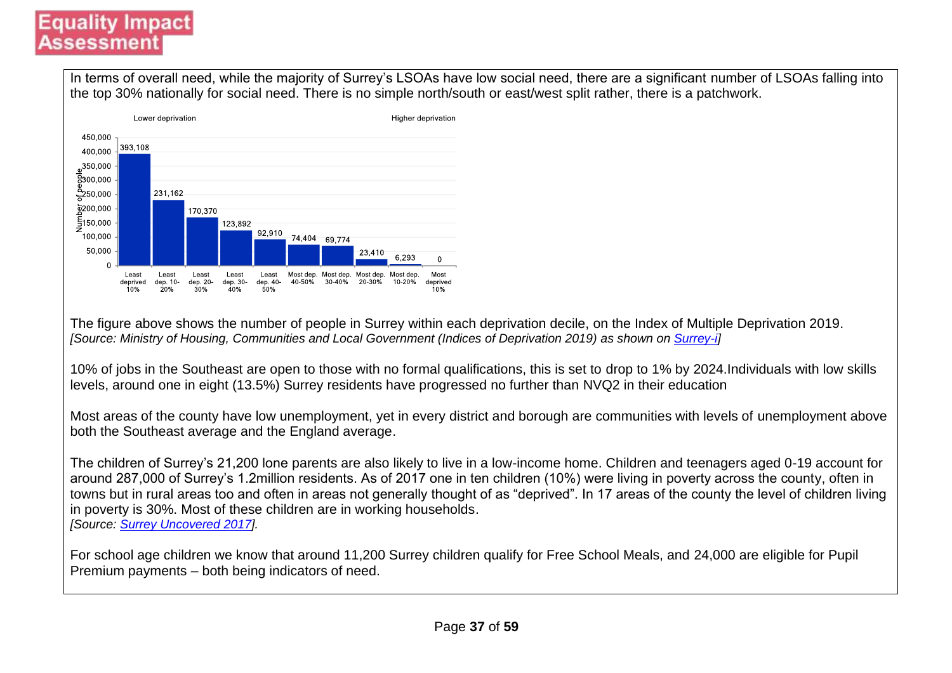In terms of overall need, while the majority of Surrey's LSOAs have low social need, there are a significant number of LSOAs falling into the top 30% nationally for social need. There is no simple north/south or east/west split rather, there is a patchwork.



The figure above shows the number of people in Surrey within each deprivation decile, on the Index of Multiple Deprivation 2019. *[Source: Ministry of Housing, Communities and Local Government (Indices of Deprivation 2019) as shown on [Surrey-i\]](https://www.surreyi.gov.uk/2019/10/29/indices-of-deprivation-2019-for-areas-in-surrey/)*

10% of jobs in the Southeast are open to those with no formal qualifications, this is set to drop to 1% by 2024.Individuals with low skills levels, around one in eight (13.5%) Surrey residents have progressed no further than NVQ2 in their education

Most areas of the county have low unemployment, yet in every district and borough are communities with levels of unemployment above both the Southeast average and the England average.

The children of Surrey's 21,200 lone parents are also likely to live in a low-income home. Children and teenagers aged 0-19 account for around 287,000 of Surrey's 1.2million residents. As of 2017 one in ten children (10%) were living in poverty across the county, often in towns but in rural areas too and often in areas not generally thought of as "deprived". In 17 areas of the county the level of children living in poverty is 30%. Most of these children are in working households. *[Source: [Surrey Uncovered 2017\]](https://www.cfsurrey.org.uk/publication/surrey-uncovered-update/#:~:text=This%20report%20reveals%20the%20reality,philanthropists%20to%20areas%20of%20support.).*

For school age children we know that around 11,200 Surrey children qualify for Free School Meals, and 24,000 are eligible for Pupil Premium payments – both being indicators of need.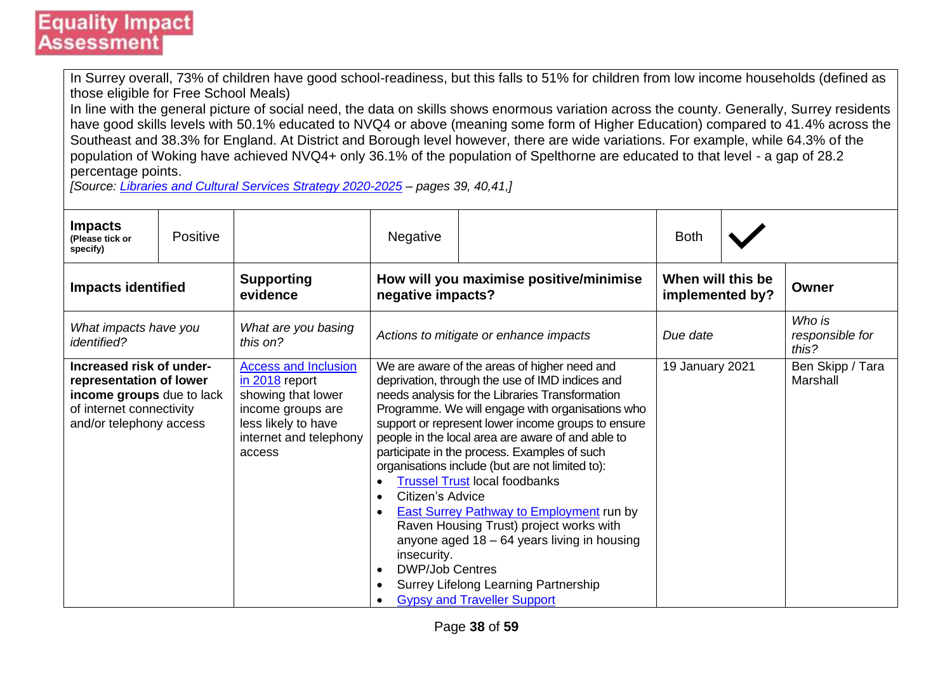In Surrey overall, 73% of children have good school-readiness, but this falls to 51% for children from low income households (defined as those eligible for Free School Meals)

In line with the general picture of social need, the data on skills shows enormous variation across the county. Generally, Surrey residents have good skills levels with 50.1% educated to NVQ4 or above (meaning some form of Higher Education) compared to 41.4% across the Southeast and 38.3% for England. At District and Borough level however, there are wide variations. For example, while 64.3% of the population of Woking have achieved NVQ4+ only 36.1% of the population of Spelthorne are educated to that level - a gap of 28.2 percentage points.

*[Source: [Libraries and Cultural Services Strategy 2020-2025](https://mycouncil.surreycc.gov.uk/documents/s64334/07%20-%20Annex%20A%20Library%20and%20Cultural%20Services%20Strategy%20v0.11%20-%20final.pdf) – pages 39, 40,41,]*

| <b>Impacts</b><br>(Please tick or<br>specify)                                                                                           | <b>Positive</b> |                                                                                                                                                       | <b>Negative</b>                                                                                               |                                                                                                                                                                                                                                                                                                                                                                                                                                                                                                                                                                                                                                                                                           | <b>Both</b>                          |                                    |
|-----------------------------------------------------------------------------------------------------------------------------------------|-----------------|-------------------------------------------------------------------------------------------------------------------------------------------------------|---------------------------------------------------------------------------------------------------------------|-------------------------------------------------------------------------------------------------------------------------------------------------------------------------------------------------------------------------------------------------------------------------------------------------------------------------------------------------------------------------------------------------------------------------------------------------------------------------------------------------------------------------------------------------------------------------------------------------------------------------------------------------------------------------------------------|--------------------------------------|------------------------------------|
| <b>Impacts identified</b>                                                                                                               |                 | <b>Supporting</b><br>evidence                                                                                                                         | negative impacts?                                                                                             | How will you maximise positive/minimise                                                                                                                                                                                                                                                                                                                                                                                                                                                                                                                                                                                                                                                   | When will this be<br>implemented by? | Owner                              |
| What impacts have you<br><i>identified?</i>                                                                                             |                 | What are you basing<br>this on?                                                                                                                       |                                                                                                               | Actions to mitigate or enhance impacts                                                                                                                                                                                                                                                                                                                                                                                                                                                                                                                                                                                                                                                    | Due date                             | Who is<br>responsible for<br>this? |
| Increased risk of under-<br>representation of lower<br>income groups due to lack<br>of internet connectivity<br>and/or telephony access |                 | <b>Access and Inclusion</b><br>$in 2018$ report<br>showing that lower<br>income groups are<br>less likely to have<br>internet and telephony<br>access | Citizen's Advice<br>$\bullet$<br>$\bullet$<br>insecurity.<br><b>DWP/Job Centres</b><br>$\bullet$<br>$\bullet$ | We are aware of the areas of higher need and<br>deprivation, through the use of IMD indices and<br>needs analysis for the Libraries Transformation<br>Programme. We will engage with organisations who<br>support or represent lower income groups to ensure<br>people in the local area are aware of and able to<br>participate in the process. Examples of such<br>organisations include (but are not limited to):<br><b>Trussel Trust local foodbanks</b><br><b>East Surrey Pathway to Employment run by</b><br>Raven Housing Trust) project works with<br>anyone aged $18 - 64$ years living in housing<br>Surrey Lifelong Learning Partnership<br><b>Gypsy and Traveller Support</b> | 19 January 2021                      | Ben Skipp / Tara<br>Marshall       |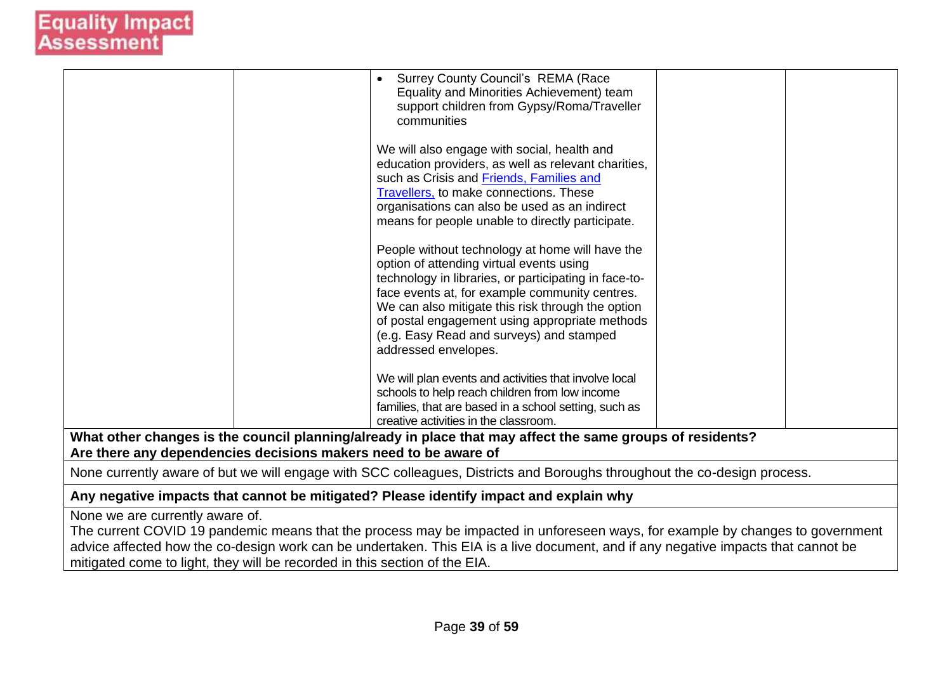|                                                                 | <b>Surrey County Council's REMA (Race</b><br>$\bullet$<br>Equality and Minorities Achievement) team<br>support children from Gypsy/Roma/Traveller<br>communities<br>We will also engage with social, health and |  |
|-----------------------------------------------------------------|-----------------------------------------------------------------------------------------------------------------------------------------------------------------------------------------------------------------|--|
|                                                                 | education providers, as well as relevant charities,                                                                                                                                                             |  |
|                                                                 | such as Crisis and <b>Friends</b> , Families and<br><b>Travellers</b> , to make connections. These                                                                                                              |  |
|                                                                 | organisations can also be used as an indirect                                                                                                                                                                   |  |
|                                                                 | means for people unable to directly participate.                                                                                                                                                                |  |
|                                                                 | People without technology at home will have the<br>option of attending virtual events using                                                                                                                     |  |
|                                                                 | technology in libraries, or participating in face-to-<br>face events at, for example community centres.                                                                                                         |  |
|                                                                 | We can also mitigate this risk through the option                                                                                                                                                               |  |
|                                                                 | of postal engagement using appropriate methods                                                                                                                                                                  |  |
|                                                                 | (e.g. Easy Read and surveys) and stamped<br>addressed envelopes.                                                                                                                                                |  |
|                                                                 |                                                                                                                                                                                                                 |  |
|                                                                 | We will plan events and activities that involve local<br>schools to help reach children from low income                                                                                                         |  |
|                                                                 | families, that are based in a school setting, such as                                                                                                                                                           |  |
|                                                                 | creative activities in the classroom.                                                                                                                                                                           |  |
|                                                                 | What other changes is the council planning/already in place that may affect the same groups of residents?                                                                                                       |  |
| Are there any dependencies decisions makers need to be aware of |                                                                                                                                                                                                                 |  |
|                                                                 | None currently aware of but we will engage with SCC colleagues, Districts and Boroughs throughout the co-design process.                                                                                        |  |
|                                                                 | Any negative impacts that cannot be mitigated? Please identify impact and explain why                                                                                                                           |  |
| None we are currently aware of.                                 |                                                                                                                                                                                                                 |  |
|                                                                 | The current COVID 19 pandemic means that the process may be impacted in unforeseen ways, for example by changes to government                                                                                   |  |

advice affected how the co-design work can be undertaken. This EIA is a live document, and if any negative impacts that cannot be mitigated come to light, they will be recorded in this section of the EIA.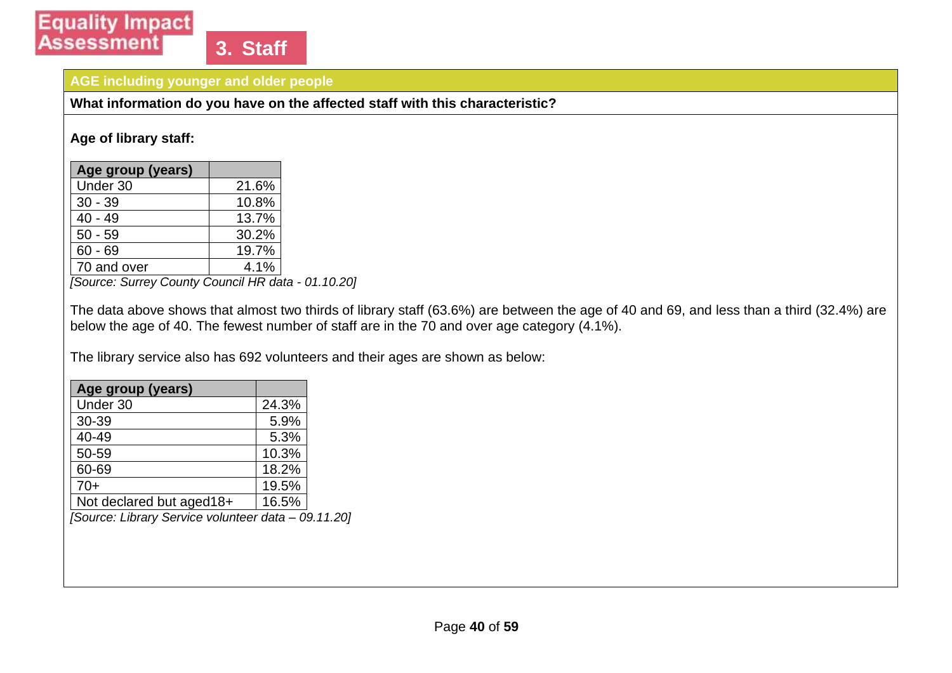#### **AGE including younger and older people**

**What information do you have on the affected staff with this characteristic?**

#### **Age of library staff:**

| Age group (years) |       |
|-------------------|-------|
| Under 30          | 21.6% |
| $30 - 39$         | 10.8% |
| $40 - 49$         | 13.7% |
| $50 - 59$         | 30.2% |
| $60 - 69$         | 19.7% |
| 70 and over       | 4.1%  |

*[Source: Surrey County Council HR data - 01.10.20]*

The data above shows that almost two thirds of library staff (63.6%) are between the age of 40 and 69, and less than a third (32.4%) are below the age of 40. The fewest number of staff are in the 70 and over age category (4.1%).

The library service also has 692 volunteers and their ages are shown as below:

| Age group (years)        |       |
|--------------------------|-------|
| Under 30                 | 24.3% |
| 30-39                    | 5.9%  |
| 40-49                    | 5.3%  |
| 50-59                    | 10.3% |
| 60-69                    | 18.2% |
| $70+$                    | 19.5% |
| Not declared but aged18+ | 16.5% |

*[Source: Library Service volunteer data – 09.11.20]*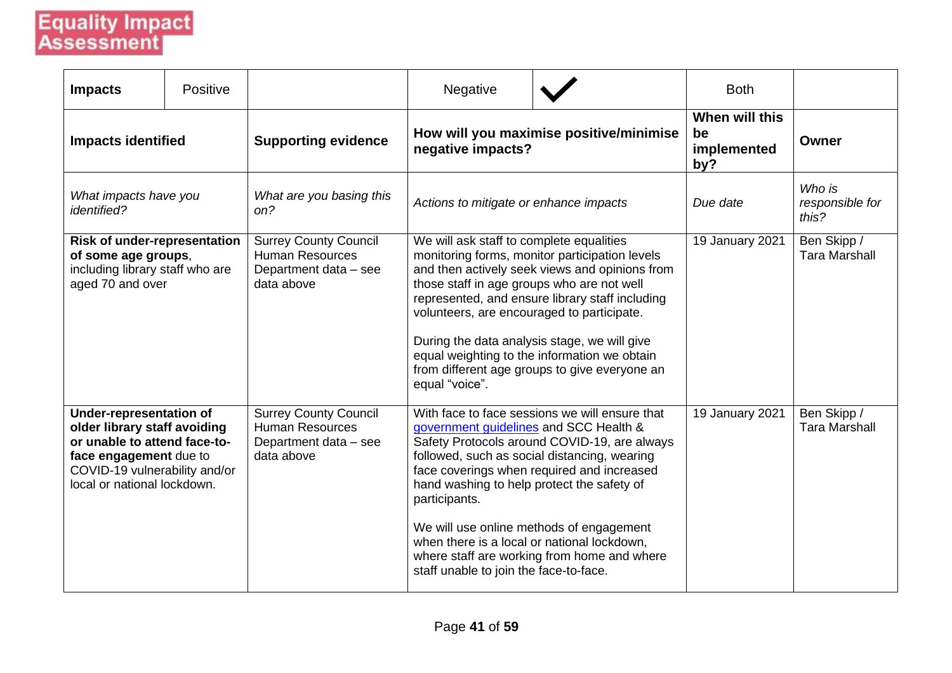| <b>Impacts</b>                                                                                                                                                                           | Positive |                                                                                               | Negative                                                                                                                                                                                                                                                                                                                                                                                                                                                                                  |  | <b>Both</b>                                |                                     |
|------------------------------------------------------------------------------------------------------------------------------------------------------------------------------------------|----------|-----------------------------------------------------------------------------------------------|-------------------------------------------------------------------------------------------------------------------------------------------------------------------------------------------------------------------------------------------------------------------------------------------------------------------------------------------------------------------------------------------------------------------------------------------------------------------------------------------|--|--------------------------------------------|-------------------------------------|
| <b>Impacts identified</b>                                                                                                                                                                |          | <b>Supporting evidence</b>                                                                    | How will you maximise positive/minimise<br>negative impacts?                                                                                                                                                                                                                                                                                                                                                                                                                              |  | When will this<br>be<br>implemented<br>by? | Owner                               |
| What impacts have you<br><i>identified?</i>                                                                                                                                              |          | What are you basing this<br>on?                                                               | Actions to mitigate or enhance impacts                                                                                                                                                                                                                                                                                                                                                                                                                                                    |  | Due date                                   | Who is<br>responsible for<br>this?  |
| <b>Risk of under-representation</b><br>of some age groups,<br>including library staff who are<br>aged 70 and over                                                                        |          | <b>Surrey County Council</b><br><b>Human Resources</b><br>Department data - see<br>data above | We will ask staff to complete equalities<br>monitoring forms, monitor participation levels<br>and then actively seek views and opinions from<br>those staff in age groups who are not well<br>represented, and ensure library staff including<br>volunteers, are encouraged to participate.<br>During the data analysis stage, we will give<br>equal weighting to the information we obtain<br>from different age groups to give everyone an<br>equal "voice".                            |  | 19 January 2021                            | Ben Skipp /<br><b>Tara Marshall</b> |
| <b>Under-representation of</b><br>older library staff avoiding<br>or unable to attend face-to-<br>face engagement due to<br>COVID-19 vulnerability and/or<br>local or national lockdown. |          | <b>Surrey County Council</b><br><b>Human Resources</b><br>Department data - see<br>data above | With face to face sessions we will ensure that<br>government guidelines and SCC Health &<br>Safety Protocols around COVID-19, are always<br>followed, such as social distancing, wearing<br>face coverings when required and increased<br>hand washing to help protect the safety of<br>participants.<br>We will use online methods of engagement<br>when there is a local or national lockdown,<br>where staff are working from home and where<br>staff unable to join the face-to-face. |  | 19 January 2021                            | Ben Skipp /<br><b>Tara Marshall</b> |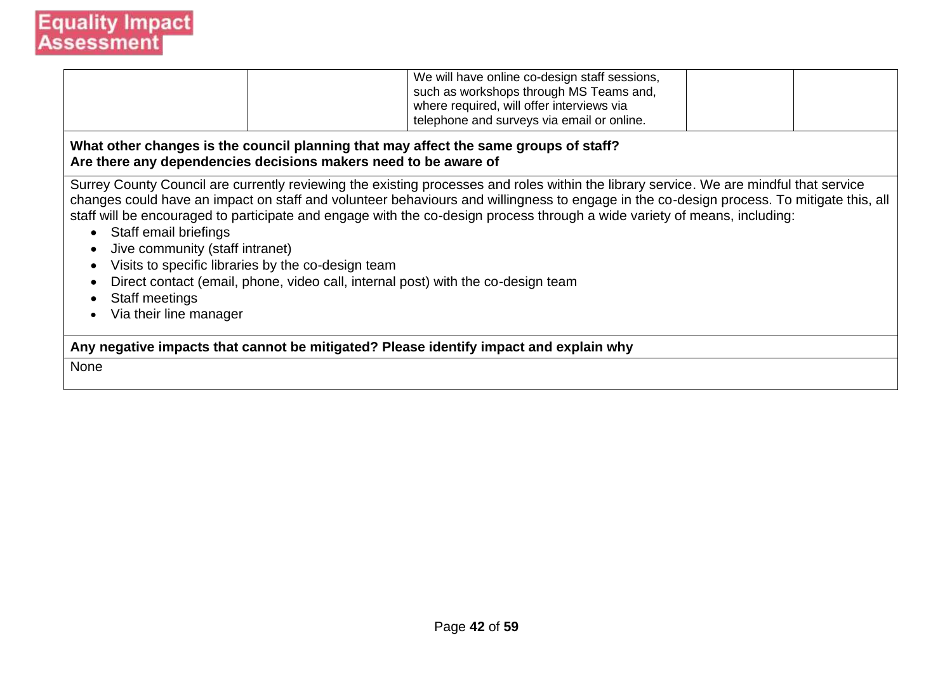|                                                                                                                                                         |                                                    | We will have online co-design staff sessions,<br>such as workshops through MS Teams and,<br>where required, will offer interviews via<br>telephone and surveys via email or online.                                                                                                                                                                                                                                                                                                                 |  |  |  |  |  |
|---------------------------------------------------------------------------------------------------------------------------------------------------------|----------------------------------------------------|-----------------------------------------------------------------------------------------------------------------------------------------------------------------------------------------------------------------------------------------------------------------------------------------------------------------------------------------------------------------------------------------------------------------------------------------------------------------------------------------------------|--|--|--|--|--|
| What other changes is the council planning that may affect the same groups of staff?<br>Are there any dependencies decisions makers need to be aware of |                                                    |                                                                                                                                                                                                                                                                                                                                                                                                                                                                                                     |  |  |  |  |  |
| • Staff email briefings<br>Jive community (staff intranet)<br>Staff meetings<br>Via their line manager                                                  | Visits to specific libraries by the co-design team | Surrey County Council are currently reviewing the existing processes and roles within the library service. We are mindful that service<br>changes could have an impact on staff and volunteer behaviours and willingness to engage in the co-design process. To mitigate this, all<br>staff will be encouraged to participate and engage with the co-design process through a wide variety of means, including:<br>Direct contact (email, phone, video call, internal post) with the co-design team |  |  |  |  |  |
| Any negative impacts that cannot be mitigated? Please identify impact and explain why                                                                   |                                                    |                                                                                                                                                                                                                                                                                                                                                                                                                                                                                                     |  |  |  |  |  |
| None                                                                                                                                                    |                                                    |                                                                                                                                                                                                                                                                                                                                                                                                                                                                                                     |  |  |  |  |  |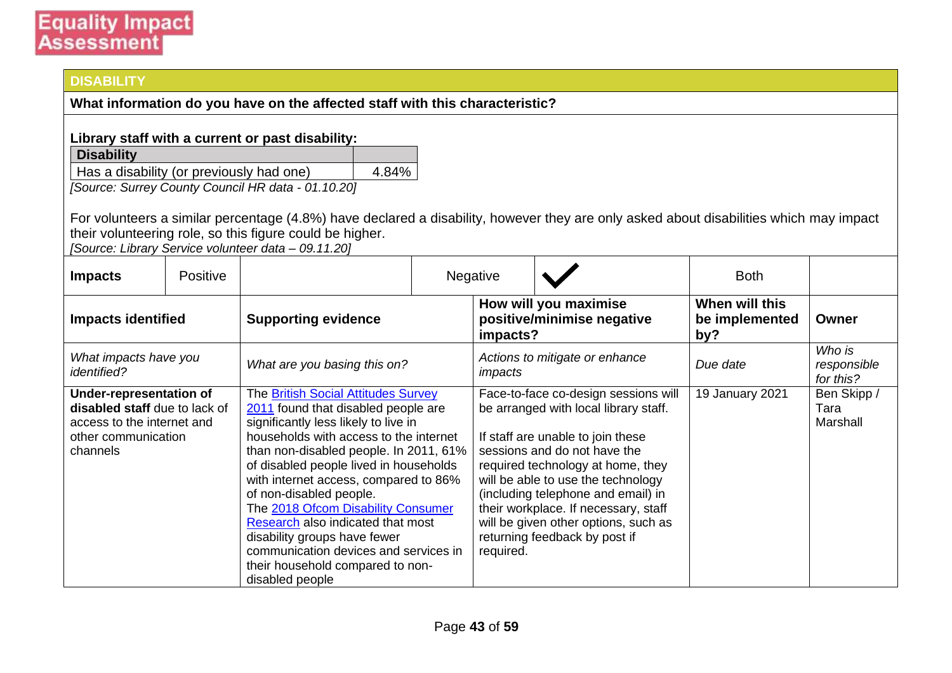#### **DISABILITY**

**What information do you have on the affected staff with this characteristic?**

#### **Library staff with a current or past disability:**

| <b>Disability</b>                        |       |
|------------------------------------------|-------|
| Has a disability (or previously had one) | 4.84% |
|                                          |       |

*[Source: Surrey County Council HR data - 01.10.20]*

For volunteers a similar percentage (4.8%) have declared a disability, however they are only asked about disabilities which may impact their volunteering role, so this figure could be higher.

*[Source: Library Service volunteer data – 09.11.20]*

| <b>Impacts</b>                              | Positive                                                                                                                                                                                                                                                                                                                                                                                                                                                                                                                                                                                                                                                |                              |           | Negative                                                                                                                                                                                                                                                                                                                                                                             |                                                     | <b>Both</b>                             |                                    |
|---------------------------------------------|---------------------------------------------------------------------------------------------------------------------------------------------------------------------------------------------------------------------------------------------------------------------------------------------------------------------------------------------------------------------------------------------------------------------------------------------------------------------------------------------------------------------------------------------------------------------------------------------------------------------------------------------------------|------------------------------|-----------|--------------------------------------------------------------------------------------------------------------------------------------------------------------------------------------------------------------------------------------------------------------------------------------------------------------------------------------------------------------------------------------|-----------------------------------------------------|-----------------------------------------|------------------------------------|
| <b>Impacts identified</b>                   |                                                                                                                                                                                                                                                                                                                                                                                                                                                                                                                                                                                                                                                         | <b>Supporting evidence</b>   |           | impacts?                                                                                                                                                                                                                                                                                                                                                                             | How will you maximise<br>positive/minimise negative | When will this<br>be implemented<br>by? | Owner                              |
| What impacts have you<br><i>identified?</i> |                                                                                                                                                                                                                                                                                                                                                                                                                                                                                                                                                                                                                                                         | What are you basing this on? |           | impacts                                                                                                                                                                                                                                                                                                                                                                              | Actions to mitigate or enhance                      | Due date                                | Who is<br>responsible<br>for this? |
| channels                                    | <b>Under-representation of</b><br>The British Social Attitudes Survey<br>disabled staff due to lack of<br>2011 found that disabled people are<br>significantly less likely to live in<br>access to the internet and<br>households with access to the internet<br>other communication<br>than non-disabled people. In 2011, 61%<br>of disabled people lived in households<br>with internet access, compared to 86%<br>of non-disabled people.<br>The 2018 Ofcom Disability Consumer<br>Research also indicated that most<br>disability groups have fewer<br>communication devices and services in<br>their household compared to non-<br>disabled people |                              | required. | Face-to-face co-design sessions will<br>be arranged with local library staff.<br>If staff are unable to join these<br>sessions and do not have the<br>required technology at home, they<br>will be able to use the technology<br>(including telephone and email) in<br>their workplace. If necessary, staff<br>will be given other options, such as<br>returning feedback by post if | 19 January 2021                                     | Ben Skipp /<br>Tara<br>Marshall         |                                    |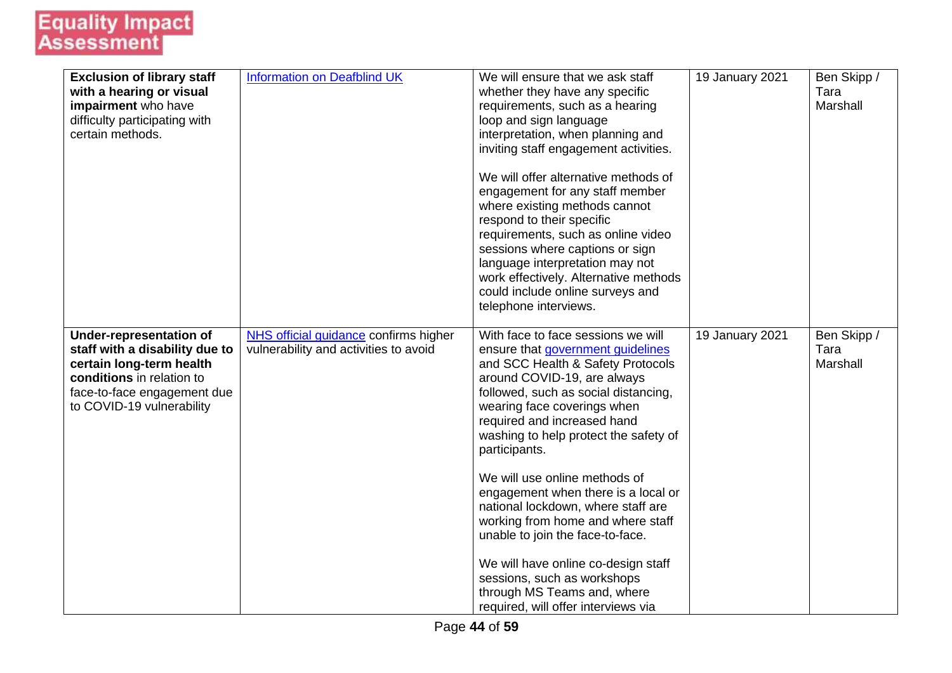| <b>Exclusion of library staff</b><br>with a hearing or visual<br>impairment who have<br>difficulty participating with<br>certain methods.                                             | <b>Information on Deafblind UK</b>                                             | We will ensure that we ask staff<br>whether they have any specific<br>requirements, such as a hearing<br>loop and sign language<br>interpretation, when planning and<br>inviting staff engagement activities.<br>We will offer alternative methods of<br>engagement for any staff member<br>where existing methods cannot<br>respond to their specific<br>requirements, such as online video<br>sessions where captions or sign<br>language interpretation may not<br>work effectively. Alternative methods<br>could include online surveys and<br>telephone interviews.                                                                       | 19 January 2021 | Ben Skipp /<br>Tara<br>Marshall |
|---------------------------------------------------------------------------------------------------------------------------------------------------------------------------------------|--------------------------------------------------------------------------------|------------------------------------------------------------------------------------------------------------------------------------------------------------------------------------------------------------------------------------------------------------------------------------------------------------------------------------------------------------------------------------------------------------------------------------------------------------------------------------------------------------------------------------------------------------------------------------------------------------------------------------------------|-----------------|---------------------------------|
| <b>Under-representation of</b><br>staff with a disability due to<br>certain long-term health<br>conditions in relation to<br>face-to-face engagement due<br>to COVID-19 vulnerability | NHS official guidance confirms higher<br>vulnerability and activities to avoid | With face to face sessions we will<br>ensure that government guidelines<br>and SCC Health & Safety Protocols<br>around COVID-19, are always<br>followed, such as social distancing,<br>wearing face coverings when<br>required and increased hand<br>washing to help protect the safety of<br>participants.<br>We will use online methods of<br>engagement when there is a local or<br>national lockdown, where staff are<br>working from home and where staff<br>unable to join the face-to-face.<br>We will have online co-design staff<br>sessions, such as workshops<br>through MS Teams and, where<br>required, will offer interviews via | 19 January 2021 | Ben Skipp /<br>Tara<br>Marshall |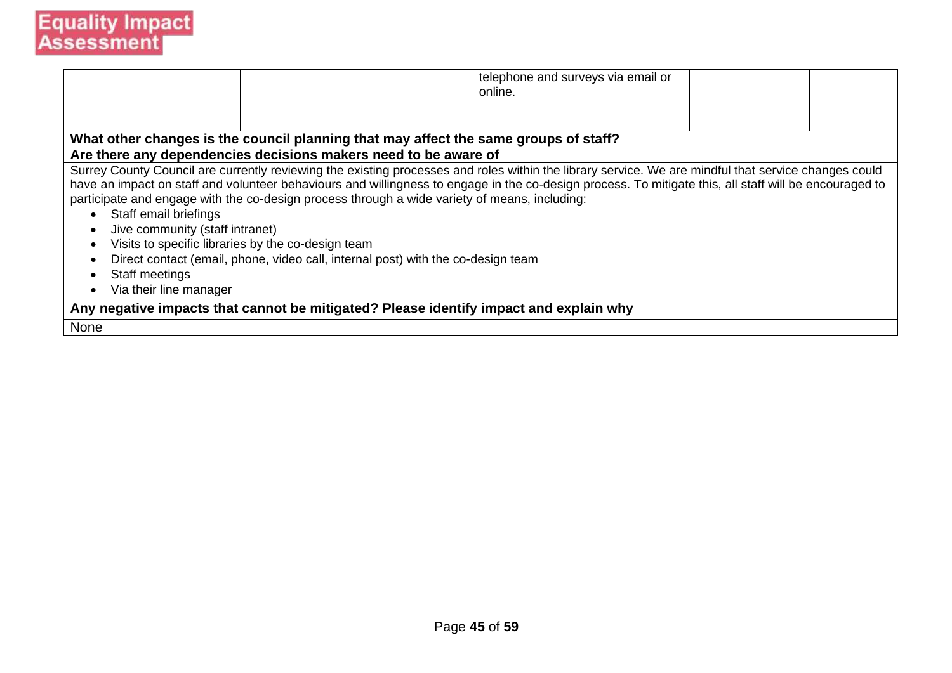|                                                                                                                                                         |                                                                                                                                                                                                                                                                                                                                                                                                                                                                                                                                                           | telephone and surveys via email or<br>online. |  |  |  |  |
|---------------------------------------------------------------------------------------------------------------------------------------------------------|-----------------------------------------------------------------------------------------------------------------------------------------------------------------------------------------------------------------------------------------------------------------------------------------------------------------------------------------------------------------------------------------------------------------------------------------------------------------------------------------------------------------------------------------------------------|-----------------------------------------------|--|--|--|--|
|                                                                                                                                                         |                                                                                                                                                                                                                                                                                                                                                                                                                                                                                                                                                           |                                               |  |  |  |  |
| What other changes is the council planning that may affect the same groups of staff?<br>Are there any dependencies decisions makers need to be aware of |                                                                                                                                                                                                                                                                                                                                                                                                                                                                                                                                                           |                                               |  |  |  |  |
| Staff email briefings<br>Jive community (staff intranet)<br>Staff meetings<br>Via their line manager                                                    | Surrey County Council are currently reviewing the existing processes and roles within the library service. We are mindful that service changes could<br>have an impact on staff and volunteer behaviours and willingness to engage in the co-design process. To mitigate this, all staff will be encouraged to<br>participate and engage with the co-design process through a wide variety of means, including:<br>Visits to specific libraries by the co-design team<br>Direct contact (email, phone, video call, internal post) with the co-design team |                                               |  |  |  |  |
| Any negative impacts that cannot be mitigated? Please identify impact and explain why                                                                   |                                                                                                                                                                                                                                                                                                                                                                                                                                                                                                                                                           |                                               |  |  |  |  |
| None                                                                                                                                                    |                                                                                                                                                                                                                                                                                                                                                                                                                                                                                                                                                           |                                               |  |  |  |  |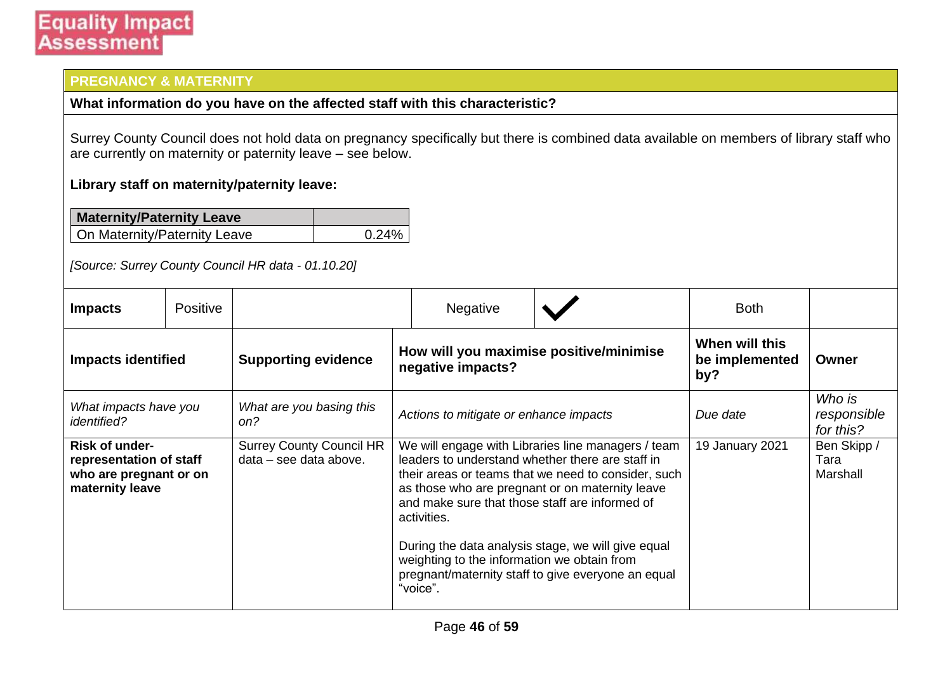### **PREGNANCY & MATERNITY**

#### **What information do you have on the affected staff with this characteristic?**

Surrey County Council does not hold data on pregnancy specifically but there is combined data available on members of library staff who are currently on maternity or paternity leave – see below.

#### **Library staff on maternity/paternity leave:**

| <b>Maternity/Paternity Leave</b> |       |
|----------------------------------|-------|
| On Maternity/Paternity Leave     | 0.24% |

*[Source: Surrey County Council HR data - 01.10.20]*

| <b>Impacts</b>                                                                         | <b>Positive</b> |                                                                                            |                                                                                                                                                                                                                                                                                                                                                                                                                                                          | <b>Negative</b>                         |                 | <b>Both</b>                        |  |
|----------------------------------------------------------------------------------------|-----------------|--------------------------------------------------------------------------------------------|----------------------------------------------------------------------------------------------------------------------------------------------------------------------------------------------------------------------------------------------------------------------------------------------------------------------------------------------------------------------------------------------------------------------------------------------------------|-----------------------------------------|-----------------|------------------------------------|--|
| <b>Impacts identified</b>                                                              |                 | How will you maximise positive/minimise<br><b>Supporting evidence</b><br>negative impacts? |                                                                                                                                                                                                                                                                                                                                                                                                                                                          | When will this<br>be implemented<br>by? | Owner           |                                    |  |
| What impacts have you<br><i>identified?</i>                                            |                 | What are you basing this<br>on?                                                            | Actions to mitigate or enhance impacts                                                                                                                                                                                                                                                                                                                                                                                                                   |                                         | Due date        | Who is<br>responsible<br>for this? |  |
| Risk of under-<br>representation of staff<br>who are pregnant or on<br>maternity leave |                 | <b>Surrey County Council HR</b><br>data – see data above.                                  | We will engage with Libraries line managers / team<br>leaders to understand whether there are staff in<br>their areas or teams that we need to consider, such<br>as those who are pregnant or on maternity leave<br>and make sure that those staff are informed of<br>activities.<br>During the data analysis stage, we will give equal<br>weighting to the information we obtain from<br>pregnant/maternity staff to give everyone an equal<br>"voice". |                                         | 19 January 2021 | Ben Skipp /<br>Tara<br>Marshall    |  |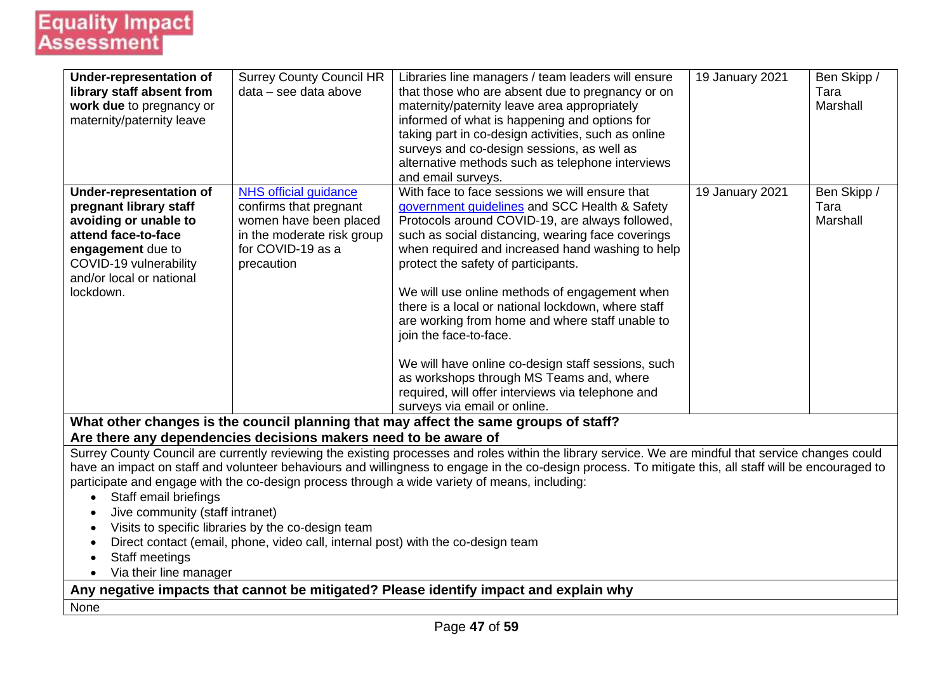| <b>Under-representation of</b><br>library staff absent from                           | <b>Surrey County Council HR</b><br>data - see data above                         | Libraries line managers / team leaders will ensure<br>that those who are absent due to pregnancy or on                                                 | 19 January 2021 | Ben Skipp /<br>Tara |  |  |  |
|---------------------------------------------------------------------------------------|----------------------------------------------------------------------------------|--------------------------------------------------------------------------------------------------------------------------------------------------------|-----------------|---------------------|--|--|--|
| work due to pregnancy or                                                              |                                                                                  | maternity/paternity leave area appropriately                                                                                                           |                 | Marshall            |  |  |  |
| maternity/paternity leave                                                             |                                                                                  | informed of what is happening and options for                                                                                                          |                 |                     |  |  |  |
|                                                                                       |                                                                                  | taking part in co-design activities, such as online                                                                                                    |                 |                     |  |  |  |
|                                                                                       |                                                                                  | surveys and co-design sessions, as well as                                                                                                             |                 |                     |  |  |  |
|                                                                                       |                                                                                  | alternative methods such as telephone interviews<br>and email surveys.                                                                                 |                 |                     |  |  |  |
| <b>Under-representation of</b>                                                        | <b>NHS official guidance</b>                                                     | With face to face sessions we will ensure that                                                                                                         | 19 January 2021 | Ben Skipp /         |  |  |  |
| pregnant library staff                                                                | confirms that pregnant                                                           | government guidelines and SCC Health & Safety                                                                                                          |                 | Tara                |  |  |  |
| avoiding or unable to                                                                 | women have been placed                                                           | Protocols around COVID-19, are always followed,                                                                                                        |                 | Marshall            |  |  |  |
| attend face-to-face                                                                   | in the moderate risk group                                                       | such as social distancing, wearing face coverings                                                                                                      |                 |                     |  |  |  |
| engagement due to                                                                     | for COVID-19 as a                                                                | when required and increased hand washing to help                                                                                                       |                 |                     |  |  |  |
| COVID-19 vulnerability<br>and/or local or national                                    | precaution                                                                       | protect the safety of participants.                                                                                                                    |                 |                     |  |  |  |
| lockdown.                                                                             |                                                                                  | We will use online methods of engagement when                                                                                                          |                 |                     |  |  |  |
|                                                                                       |                                                                                  | there is a local or national lockdown, where staff                                                                                                     |                 |                     |  |  |  |
|                                                                                       |                                                                                  | are working from home and where staff unable to                                                                                                        |                 |                     |  |  |  |
|                                                                                       |                                                                                  | join the face-to-face.                                                                                                                                 |                 |                     |  |  |  |
|                                                                                       |                                                                                  |                                                                                                                                                        |                 |                     |  |  |  |
|                                                                                       |                                                                                  | We will have online co-design staff sessions, such<br>as workshops through MS Teams and, where                                                         |                 |                     |  |  |  |
|                                                                                       |                                                                                  | required, will offer interviews via telephone and                                                                                                      |                 |                     |  |  |  |
|                                                                                       |                                                                                  | surveys via email or online.                                                                                                                           |                 |                     |  |  |  |
|                                                                                       |                                                                                  | What other changes is the council planning that may affect the same groups of staff?                                                                   |                 |                     |  |  |  |
|                                                                                       | Are there any dependencies decisions makers need to be aware of                  |                                                                                                                                                        |                 |                     |  |  |  |
|                                                                                       |                                                                                  | Surrey County Council are currently reviewing the existing processes and roles within the library service. We are mindful that service changes could   |                 |                     |  |  |  |
|                                                                                       |                                                                                  | have an impact on staff and volunteer behaviours and willingness to engage in the co-design process. To mitigate this, all staff will be encouraged to |                 |                     |  |  |  |
|                                                                                       |                                                                                  | participate and engage with the co-design process through a wide variety of means, including:                                                          |                 |                     |  |  |  |
| Staff email briefings                                                                 |                                                                                  |                                                                                                                                                        |                 |                     |  |  |  |
| Jive community (staff intranet)<br>Visits to specific libraries by the co-design team |                                                                                  |                                                                                                                                                        |                 |                     |  |  |  |
|                                                                                       |                                                                                  |                                                                                                                                                        |                 |                     |  |  |  |
| Staff meetings<br>$\bullet$                                                           | Direct contact (email, phone, video call, internal post) with the co-design team |                                                                                                                                                        |                 |                     |  |  |  |
| Via their line manager                                                                |                                                                                  |                                                                                                                                                        |                 |                     |  |  |  |
|                                                                                       |                                                                                  | Any negative impacts that cannot be mitigated? Please identify impact and explain why                                                                  |                 |                     |  |  |  |
| None                                                                                  |                                                                                  |                                                                                                                                                        |                 |                     |  |  |  |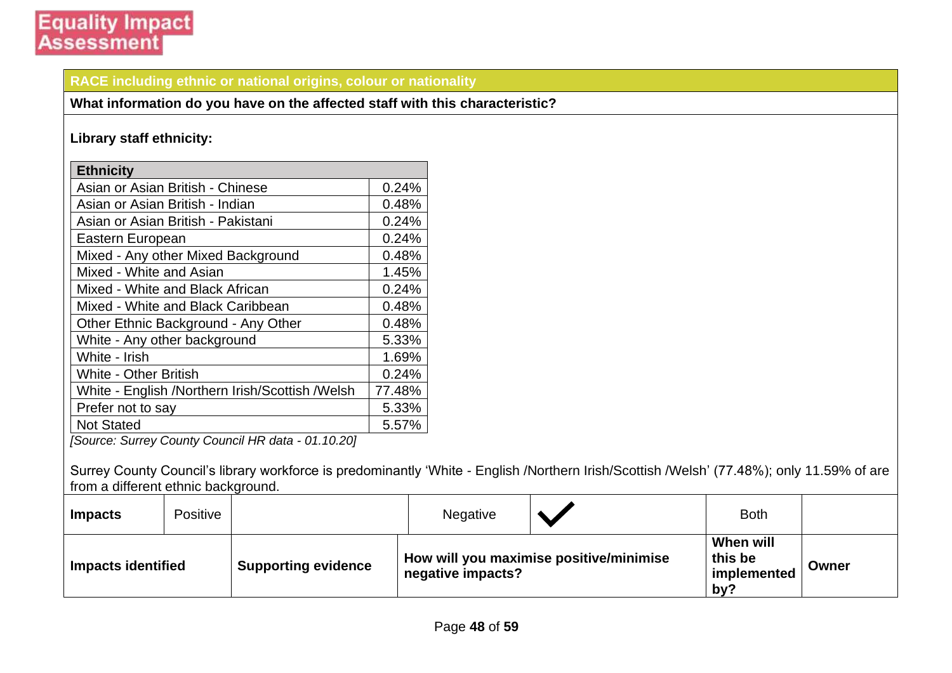#### **RACE including ethnic or national origins, colour or nationality**

**What information do you have on the affected staff with this characteristic?**

#### **Library staff ethnicity:**

| <b>Ethnicity</b>                                   |        |  |  |  |  |
|----------------------------------------------------|--------|--|--|--|--|
| Asian or Asian British - Chinese                   | 0.24%  |  |  |  |  |
| Asian or Asian British - Indian                    | 0.48%  |  |  |  |  |
| Asian or Asian British - Pakistani                 | 0.24%  |  |  |  |  |
| Eastern European                                   | 0.24%  |  |  |  |  |
| Mixed - Any other Mixed Background                 | 0.48%  |  |  |  |  |
| Mixed - White and Asian                            | 1.45%  |  |  |  |  |
| Mixed - White and Black African                    | 0.24%  |  |  |  |  |
| Mixed - White and Black Caribbean                  | 0.48%  |  |  |  |  |
| Other Ethnic Background - Any Other                | 0.48%  |  |  |  |  |
| White - Any other background                       | 5.33%  |  |  |  |  |
| White - Irish                                      | 1.69%  |  |  |  |  |
| <b>White - Other British</b>                       | 0.24%  |  |  |  |  |
| White - English /Northern Irish/Scottish /Welsh    | 77.48% |  |  |  |  |
| Prefer not to say                                  | 5.33%  |  |  |  |  |
| <b>Not Stated</b>                                  | 5.57%  |  |  |  |  |
| [Source: Surrey County Council HR data - 01.10.20] |        |  |  |  |  |

Surrey County Council's library workforce is predominantly 'White - English /Northern Irish/Scottish /Welsh' (77.48%); only 11.59% of are from a different ethnic background.

| <b>Impacts</b>            | Positive |                            | <b>Negative</b>   |                                         | <b>Both</b>                                |       |
|---------------------------|----------|----------------------------|-------------------|-----------------------------------------|--------------------------------------------|-------|
| <b>Impacts identified</b> |          | <b>Supporting evidence</b> | negative impacts? | How will you maximise positive/minimise | When will<br>this be<br>implemented<br>by? | Owner |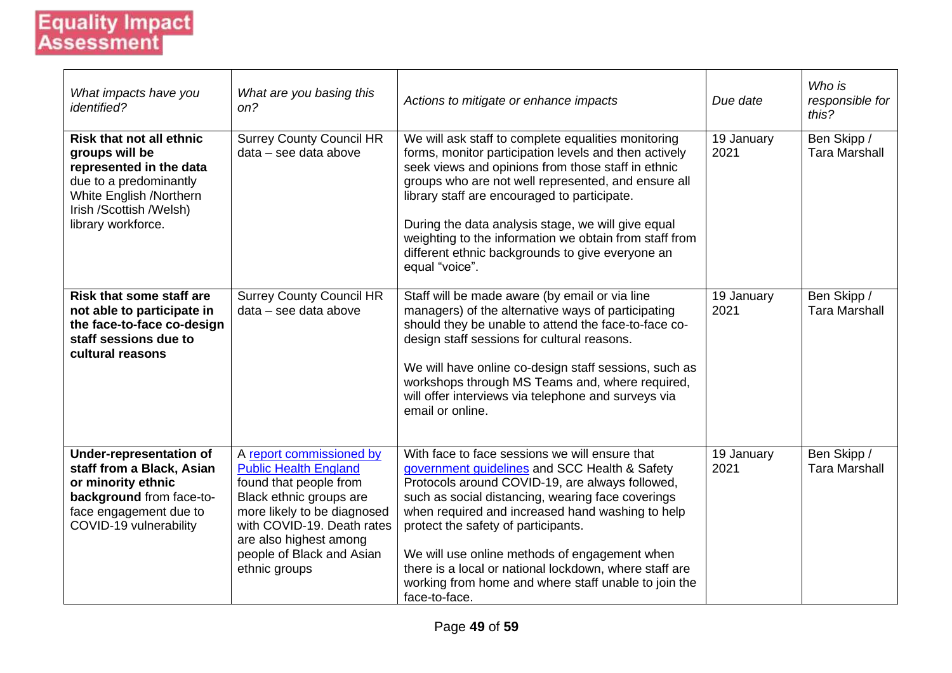| What impacts have you<br><i>identified?</i>                                                                                                                                        | What are you basing this<br>on?                                                                                                                                                                                                                    | Actions to mitigate or enhance impacts                                                                                                                                                                                                                                                                                                                                                                                                                                                 | Due date           | Who is<br>responsible for<br>this?  |
|------------------------------------------------------------------------------------------------------------------------------------------------------------------------------------|----------------------------------------------------------------------------------------------------------------------------------------------------------------------------------------------------------------------------------------------------|----------------------------------------------------------------------------------------------------------------------------------------------------------------------------------------------------------------------------------------------------------------------------------------------------------------------------------------------------------------------------------------------------------------------------------------------------------------------------------------|--------------------|-------------------------------------|
| <b>Risk that not all ethnic</b><br>groups will be<br>represented in the data<br>due to a predominantly<br>White English /Northern<br>Irish /Scottish /Welsh)<br>library workforce. | <b>Surrey County Council HR</b><br>data - see data above                                                                                                                                                                                           | We will ask staff to complete equalities monitoring<br>forms, monitor participation levels and then actively<br>seek views and opinions from those staff in ethnic<br>groups who are not well represented, and ensure all<br>library staff are encouraged to participate.<br>During the data analysis stage, we will give equal<br>weighting to the information we obtain from staff from<br>different ethnic backgrounds to give everyone an<br>equal "voice".                        | 19 January<br>2021 | Ben Skipp /<br><b>Tara Marshall</b> |
| <b>Risk that some staff are</b><br>not able to participate in<br>the face-to-face co-design<br>staff sessions due to<br>cultural reasons                                           | <b>Surrey County Council HR</b><br>data - see data above                                                                                                                                                                                           | Staff will be made aware (by email or via line<br>managers) of the alternative ways of participating<br>should they be unable to attend the face-to-face co-<br>design staff sessions for cultural reasons.<br>We will have online co-design staff sessions, such as<br>workshops through MS Teams and, where required,<br>will offer interviews via telephone and surveys via<br>email or online.                                                                                     | 19 January<br>2021 | Ben Skipp /<br><b>Tara Marshall</b> |
| <b>Under-representation of</b><br>staff from a Black, Asian<br>or minority ethnic<br>background from face-to-<br>face engagement due to<br>COVID-19 vulnerability                  | A report commissioned by<br><b>Public Health England</b><br>found that people from<br>Black ethnic groups are<br>more likely to be diagnosed<br>with COVID-19. Death rates<br>are also highest among<br>people of Black and Asian<br>ethnic groups | With face to face sessions we will ensure that<br>government guidelines and SCC Health & Safety<br>Protocols around COVID-19, are always followed,<br>such as social distancing, wearing face coverings<br>when required and increased hand washing to help<br>protect the safety of participants.<br>We will use online methods of engagement when<br>there is a local or national lockdown, where staff are<br>working from home and where staff unable to join the<br>face-to-face. | 19 January<br>2021 | Ben Skipp /<br><b>Tara Marshall</b> |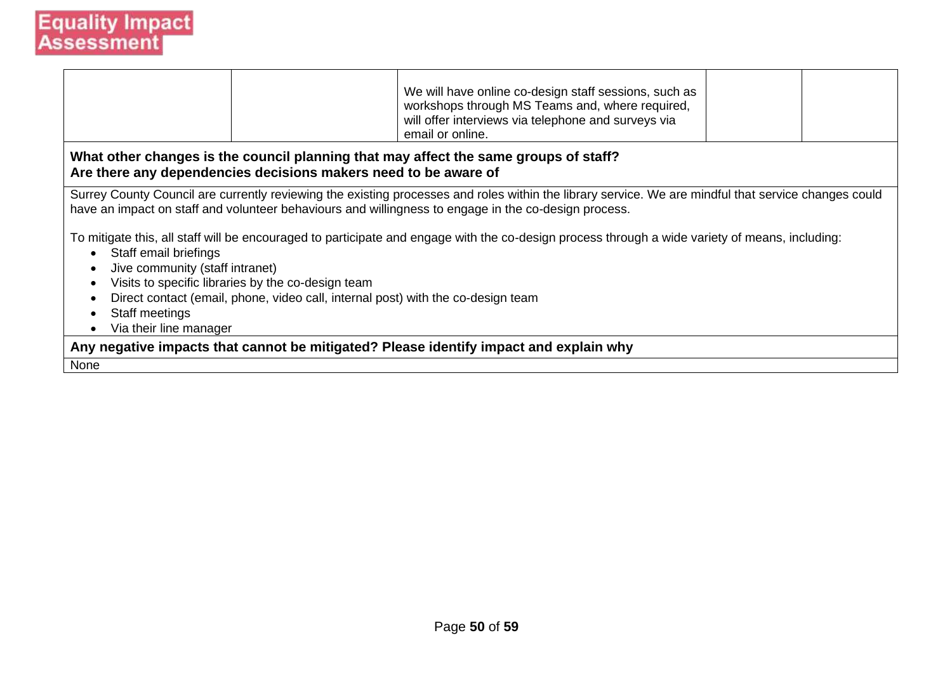|                                                                                                                                                         |                                                                                                                                                                                                                                                              | We will have online co-design staff sessions, such as<br>workshops through MS Teams and, where required,<br>will offer interviews via telephone and surveys via<br>email or online. |  |  |  |  |  |  |
|---------------------------------------------------------------------------------------------------------------------------------------------------------|--------------------------------------------------------------------------------------------------------------------------------------------------------------------------------------------------------------------------------------------------------------|-------------------------------------------------------------------------------------------------------------------------------------------------------------------------------------|--|--|--|--|--|--|
| What other changes is the council planning that may affect the same groups of staff?<br>Are there any dependencies decisions makers need to be aware of |                                                                                                                                                                                                                                                              |                                                                                                                                                                                     |  |  |  |  |  |  |
|                                                                                                                                                         | Surrey County Council are currently reviewing the existing processes and roles within the library service. We are mindful that service changes could<br>have an impact on staff and volunteer behaviours and willingness to engage in the co-design process. |                                                                                                                                                                                     |  |  |  |  |  |  |
| Staff email briefings<br>$\bullet$                                                                                                                      |                                                                                                                                                                                                                                                              | To mitigate this, all staff will be encouraged to participate and engage with the co-design process through a wide variety of means, including:                                     |  |  |  |  |  |  |
| Jive community (staff intranet)                                                                                                                         |                                                                                                                                                                                                                                                              |                                                                                                                                                                                     |  |  |  |  |  |  |
| $\bullet$                                                                                                                                               | Visits to specific libraries by the co-design team<br>$\bullet$<br>Direct contact (email, phone, video call, internal post) with the co-design team                                                                                                          |                                                                                                                                                                                     |  |  |  |  |  |  |
| Staff meetings<br>$\bullet$                                                                                                                             |                                                                                                                                                                                                                                                              |                                                                                                                                                                                     |  |  |  |  |  |  |
| Via their line manager<br>$\bullet$                                                                                                                     |                                                                                                                                                                                                                                                              |                                                                                                                                                                                     |  |  |  |  |  |  |
|                                                                                                                                                         |                                                                                                                                                                                                                                                              | Any negative impacts that cannot be mitigated? Please identify impact and explain why                                                                                               |  |  |  |  |  |  |
| None                                                                                                                                                    |                                                                                                                                                                                                                                                              |                                                                                                                                                                                     |  |  |  |  |  |  |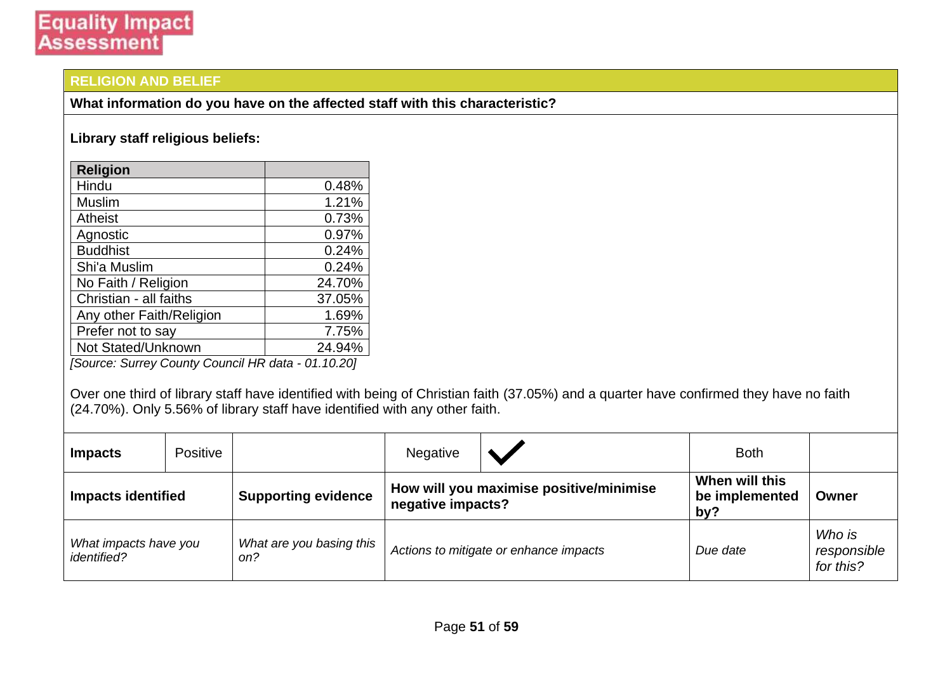#### **RELIGION AND BELIEF**

**What information do you have on the affected staff with this characteristic?**

#### **Library staff religious beliefs:**

| <b>Religion</b>          |        |
|--------------------------|--------|
| Hindu                    | 0.48%  |
| Muslim                   | 1.21%  |
| <b>Atheist</b>           | 0.73%  |
| Agnostic                 | 0.97%  |
| <b>Buddhist</b>          | 0.24%  |
| Shi'a Muslim             | 0.24%  |
| No Faith / Religion      | 24.70% |
| Christian - all faiths   | 37.05% |
| Any other Faith/Religion | 1.69%  |
| Prefer not to say        | 7.75%  |
| Not Stated/Unknown       | 24.94% |

*[Source: Surrey County Council HR data - 01.10.20]*

Over one third of library staff have identified with being of Christian faith (37.05%) and a quarter have confirmed they have no faith (24.70%). Only 5.56% of library staff have identified with any other faith.

| <b>Impacts</b>                                     | Positive |                            | <b>Negative</b>                                              |                                        | <b>Both</b>                             |                                    |
|----------------------------------------------------|----------|----------------------------|--------------------------------------------------------------|----------------------------------------|-----------------------------------------|------------------------------------|
| <b>Impacts identified</b>                          |          | <b>Supporting evidence</b> | How will you maximise positive/minimise<br>negative impacts? |                                        | When will this<br>be implemented<br>by? | Owner                              |
| What impacts have you<br><i>identified?</i><br>on? |          | What are you basing this   |                                                              | Actions to mitigate or enhance impacts | Due date                                | Who is<br>responsible<br>for this? |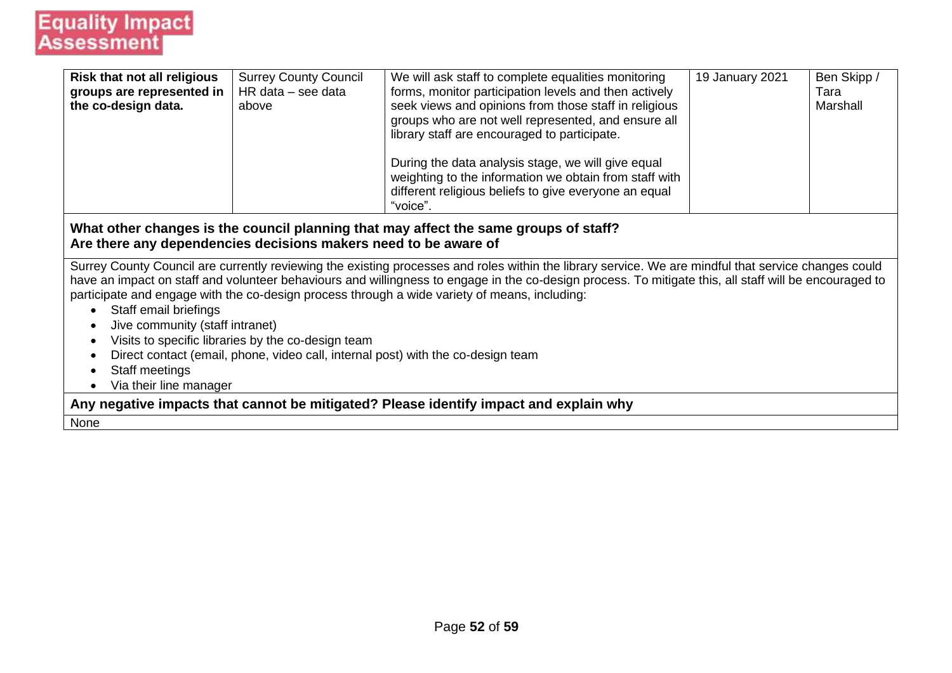| <b>Risk that not all religious</b>                                               | <b>Surrey County Council</b> | We will ask staff to complete equalities monitoring                                                                                                    | 19 January 2021 | Ben Skipp / |  |  |  |
|----------------------------------------------------------------------------------|------------------------------|--------------------------------------------------------------------------------------------------------------------------------------------------------|-----------------|-------------|--|--|--|
| groups are represented in                                                        | $HR data - see data$         | forms, monitor participation levels and then actively                                                                                                  |                 | Tara        |  |  |  |
| the co-design data.                                                              | above                        | seek views and opinions from those staff in religious                                                                                                  |                 | Marshall    |  |  |  |
|                                                                                  |                              | groups who are not well represented, and ensure all                                                                                                    |                 |             |  |  |  |
|                                                                                  |                              | library staff are encouraged to participate.                                                                                                           |                 |             |  |  |  |
|                                                                                  |                              | During the data analysis stage, we will give equal                                                                                                     |                 |             |  |  |  |
|                                                                                  |                              | weighting to the information we obtain from staff with                                                                                                 |                 |             |  |  |  |
|                                                                                  |                              | different religious beliefs to give everyone an equal                                                                                                  |                 |             |  |  |  |
|                                                                                  |                              | "voice".                                                                                                                                               |                 |             |  |  |  |
| Are there any dependencies decisions makers need to be aware of                  |                              | What other changes is the council planning that may affect the same groups of staff?                                                                   |                 |             |  |  |  |
|                                                                                  |                              | Surrey County Council are currently reviewing the existing processes and roles within the library service. We are mindful that service changes could   |                 |             |  |  |  |
|                                                                                  |                              | have an impact on staff and volunteer behaviours and willingness to engage in the co-design process. To mitigate this, all staff will be encouraged to |                 |             |  |  |  |
|                                                                                  |                              | participate and engage with the co-design process through a wide variety of means, including:                                                          |                 |             |  |  |  |
| Staff email briefings                                                            |                              |                                                                                                                                                        |                 |             |  |  |  |
| Jive community (staff intranet)                                                  |                              |                                                                                                                                                        |                 |             |  |  |  |
| Visits to specific libraries by the co-design team                               |                              |                                                                                                                                                        |                 |             |  |  |  |
| Direct contact (email, phone, video call, internal post) with the co-design team |                              |                                                                                                                                                        |                 |             |  |  |  |
| Staff meetings                                                                   |                              |                                                                                                                                                        |                 |             |  |  |  |
| Via their line manager                                                           |                              |                                                                                                                                                        |                 |             |  |  |  |

**Any negative impacts that cannot be mitigated? Please identify impact and explain why**

None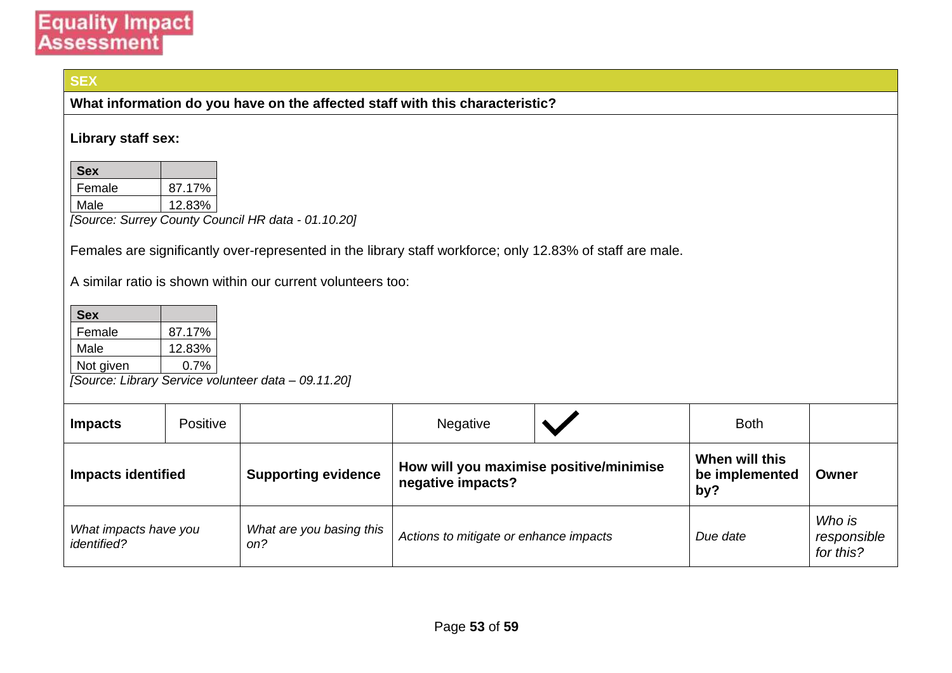#### **SEX**

**What information do you have on the affected staff with this characteristic?**

#### **Library staff sex:**

| <b>Sex</b> |        |
|------------|--------|
| Female     | 87.17% |
| Male       | 12.83% |

*[Source: Surrey County Council HR data - 01.10.20]*

Females are significantly over-represented in the library staff workforce; only 12.83% of staff are male.

A similar ratio is shown within our current volunteers too:

| <b>Sex</b> |         |
|------------|---------|
| Female     | 87.17%  |
| Male       | 12.83%  |
| Not given  | $0.7\%$ |

*[Source: Library Service volunteer data – 09.11.20]*

| <b>Impacts</b>                                                                                                           | Positive |                            | <b>Negative</b>                                              |  | <b>Both</b>                             |       |
|--------------------------------------------------------------------------------------------------------------------------|----------|----------------------------|--------------------------------------------------------------|--|-----------------------------------------|-------|
| <b>Impacts identified</b>                                                                                                |          | <b>Supporting evidence</b> | How will you maximise positive/minimise<br>negative impacts? |  | When will this<br>be implemented<br>by? | Owner |
| What are you basing this<br>What impacts have you<br>Actions to mitigate or enhance impacts<br><i>identified?</i><br>on? |          | Due date                   | Who is<br>responsible<br>for this?                           |  |                                         |       |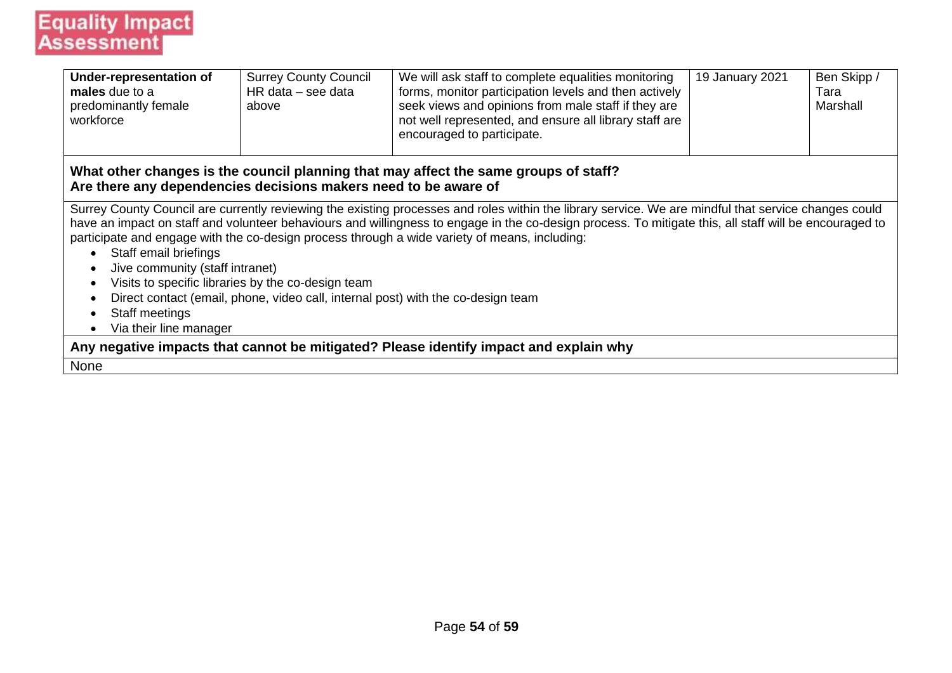| <b>Under-representation of</b><br>males due to a<br>predominantly female<br>workforce                                                       | <b>Surrey County Council</b><br>$HR data - see data$<br>above | We will ask staff to complete equalities monitoring<br>forms, monitor participation levels and then actively<br>seek views and opinions from male staff if they are<br>not well represented, and ensure all library staff are<br>encouraged to participate.                                                                                                                                                                                                                                         | 19 January 2021 | Ben Skipp /<br>Tara<br>Marshall |  |  |  |
|---------------------------------------------------------------------------------------------------------------------------------------------|---------------------------------------------------------------|-----------------------------------------------------------------------------------------------------------------------------------------------------------------------------------------------------------------------------------------------------------------------------------------------------------------------------------------------------------------------------------------------------------------------------------------------------------------------------------------------------|-----------------|---------------------------------|--|--|--|
| Are there any dependencies decisions makers need to be aware of                                                                             |                                                               | What other changes is the council planning that may affect the same groups of staff?                                                                                                                                                                                                                                                                                                                                                                                                                |                 |                                 |  |  |  |
| Staff email briefings<br>Jive community (staff intranet)<br>$\bullet$<br>$\bullet$<br>Staff meetings<br>$\bullet$<br>Via their line manager | Visits to specific libraries by the co-design team            | Surrey County Council are currently reviewing the existing processes and roles within the library service. We are mindful that service changes could<br>have an impact on staff and volunteer behaviours and willingness to engage in the co-design process. To mitigate this, all staff will be encouraged to<br>participate and engage with the co-design process through a wide variety of means, including:<br>Direct contact (email, phone, video call, internal post) with the co-design team |                 |                                 |  |  |  |
| Any negative impacts that cannot be mitigated? Please identify impact and explain why                                                       |                                                               |                                                                                                                                                                                                                                                                                                                                                                                                                                                                                                     |                 |                                 |  |  |  |
| None                                                                                                                                        |                                                               |                                                                                                                                                                                                                                                                                                                                                                                                                                                                                                     |                 |                                 |  |  |  |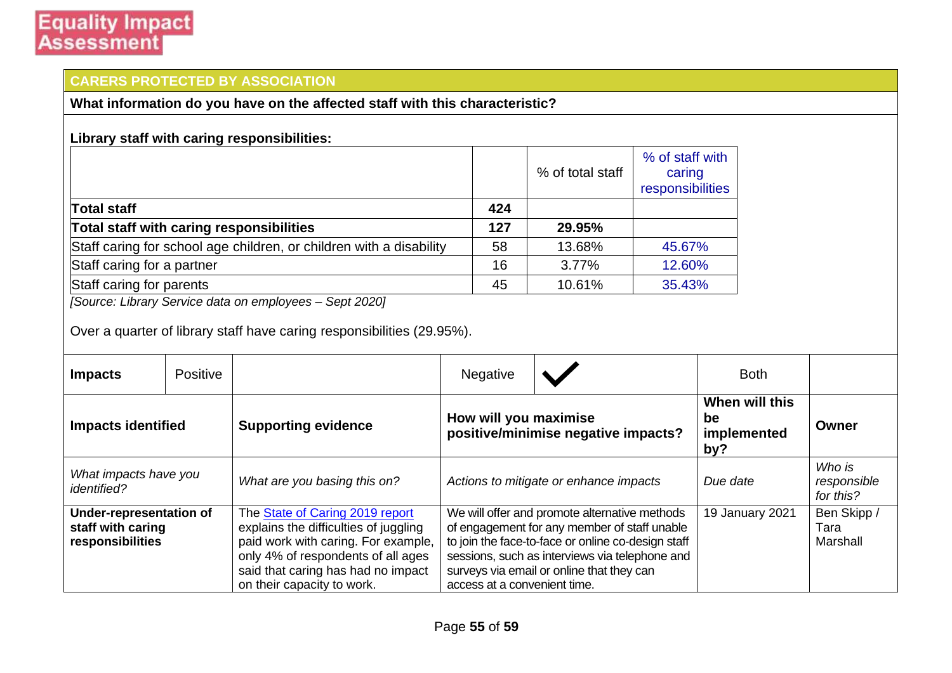### **CARERS PROTECTED BY ASSOCIATION**

**What information do you have on the affected staff with this characteristic?**

|                                                                     |     | % of total staff | % of staff with<br>caring<br>responsibilities |
|---------------------------------------------------------------------|-----|------------------|-----------------------------------------------|
| <b>Total staff</b>                                                  | 424 |                  |                                               |
| Total staff with caring responsibilities                            | 127 | 29.95%           |                                               |
| Staff caring for school age children, or children with a disability | 58  | 13.68%           | 45.67%                                        |
| Staff caring for a partner                                          | 16  | 3.77%            | 12.60%                                        |
| Staff caring for parents                                            | 45  | 10.61%           | 35.43%                                        |

*[Source: Library Service data on employees – Sept 2020]*

Over a quarter of library staff have caring responsibilities (29.95%).

| <b>Impacts</b>                                                   | Positive |                                                                                                                                                                                                                           | <b>Negative</b>                                                                                                                                                                                                                                                                    |  | <b>Both</b>                                |                                    |
|------------------------------------------------------------------|----------|---------------------------------------------------------------------------------------------------------------------------------------------------------------------------------------------------------------------------|------------------------------------------------------------------------------------------------------------------------------------------------------------------------------------------------------------------------------------------------------------------------------------|--|--------------------------------------------|------------------------------------|
| <b>Impacts identified</b>                                        |          | <b>Supporting evidence</b>                                                                                                                                                                                                | How will you maximise<br>positive/minimise negative impacts?                                                                                                                                                                                                                       |  | When will this<br>be<br>implemented<br>by? | Owner                              |
| What impacts have you<br><i>identified?</i>                      |          | What are you basing this on?                                                                                                                                                                                              | Actions to mitigate or enhance impacts                                                                                                                                                                                                                                             |  | Due date                                   | Who is<br>responsible<br>for this? |
| Under-representation of<br>staff with caring<br>responsibilities |          | The State of Caring 2019 report<br>explains the difficulties of juggling<br>paid work with caring. For example,<br>only 4% of respondents of all ages<br>said that caring has had no impact<br>on their capacity to work. | We will offer and promote alternative methods<br>of engagement for any member of staff unable<br>to join the face-to-face or online co-design staff<br>sessions, such as interviews via telephone and<br>surveys via email or online that they can<br>access at a convenient time. |  | 19 January 2021                            | Ben Skipp /<br>Tara<br>Marshall    |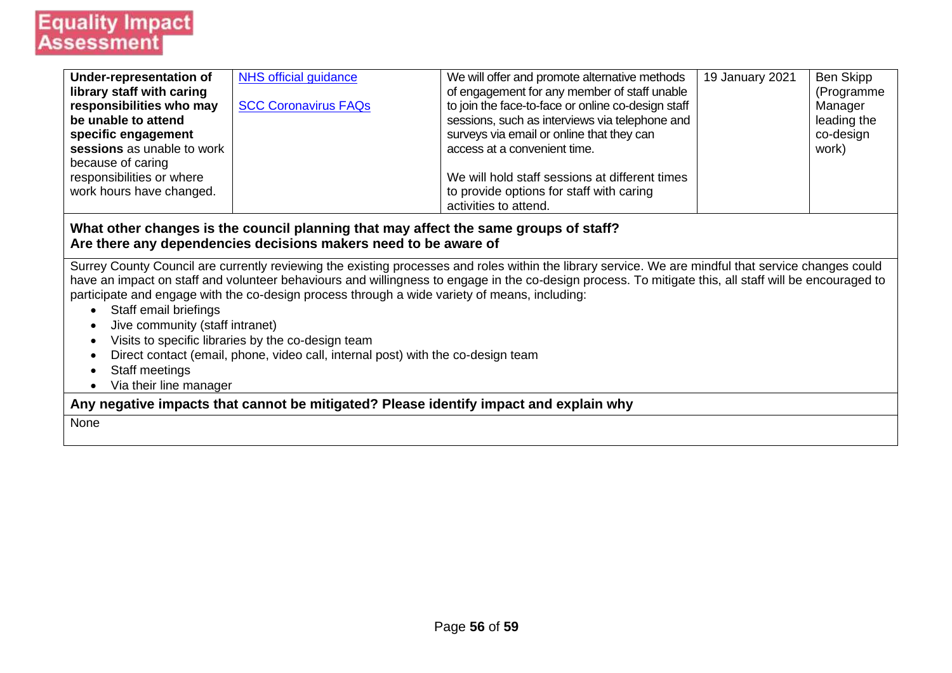| Under-representation of    | NHS official guidance       | We will offer and promote alternative methods      | 19 January 2021 | Ben Skipp   |
|----------------------------|-----------------------------|----------------------------------------------------|-----------------|-------------|
| library staff with caring  |                             | of engagement for any member of staff unable       |                 | (Programme  |
| responsibilities who may   | <b>SCC Coronavirus FAQs</b> | to join the face-to-face or online co-design staff |                 | Manager     |
| be unable to attend        |                             | sessions, such as interviews via telephone and     |                 | leading the |
| specific engagement        |                             | surveys via email or online that they can          |                 | co-design   |
| sessions as unable to work |                             | access at a convenient time.                       |                 | work)       |
| because of caring          |                             |                                                    |                 |             |
| responsibilities or where  |                             | We will hold staff sessions at different times     |                 |             |
| work hours have changed.   |                             | to provide options for staff with caring           |                 |             |
|                            |                             | activities to attend.                              |                 |             |
|                            |                             |                                                    |                 |             |

#### **What other changes is the council planning that may affect the same groups of staff? Are there any dependencies decisions makers need to be aware of**

Surrey County Council are currently reviewing the existing processes and roles within the library service. We are mindful that service changes could have an impact on staff and volunteer behaviours and willingness to engage in the co-design process. To mitigate this, all staff will be encouraged to participate and engage with the co-design process through a wide variety of means, including:

- Staff email briefings
- Jive community (staff intranet)
- Visits to specific libraries by the co-design team
- Direct contact (email, phone, video call, internal post) with the co-design team
- Staff meetings
- Via their line manager

**Any negative impacts that cannot be mitigated? Please identify impact and explain why**

None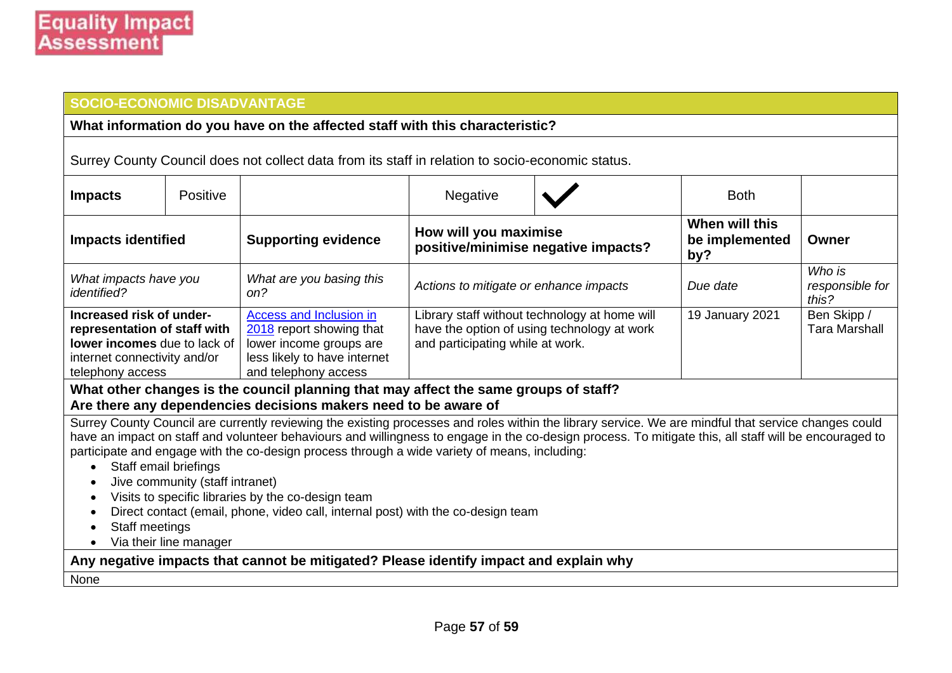#### **SOCIO-ECONOMIC DISADVANTAGE**

#### **What information do you have on the affected staff with this characteristic?**

Surrey County Council does not collect data from its staff in relation to socio-economic status.

| <b>Impacts</b>                                                                       | Positive                                                                                                                                                                                                                                                                                                                                                                                                      |                                 | Negative                                                     |                 | <b>Both</b>                             |                                    |
|--------------------------------------------------------------------------------------|---------------------------------------------------------------------------------------------------------------------------------------------------------------------------------------------------------------------------------------------------------------------------------------------------------------------------------------------------------------------------------------------------------------|---------------------------------|--------------------------------------------------------------|-----------------|-----------------------------------------|------------------------------------|
| <b>Impacts identified</b>                                                            |                                                                                                                                                                                                                                                                                                                                                                                                               | <b>Supporting evidence</b>      | How will you maximise<br>positive/minimise negative impacts? |                 | When will this<br>be implemented<br>by? | Owner                              |
| What impacts have you<br><i>identified?</i>                                          |                                                                                                                                                                                                                                                                                                                                                                                                               | What are you basing this<br>on? | Actions to mitigate or enhance impacts                       |                 | Due date                                | Who is<br>responsible for<br>this? |
| telephony access                                                                     | Increased risk of under-<br>Library staff without technology at home will<br>Access and Inclusion in<br>have the option of using technology at work<br>representation of staff with<br>2018 report showing that<br><b>lower incomes</b> due to lack of<br>and participating while at work.<br>lower income groups are<br>less likely to have internet<br>internet connectivity and/or<br>and telephony access |                                 |                                                              | 19 January 2021 | Ben Skipp /<br><b>Tara Marshall</b>     |                                    |
| What other changes is the council planning that may affect the same groups of staff? |                                                                                                                                                                                                                                                                                                                                                                                                               |                                 |                                                              |                 |                                         |                                    |

#### **Are there any dependencies decisions makers need to be aware of**

Surrey County Council are currently reviewing the existing processes and roles within the library service. We are mindful that service changes could have an impact on staff and volunteer behaviours and willingness to engage in the co-design process. To mitigate this, all staff will be encouraged to participate and engage with the co-design process through a wide variety of means, including:

- Staff email briefings
- Jive community (staff intranet)
- Visits to specific libraries by the co-design team
- Direct contact (email, phone, video call, internal post) with the co-design team
- Staff meetings
- Via their line manager

**Any negative impacts that cannot be mitigated? Please identify impact and explain why**

None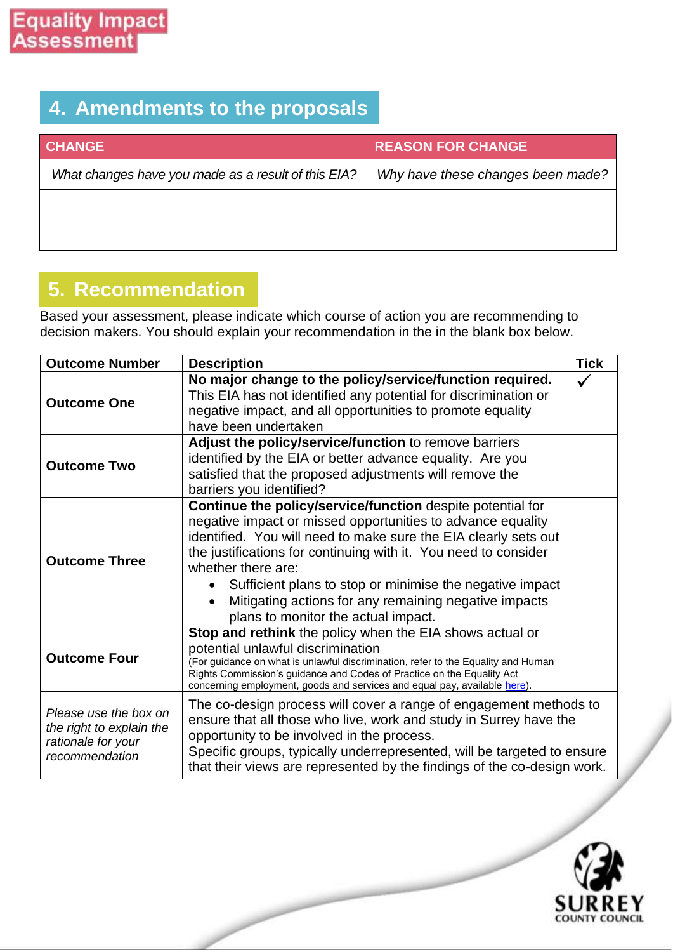### **4. Amendments to the proposals**

| <b>CHANGE</b>                                       | <b>REASON FOR CHANGE</b>          |
|-----------------------------------------------------|-----------------------------------|
| What changes have you made as a result of this EIA? | Why have these changes been made? |
|                                                     |                                   |
|                                                     |                                   |

### **5. Recommendation**

Based your assessment, please indicate which course of action you are recommending to decision makers. You should explain your recommendation in the in the blank box below.

| <b>Outcome Number</b>                                                                     | <b>Description</b>                                                                                                                                                                                                                                                                                                                                                                                                                                | <b>Tick</b> |  |
|-------------------------------------------------------------------------------------------|---------------------------------------------------------------------------------------------------------------------------------------------------------------------------------------------------------------------------------------------------------------------------------------------------------------------------------------------------------------------------------------------------------------------------------------------------|-------------|--|
| <b>Outcome One</b>                                                                        | No major change to the policy/service/function required.<br>This EIA has not identified any potential for discrimination or<br>negative impact, and all opportunities to promote equality<br>have been undertaken                                                                                                                                                                                                                                 |             |  |
| <b>Outcome Two</b>                                                                        | Adjust the policy/service/function to remove barriers<br>identified by the EIA or better advance equality. Are you<br>satisfied that the proposed adjustments will remove the<br>barriers you identified?                                                                                                                                                                                                                                         |             |  |
| <b>Outcome Three</b>                                                                      | Continue the policy/service/function despite potential for<br>negative impact or missed opportunities to advance equality<br>identified. You will need to make sure the EIA clearly sets out<br>the justifications for continuing with it. You need to consider<br>whether there are:<br>Sufficient plans to stop or minimise the negative impact<br>Mitigating actions for any remaining negative impacts<br>plans to monitor the actual impact. |             |  |
| <b>Outcome Four</b>                                                                       | Stop and rethink the policy when the EIA shows actual or<br>potential unlawful discrimination<br>(For guidance on what is unlawful discrimination, refer to the Equality and Human<br>Rights Commission's guidance and Codes of Practice on the Equality Act<br>concerning employment, goods and services and equal pay, available here).                                                                                                         |             |  |
| Please use the box on<br>the right to explain the<br>rationale for your<br>recommendation | The co-design process will cover a range of engagement methods to<br>ensure that all those who live, work and study in Surrey have the<br>opportunity to be involved in the process.<br>Specific groups, typically underrepresented, will be targeted to ensure<br>that their views are represented by the findings of the co-design work.                                                                                                        |             |  |